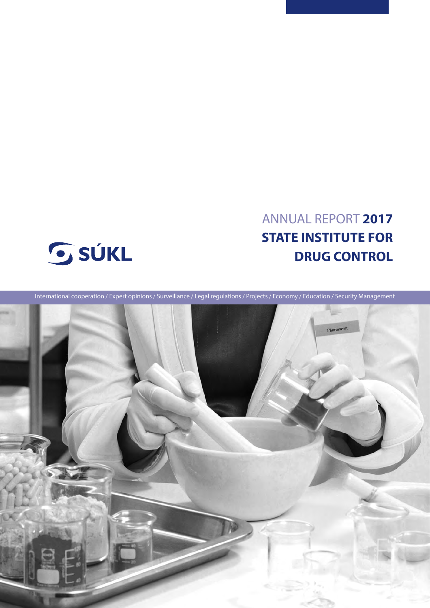# ANNUAL REPORT **2017 STATE INSTITUTE FOR DRUG CONTROL**



International cooperation / Expert opinions / Surveillance / Legal regulations / Projects / Economy / Education / Security Management

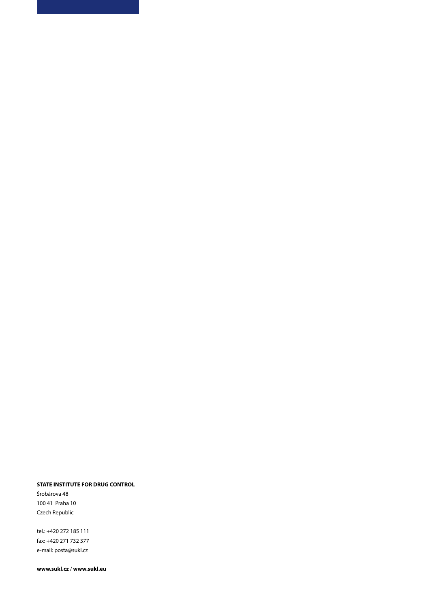# **STATE INSTITUTE FOR DRUG CONTROL**

Šrobárova 48 100 41 Praha 10 Czech Republic

tel.: +420 272 185 111 fax: +420 271 732 377 e-mail: posta@sukl.cz

**www.sukl.cz** / **www.sukl.eu**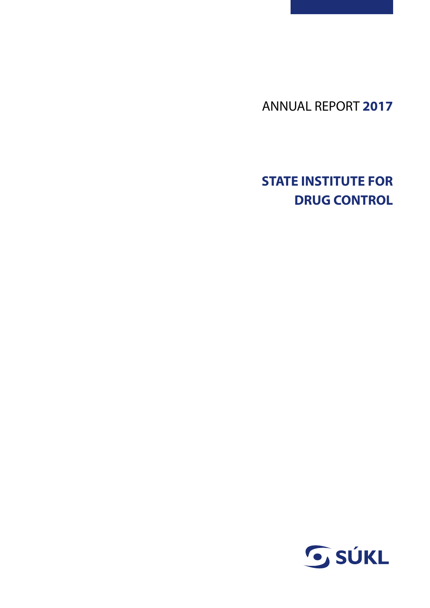ANNUAL REPORT **2017**

# **STATE INSTITUTE FOR DRUG CONTROL**

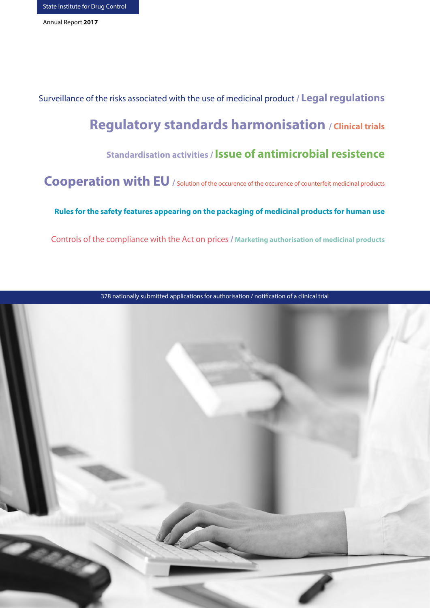Surveillance of the risks associated with the use of medicinal product **/ Legal regulations Regulatory standards harmonisation / Clinical trials**

# **Standardisation activities / Issue of antimicrobial resistence**

**Cooperation with EU** / Solution of the occurence of the occurence of counterfeit medicinal products

 **Rules for the safety features appearing on the packaging of medicinal products for human use**

Controls of the compliance with the Act on prices **/ Marketing authorisation of medicinal products**



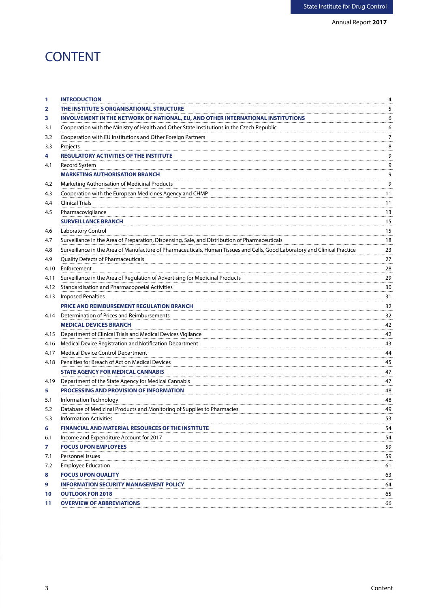# **CONTENT**

| 1    | <b>INTRODUCTION</b>                                                                                                        | 4                   |
|------|----------------------------------------------------------------------------------------------------------------------------|---------------------|
| 2    | THE INSTITUTE'S ORGANISATIONAL STRUCTURE                                                                                   | 5                   |
| 3    | INVOLVEMENT IN THE NETWORK OF NATIONAL, EU, AND OTHER INTERNATIONAL INSTITUTIONS                                           | 6                   |
| 3.1  | Cooperation with the Ministry of Health and Other State Institutions in the Czech Republic                                 | 6                   |
| 3.2  | Cooperation with EU Institutions and Other Foreign Partners                                                                | 7                   |
| 3.3  | Projects                                                                                                                   | 8                   |
| 4    | <b>REGULATORY ACTIVITIES OF THE INSTITUTE</b>                                                                              | 9                   |
| 4.1  | Record System                                                                                                              | 9                   |
|      | <b>MARKETING AUTHORISATION BRANCH</b>                                                                                      | 9                   |
| 4.2  | Marketing Authorisation of Medicinal Products                                                                              | 9                   |
| 4.3  | Cooperation with the European Medicines Agency and CHMP                                                                    | 11                  |
| 4.4  | <b>Clinical Trials</b>                                                                                                     | 11                  |
| 4.5  | Pharmacovigilance                                                                                                          | 13                  |
|      | <b>SURVEILLANCE BRANCH</b>                                                                                                 | 15                  |
| 4.6  | Laboratory Control                                                                                                         | 15                  |
| 4.7  | Surveillance in the Area of Preparation, Dispensing, Sale, and Distribution of Pharmaceuticals                             | 18                  |
| 4.8  | Surveillance in the Area of Manufacture of Pharmaceuticals, Human Tissues and Cells, Good Laboratory and Clinical Practice | 23                  |
| 4.9  | Quality Defects of Pharmaceuticals                                                                                         | 27                  |
| 4.10 | Enforcement                                                                                                                | 28                  |
| 4.11 | Surveillance in the Area of Regulation of Advertising for Medicinal Products                                               | 29                  |
| 4.12 | <b>Standardisation and Pharmacopoeial Activities</b>                                                                       | $\frac{30}{10}$     |
| 4.13 | <b>Imposed Penalties</b>                                                                                                   | 31                  |
|      | <b>PRICE AND REIMBURSEMENT REGULATION BRANCH</b>                                                                           | 32                  |
| 4.14 | Determination of Prices and Reimbursements                                                                                 | $\frac{32}{1}$      |
|      | <b>MEDICAL DEVICES BRANCH</b>                                                                                              | 42                  |
| 4.15 | Department of Clinical Trials and Medical Devices Vigilance                                                                | 42                  |
| 4.16 | Medical Device Registration and Notification Department                                                                    | 43                  |
| 4.17 | Medical Device Control Department                                                                                          | 44                  |
| 4.18 | Penalties for Breach of Act on Medical Devices                                                                             | 45                  |
|      | <b>STATE AGENCY FOR MEDICAL CANNABIS</b>                                                                                   | $47 \ldots$         |
| 4.19 | Department of the State Agency for Medical Cannabis                                                                        | 47                  |
| 5    | <b>PROCESSING AND PROVISION OF INFORMATION</b>                                                                             | 48                  |
| 5.1  | Information Technology                                                                                                     | $\frac{48}{\cdots}$ |
| 5.2  | Database of Medicinal Products and Monitoring of Supplies to Pharmacies                                                    | 49                  |
| 5.3  | Information Activities                                                                                                     | 53<br>.             |
| 6    | <b>FINANCIAL AND MATERIAL RESOURCES OF THE INSTITUTE</b>                                                                   | 54                  |
| 6.1  | Income and Expenditure Account for 2017                                                                                    | 54                  |
| 7    | <b>FOCUS UPON EMPLOYEES</b>                                                                                                | 59<br>.             |
| 7.1  | Personnel Issues                                                                                                           | 59                  |
| 7.2  | <b>Employee Education</b>                                                                                                  | 61                  |
| 8    | <b>FOCUS UPON QUALITY</b>                                                                                                  | 63                  |
| 9    | <b>INFORMATION SECURITY MANAGEMENT POLICY</b>                                                                              | 64                  |
| 10   | <b>OUTLOOK FOR 2018</b>                                                                                                    | 65                  |
| 11   | <b>OVERVIEW OF ABBREVIATIONS</b>                                                                                           | 66<br>              |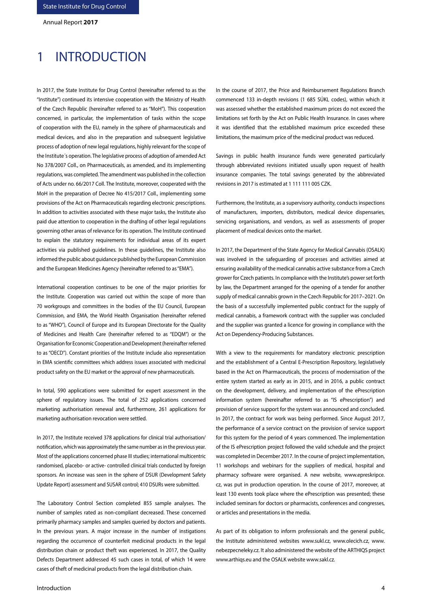# 1 INTRODUCTION

In 2017, the State Institute for Drug Control (hereinafter referred to as the "Institute") continued its intensive cooperation with the Ministry of Health of the Czech Republic (hereinafter referred to as "MoH"). This cooperation concerned, in particular, the implementation of tasks within the scope of cooperation with the EU, namely in the sphere of pharmaceuticals and medical devices, and also in the preparation and subsequent legislative process of adoption of new legal regulations, highly relevant for the scope of the Institute´s operation. The legislative process of adoption of amended Act No 378/2007 Coll., on Pharmaceuticals, as amended, and its implementing regulations, was completed. The amendment was published in the collection of Acts under no. 66/2017 Coll. The Institute, moreover, cooperated with the MoH in the preparation of Decree No 415/2017 Coll., implementing some provisions of the Act on Pharmaceuticals regarding electronic prescriptions. In addition to activities associated with these major tasks, the Institute also paid due attention to cooperation in the drafting of other legal regulations governing other areas of relevance for its operation. The Institute continued to explain the statutory requirements for individual areas of its expert activities via published guidelines. In these guidelines, the Institute also informed the public about guidance published by the European Commission and the European Medicines Agency (hereinafter referred to as "EMA").

International cooperation continues to be one of the major priorities for the Institute. Cooperation was carried out within the scope of more than 70 workgroups and committees in the bodies of the EU Council, European Commission, and EMA, the World Health Organisation (hereinafter referred to as "WHO"), Council of Europe and its European Directorate for the Quality of Medicines and Health Care (hereinafter referred to as "EDQM") or the Organisation for Economic Cooperation and Development (hereinafter referred to as "OECD"). Constant priorities of the Institute include also representation in EMA scientific committees which address issues associated with medicinal product safety on the EU market or the approval of new pharmaceuticals.

In total, 590 applications were submitted for expert assessment in the sphere of regulatory issues. The total of 252 applications concerned marketing authorisation renewal and, furthermore, 261 applications for marketing authorisation revocation were settled.

In 2017, the Institute received 378 applications for clinical trial authorisation/ notification, which was approximately the same number as in the previous year. Most of the applications concerned phase III studies; international multicentric randomised, placebo- or active- controlled clinical trials conducted by foreign sponsors. An increase was seen in the sphere of DSUR (Development Safety Update Report) assessment and SUSAR control; 410 DSURs were submitted.

The Laboratory Control Section completed 855 sample analyses. The number of samples rated as non-compliant decreased. These concerned primarily pharmacy samples and samples queried by doctors and patients. In the previous years. A major increase in the number of instigations regarding the occurrence of counterfeit medicinal products in the legal distribution chain or product theft was experienced. In 2017, the Quality Defects Department addressed 45 such cases in total, of which 14 were cases of theft of medicinal products from the legal distribution chain.

In the course of 2017, the Price and Reimbursement Regulations Branch commenced 133 in-depth revisions (1 685 SÚKL codes), within which it was assessed whether the established maximum prices do not exceed the limitations set forth by the Act on Public Health Insurance. In cases where it was identified that the established maximum price exceeded these limitations, the maximum price of the medicinal product was reduced.

Savings in public health insurance funds were generated particularly through abbreviated revisions initiated usually upon request of health insurance companies. The total savings generated by the abbreviated revisions in 2017 is estimated at 1 111 111 005 CZK.

Furthermore, the Institute, as a supervisory authority, conducts inspections of manufacturers, importers, distributors, medical device dispensaries, servicing organisations, and vendors, as well as assessments of proper placement of medical devices onto the market.

In 2017, the Department of the State Agency for Medical Cannabis (OSALK) was involved in the safeguarding of processes and activities aimed at ensuring availability of the medical cannabis active substance from a Czech grower for Czech patients. In compliance with the Institute's power set forth by law, the Department arranged for the opening of a tender for another supply of medical cannabis grown in the Czech Republic for 2017–2021. On the basis of a successfully implemented public contract for the supply of medical cannabis, a framework contract with the supplier was concluded and the supplier was granted a licence for growing in compliance with the Act on Dependency-Producing Substances.

With a view to the requirements for mandatory electronic prescription and the establishment of a Central E-Prescription Repository, legislatively based in the Act on Pharmaceuticals, the process of modernisation of the entire system started as early as in 2015, and in 2016, a public contract on the development, delivery, and implementation of the ePrescription information system (hereinafter referred to as "IS ePrescription") and provision of service support for the system was announced and concluded. In 2017, the contract for work was being performed. Since August 2017, the performance of a service contract on the provision of service support for this system for the period of 4 years commenced. The implementation of the IS ePrescription project followed the valid schedule and the project was completed in December 2017. In the course of project implementation, 11 workshops and webinars for the suppliers of medical, hospital and pharmacy software were organised. A new website, www.epreskripce. cz, was put in production operation. In the course of 2017, moreover, at least 130 events took place where the ePrescription was presented; these included seminars for doctors or pharmacists, conferences and congresses, or articles and presentations in the media.

As part of its obligation to inform professionals and the general public, the Institute administered websites www.sukl.cz, www.olecich.cz, www. nebezpecneleky.cz. It also administered the website of the ARTHIQS project www.arthiqs.eu and the OSALK website www.sakl.cz.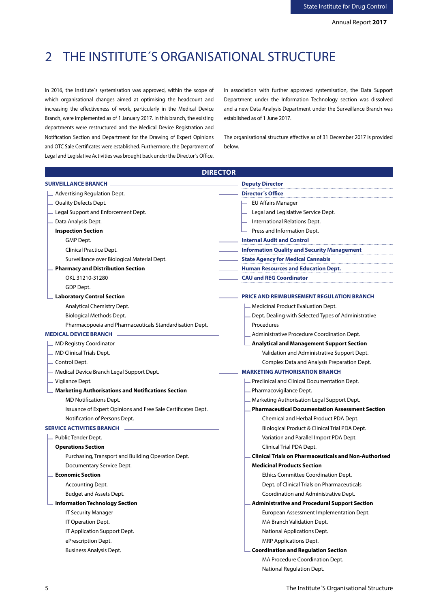# 2 THE INSTITUTE´S ORGANISATIONAL STRUCTURE

In 2016, the Institute´s systemisation was approved, within the scope of which organisational changes aimed at optimising the headcount and increasing the effectiveness of work, particularly in the Medical Device Branch, were implemented as of 1 January 2017. In this branch, the existing departments were restructured and the Medical Device Registration and Notification Section and Department for the Drawing of Expert Opinions and OTC Sale Certificates were established. Furthermore, the Department of Legal and Legislative Activities was brought back under the Director´s Office.

In association with further approved systemisation, the Data Support Department under the Information Technology section was dissolved and a new Data Analysis Department under the Surveillance Branch was established as of 1 June 2017.

The organisational structure effective as of 31 December 2017 is provided below.

| <b>DIRECTOR</b>                                              |                                                              |  |  |  |  |
|--------------------------------------------------------------|--------------------------------------------------------------|--|--|--|--|
| <b>SURVEILLANCE BRANCH</b>                                   | <b>Deputy Director</b>                                       |  |  |  |  |
| Advertising Regulation Dept.                                 | Director's Office                                            |  |  |  |  |
| Quality Defects Dept.                                        | EU Affairs Manager                                           |  |  |  |  |
| Legal Support and Enforcement Dept.                          | Legal and Legislative Service Dept.                          |  |  |  |  |
| Data Analysis Dept.                                          | International Relations Dept.                                |  |  |  |  |
| <b>Inspection Section</b>                                    | Press and Information Dept.                                  |  |  |  |  |
| GMP Dept.                                                    | <b>Internal Audit and Control</b>                            |  |  |  |  |
| <b>Clinical Practice Dept.</b>                               | <b>Information Quality and Security Management</b>           |  |  |  |  |
| Surveillance over Biological Material Dept.                  | <b>State Agency for Medical Cannabis</b>                     |  |  |  |  |
| <b>Pharmacy and Distribution Section</b>                     | <b>Human Resources and Education Dept.</b>                   |  |  |  |  |
| OKL 31210-31280                                              | <b>CAU and REG Coordinator</b>                               |  |  |  |  |
| GDP Dept.                                                    |                                                              |  |  |  |  |
| <b>Laboratory Control Section</b>                            | <b>PRICE AND REIMBURSEMENT REGULATION BRANCH</b>             |  |  |  |  |
| Analytical Chemistry Dept.                                   | Medicinal Product Evaluation Dept.                           |  |  |  |  |
| <b>Biological Methods Dept.</b>                              | Dept. Dealing with Selected Types of Administrative          |  |  |  |  |
| Pharmacopoeia and Pharmaceuticals Standardisation Dept.      | Procedures                                                   |  |  |  |  |
| <b>MEDICAL DEVICE BRANCH</b>                                 | Administrative Procedure Coordination Dept.                  |  |  |  |  |
| <b>MD Registry Coordinator</b>                               | <b>Analytical and Management Support Section</b>             |  |  |  |  |
| <b>MD Clinical Trials Dept.</b>                              | Validation and Administrative Support Dept.                  |  |  |  |  |
| Control Dept.                                                | Complex Data and Analysis Preparation Dept.                  |  |  |  |  |
| Medical Device Branch Legal Support Dept.                    | <b>MARKETING AUTHORISATION BRANCH</b>                        |  |  |  |  |
| Vigilance Dept.                                              | Preclinical and Clinical Documentation Dept.                 |  |  |  |  |
| <b>Marketing Authorisations and Notifications Section</b>    | Pharmacovigilance Dept.                                      |  |  |  |  |
| <b>MD Notifications Dept.</b>                                | Marketing Authorisation Legal Support Dept.                  |  |  |  |  |
| Issuance of Expert Opinions and Free Sale Certificates Dept. | <b>Pharmaceutical Documentation Assessment Section</b>       |  |  |  |  |
| Notification of Persons Dept.                                | Chemical and Herbal Product PDA Dept.                        |  |  |  |  |
| <b>SERVICE ACTIVITIES BRANCH</b>                             | Biological Product & Clinical Trial PDA Dept.                |  |  |  |  |
| Public Tender Dept.                                          | Variation and Parallel Import PDA Dept.                      |  |  |  |  |
| <b>Operations Section</b>                                    | Clinical Trial PDA Dept.                                     |  |  |  |  |
| Purchasing, Transport and Building Operation Dept.           | <b>Clinical Trials on Pharmaceuticals and Non-Authorised</b> |  |  |  |  |
| Documentary Service Dept.                                    | <b>Medicinal Products Section</b>                            |  |  |  |  |
| <b>Economic Section</b>                                      | Ethics Committee Coordination Dept.                          |  |  |  |  |
| Accounting Dept.                                             | Dept. of Clinical Trials on Pharmaceuticals                  |  |  |  |  |
| <b>Budget and Assets Dept.</b>                               | Coordination and Administrative Dept.                        |  |  |  |  |
| <b>Information Technology Section</b>                        | <b>Administrative and Procedural Support Section</b>         |  |  |  |  |
| <b>IT Security Manager</b>                                   | European Assessment Implementation Dept.                     |  |  |  |  |
| IT Operation Dept.                                           | MA Branch Validation Dept.                                   |  |  |  |  |
| IT Application Support Dept.                                 | National Applications Dept.                                  |  |  |  |  |
| ePrescription Dept.                                          | <b>MRP Applications Dept.</b>                                |  |  |  |  |
| <b>Business Analysis Dept.</b>                               | <b>Coordination and Regulation Section</b>                   |  |  |  |  |
|                                                              | MA Procedure Coordination Dept.                              |  |  |  |  |
|                                                              | National Regulation Dept.                                    |  |  |  |  |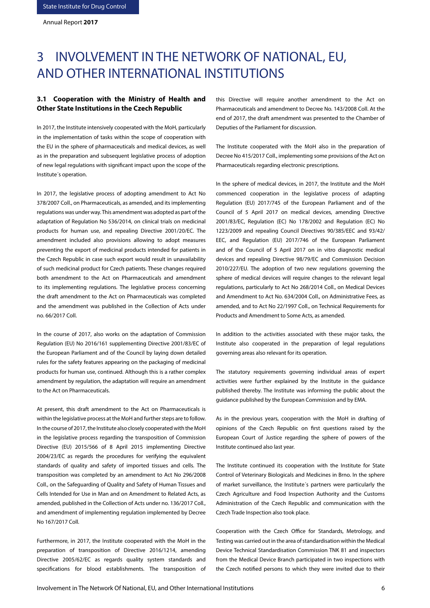# 3 INVOLVEMENT IN THE NETWORK OF NATIONAL, EU, AND OTHER INTERNATIONAL INSTITUTIONS

# **3.1 Cooperation with the Ministry of Health and Other State Institutions in the Czech Republic**

In 2017, the Institute intensively cooperated with the MoH, particularly in the implementation of tasks within the scope of cooperation with the EU in the sphere of pharmaceuticals and medical devices, as well as in the preparation and subsequent legislative process of adoption of new legal regulations with significant impact upon the scope of the Institute´s operation.

In 2017, the legislative process of adopting amendment to Act No 378/2007 Coll., on Pharmaceuticals, as amended, and its implementing regulations was under way. This amendment was adopted as part of the adaptation of Regulation No 536/2014, on clinical trials on medicinal products for human use, and repealing Directive 2001/20/EC. The amendment included also provisions allowing to adopt measures preventing the export of medicinal products intended for patients in the Czech Republic in case such export would result in unavailability of such medicinal product for Czech patients. These changes required both amendment to the Act on Pharmaceuticals and amendment to its implementing regulations. The legislative process concerning the draft amendment to the Act on Pharmaceuticals was completed and the amendment was published in the Collection of Acts under no. 66/2017 Coll.

In the course of 2017, also works on the adaptation of Commission Regulation (EU) No 2016/161 supplementing Directive 2001/83/EC of the European Parliament and of the Council by laying down detailed rules for the safety features appearing on the packaging of medicinal products for human use, continued. Although this is a rather complex amendment by regulation, the adaptation will require an amendment to the Act on Pharmaceuticals.

At present, this draft amendment to the Act on Pharmaceuticals is within the legislative process at the MoH and further steps are to follow. In the course of 2017, the Institute also closely cooperated with the MoH in the legislative process regarding the transposition of Commission Directive (EU) 2015/566 of 8 April 2015 implementing Directive 2004/23/EC as regards the procedures for verifying the equivalent standards of quality and safety of imported tissues and cells. The transposition was completed by an amendment to Act No 296/2008 Coll., on the Safeguarding of Quality and Safety of Human Tissues and Cells Intended for Use in Man and on Amendment to Related Acts, as amended, published in the Collection of Acts under no. 136/2017 Coll., and amendment of implementing regulation implemented by Decree No 167/2017 Coll.

Furthermore, in 2017, the Institute cooperated with the MoH in the preparation of transposition of Directive 2016/1214, amending Directive 2005/62/EC as regards quality system standards and specifications for blood establishments. The transposition of this Directive will require another amendment to the Act on Pharmaceuticals and amendment to Decree No. 143/2008 Coll. At the end of 2017, the draft amendment was presented to the Chamber of Deputies of the Parliament for discussion.

The Institute cooperated with the MoH also in the preparation of Decree No 415/2017 Coll., implementing some provisions of the Act on Pharmaceuticals regarding electronic prescriptions.

In the sphere of medical devices, in 2017, the Institute and the MoH commenced cooperation in the legislative process of adapting Regulation (EU) 2017/745 of the European Parliament and of the Council of 5 April 2017 on medical devices, amending Directive 2001/83/EC, Regulation (EC) No 178/2002 and Regulation (EC) No 1223/2009 and repealing Council Directives 90/385/EEC and 93/42/ EEC, and Regulation (EU) 2017/746 of the European Parliament and of the Council of 5 April 2017 on in vitro diagnostic medical devices and repealing Directive 98/79/EC and Commission Decision 2010/227/EU. The adoption of two new regulations governing the sphere of medical devices will require changes to the relevant legal regulations, particularly to Act No 268/2014 Coll., on Medical Devices and Amendment to Act No. 634/2004 Coll., on Administrative Fees, as amended, and to Act No 22/1997 Coll., on Technical Requirements for Products and Amendment to Some Acts, as amended.

In addition to the activities associated with these major tasks, the Institute also cooperated in the preparation of legal regulations governing areas also relevant for its operation.

The statutory requirements governing individual areas of expert activities were further explained by the Institute in the guidance published thereby. The Institute was informing the public about the guidance published by the European Commission and by EMA.

As in the previous years, cooperation with the MoH in drafting of opinions of the Czech Republic on first questions raised by the European Court of Justice regarding the sphere of powers of the Institute continued also last year.

The Institute continued its cooperation with the Institute for State Control of Veterinary Biologicals and Medicines in Brno. In the sphere of market surveillance, the Institute´s partners were particularly the Czech Agriculture and Food Inspection Authority and the Customs Administration of the Czech Republic and communication with the Czech Trade Inspection also took place.

Cooperation with the Czech Office for Standards, Metrology, and Testing was carried out in the area of standardisation within the Medical Device Technical Standardisation Commission TNK 81 and inspectors from the Medical Device Branch participated in two inspections with the Czech notified persons to which they were invited due to their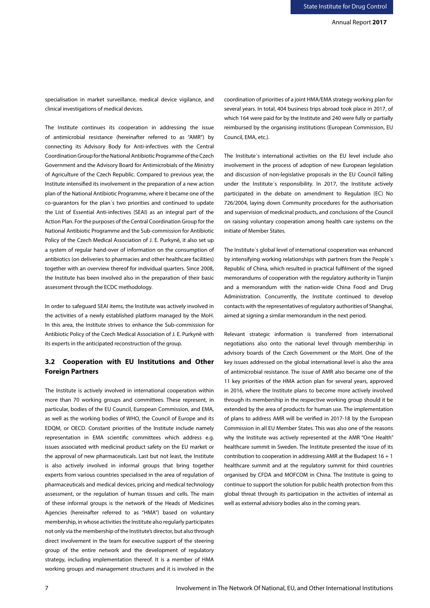specialisation in market surveillance, medical device vigilance, and clinical investigations of medical devices.

The Institute continues its cooperation in addressing the issue of antimicrobial resistance (hereinafter referred to as "AMR") by connecting its Advisory Body for Anti-infectives with the Central Coordination Group for the National Antibiotic Programme of the Czech Government and the Advisory Board for Antimicrobials of the Ministry of Agriculture of the Czech Republic. Compared to previous year, the Institute intensified its involvement in the preparation of a new action plan of the National Antibiotic Programme, where it became one of the co-guarantors for the plan´s two priorities and continued to update the List of Essential Anti-infectives (SEAI) as an integral part of the Action Plan. For the purposes of the Central Coordination Group for the National Antibiotic Programme and the Sub-commission for Antibiotic Policy of the Czech Medical Association of J. E. Purkyně, it also set up a system of regular hand-over of information on the consumption of antibiotics (on deliveries to pharmacies and other healthcare facilities) together with an overview thereof for individual quarters. Since 2008, the Institute has been involved also in the preparation of their basic assessment through the ECDC methodology.

In order to safeguard SEAI items, the Institute was actively involved in the activities of a newly established platform managed by the MoH. In this area, the Institute strives to enhance the Sub-commission for Antibiotic Policy of the Czech Medical Association of J. E. Purkyně with its experts in the anticipated reconstruction of the group.

# **3.2 Cooperation with EU Institutions and Other Foreign Partners**

The Institute is actively involved in international cooperation within more than 70 working groups and committees. These represent, in particular, bodies of the EU Council, European Commission, and EMA, as well as the working bodies of WHO, the Council of Europe and its EDQM, or OECD. Constant priorities of the Institute include namely representation in EMA scientific committees which address e.g. issues associated with medicinal product safety on the EU market or the approval of new pharmaceuticals. Last but not least, the Institute is also actively involved in informal groups that bring together experts from various countries specialised in the area of regulation of pharmaceuticals and medical devices, pricing and medical technology assessment, or the regulation of human tissues and cells. The main of these informal groups is the network of the Heads of Medicines Agencies (hereinafter referred to as "HMA") based on voluntary membership, in whose activities the Institute also regularly participates not only via the membership of the Institute's director, but also through direct involvement in the team for executive support of the steering group of the entire network and the development of regulatory strategy, including implementation thereof. It is a member of HMA working groups and management structures and it is involved in the coordination of priorities of a joint HMA/EMA strategy working plan for several years. In total, 404 business trips abroad took place in 2017, of which 164 were paid for by the Institute and 240 were fully or partially reimbursed by the organising institutions (European Commission, EU Council, EMA, etc.).

The Institute´s international activities on the EU level include also involvement in the process of adoption of new European legislation and discussion of non-legislative proposals in the EU Council falling under the Institute´s responsibility. In 2017, the Institute actively participated in the debate on amendment to Regulation (EC) No 726/2004, laying down Community procedures for the authorisation and supervision of medicinal products, and conclusions of the Council on raising voluntary cooperation among health care systems on the initiate of Member States.

The Institute´s global level of international cooperation was enhanced by intensifying working relationships with partners from the People´s Republic of China, which resulted in practical fulfilment of the signed memorandums of cooperation with the regulatory authority in Tianjin and a memorandum with the nation-wide China Food and Drug Administration. Concurrently, the Institute continued to develop contacts with the representatives of regulatory authorities of Shanghai, aimed at signing a similar memorandum in the next period.

Relevant strategic information is transferred from international negotiations also onto the national level through membership in advisory boards of the Czech Government or the MoH. One of the key issues addressed on the global international level is also the area of antimicrobial resistance. The issue of AMR also became one of the 11 key priorities of the HMA action plan for several years, approved in 2016, where the Institute plans to become more actively involved through its membership in the respective working group should it be extended by the area of products for human use. The implementation of plans to address AMR will be verified in 2017-18 by the European Commission in all EU Member States. This was also one of the reasons why the Institute was actively represented at the AMR "One Health" healthcare summit in Sweden. The Institute presented the issue of its contribution to cooperation in addressing AMR at the Budapest  $16 + 1$ healthcare summit and at the regulatory summit for third countries organised by CFDA and MOFCOM in China. The Institute is going to continue to support the solution for public health protection from this global threat through its participation in the activities of internal as well as external advisory bodies also in the coming years.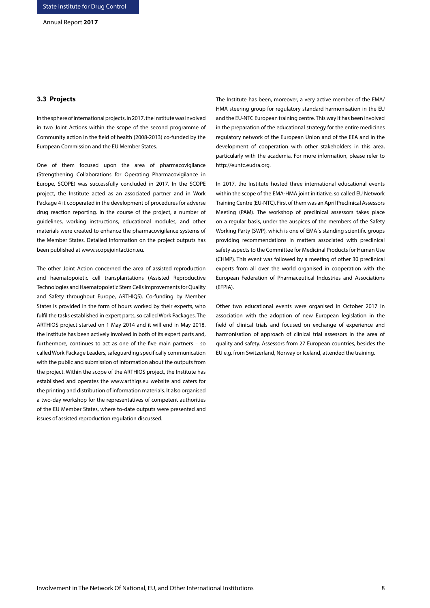### **3.3 Projects**

In the sphere of international projects, in 2017, the Institute was involved in two Joint Actions within the scope of the second programme of Community action in the field of health (2008-2013) co-funded by the European Commission and the EU Member States.

One of them focused upon the area of pharmacovigilance (Strengthening Collaborations for Operating Pharmacovigilance in Europe, SCOPE) was successfully concluded in 2017. In the SCOPE project, the Institute acted as an associated partner and in Work Package 4 it cooperated in the development of procedures for adverse drug reaction reporting. In the course of the project, a number of guidelines, working instructions, educational modules, and other materials were created to enhance the pharmacovigilance systems of the Member States. Detailed information on the project outputs has been published at www.scopejointaction.eu.

The other Joint Action concerned the area of assisted reproduction and haematopoietic cell transplantations (Assisted Reproductive Technologies and Haematopoietic Stem Cells Improvements for Quality and Safety throughout Europe, ARTHIQS). Co-funding by Member States is provided in the form of hours worked by their experts, who fulfil the tasks established in expert parts, so called Work Packages. The ARTHIQS project started on 1 May 2014 and it will end in May 2018. the Institute has been actively involved in both of its expert parts and, furthermore, continues to act as one of the five main partners – so called Work Package Leaders, safeguarding specifically communication with the public and submission of information about the outputs from the project. Within the scope of the ARTHIQS project, the Institute has established and operates the www.arthiqs.eu website and caters for the printing and distribution of information materials. It also organised a two-day workshop for the representatives of competent authorities of the EU Member States, where to-date outputs were presented and issues of assisted reproduction regulation discussed.

The Institute has been, moreover, a very active member of the EMA/ HMA steering group for regulatory standard harmonisation in the EU and the EU-NTC European training centre. This way it has been involved in the preparation of the educational strategy for the entire medicines regulatory network of the European Union and of the EEA and in the development of cooperation with other stakeholders in this area, particularly with the academia. For more information, please refer to http://euntc.eudra.org.

In 2017, the Institute hosted three international educational events within the scope of the EMA-HMA joint initiative, so called EU Network Training Centre (EU-NTC). First of them was an April Preclinical Assessors Meeting (PAM). The workshop of preclinical assessors takes place on a regular basis, under the auspices of the members of the Safety Working Party (SWP), which is one of EMA´s standing scientific groups providing recommendations in matters associated with preclinical safety aspects to the Committee for Medicinal Products for Human Use (CHMP). This event was followed by a meeting of other 30 preclinical experts from all over the world organised in cooperation with the European Federation of Pharmaceutical Industries and Associations (EFPIA).

Other two educational events were organised in October 2017 in association with the adoption of new European legislation in the field of clinical trials and focused on exchange of experience and harmonisation of approach of clinical trial assessors in the area of quality and safety. Assessors from 27 European countries, besides the EU e.g. from Switzerland, Norway or Iceland, attended the training.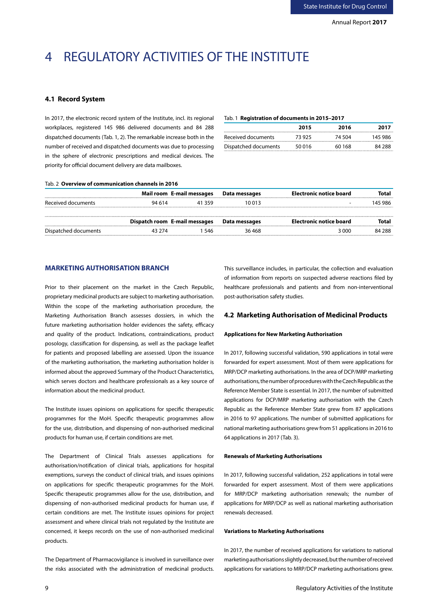# 4 REGULATORY ACTIVITIES OF THE INSTITUTE

# **4.1 Record System**

In 2017, the electronic record system of the Institute, incl. its regional workplaces, registered 145 986 delivered documents and 84 288 dispatched documents (Tab. 1, 2). The remarkable increase both in the number of received and dispatched documents was due to processing in the sphere of electronic prescriptions and medical devices. The priority for official document delivery are data mailboxes.

# Tab. 1 **Registration of documents in 2015–2017**

|                      | 2015   | 2016   | 2017    |
|----------------------|--------|--------|---------|
| Received documents   | 73 925 | 74 504 | 145 986 |
| Dispatched documents | 50 016 | 60 168 | 84 288  |
|                      |        |        |         |

#### Tab. 2 **Overview of communication channels in 2016**

|                      |                               | Mail room E-mail messages | Data messages | Electronic notice board | Total   |
|----------------------|-------------------------------|---------------------------|---------------|-------------------------|---------|
| Received documents   | 94 614                        | 41359                     | 10 013        | -                       | 145 986 |
|                      |                               |                           |               |                         |         |
|                      | Dispatch room E-mail messages |                           | Data messages | Electronic notice board | Total   |
| Dispatched documents | 43 774                        | 546                       | 36 468        | 3 000                   | 84 288  |

# **MARKETING AUTHORISATION BRANCH**

Prior to their placement on the market in the Czech Republic, proprietary medicinal products are subject to marketing authorisation. Within the scope of the marketing authorisation procedure, the Marketing Authorisation Branch assesses dossiers, in which the future marketing authorisation holder evidences the safety, efficacy and quality of the product. Indications, contraindications, product posology, classification for dispensing, as well as the package leaflet for patients and proposed labelling are assessed. Upon the issuance of the marketing authorisation, the marketing authorisation holder is informed about the approved Summary of the Product Characteristics, which serves doctors and healthcare professionals as a key source of information about the medicinal product.

The Institute issues opinions on applications for specific therapeutic programmes for the MoH. Specific therapeutic programmes allow for the use, distribution, and dispensing of non-authorised medicinal products for human use, if certain conditions are met.

The Department of Clinical Trials assesses applications for authorisation/notification of clinical trials, applications for hospital exemptions, surveys the conduct of clinical trials, and issues opinions on applications for specific therapeutic programmes for the MoH. Specific therapeutic programmes allow for the use, distribution, and dispensing of non-authorised medicinal products for human use, if certain conditions are met. The Institute issues opinions for project assessment and where clinical trials not regulated by the Institute are concerned, it keeps records on the use of non-authorised medicinal products.

The Department of Pharmacovigilance is involved in surveillance over the risks associated with the administration of medicinal products.

This surveillance includes, in particular, the collection and evaluation of information from reports on suspected adverse reactions filed by healthcare professionals and patients and from non-interventional post-authorisation safety studies.

# **4.2 Marketing Authorisation of Medicinal Products**

### **Applications for New Marketing Authorisation**

In 2017, following successful validation, 590 applications in total were forwarded for expert assessment. Most of them were applications for MRP/DCP marketing authorisations. In the area of DCP/MRP marketing authorisations, the number of procedures with the Czech Republic as the Reference Member State is essential. In 2017, the number of submitted applications for DCP/MRP marketing authorisation with the Czech Republic as the Reference Member State grew from 87 applications in 2016 to 97 applications. The number of submitted applications for national marketing authorisations grew from 51 applications in 2016 to 64 applications in 2017 (Tab. 3).

## **Renewals of Marketing Authorisations**

In 2017, following successful validation, 252 applications in total were forwarded for expert assessment. Most of them were applications for MRP/DCP marketing authorisation renewals; the number of applications for MRP/DCP as well as national marketing authorisation renewals decreased.

### **Variations to Marketing Authorisations**

In 2017, the number of received applications for variations to national marketing authorisations slightly decreased, but the number of received applications for variations to MRP/DCP marketing authorisations grew.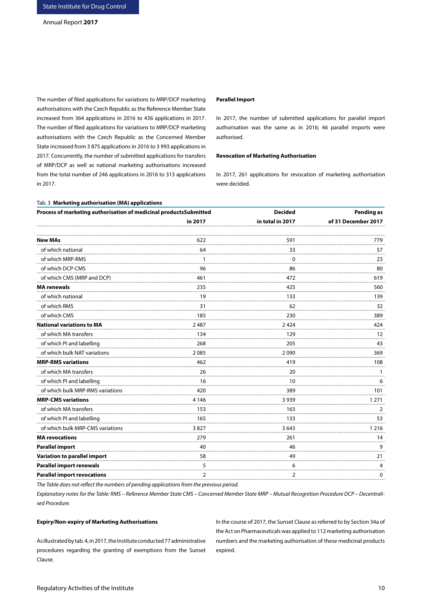The number of filed applications for variations to MRP/DCP marketing authorisations with the Czech Republic as the Reference Member State increased from 364 applications in 2016 to 436 applications in 2017. The number of filed applications for variations to MRP/DCP marketing authorisations with the Czech Republic as the Concerned Member State increased from 3 875 applications in 2016 to 3 993 applications in 2017. Concurrently, the number of submitted applications for transfers of MRP/DCP as well as national marketing authorisations increased from the total number of 246 applications in 2016 to 313 applications in 2017.

Tab. 3 **Marketing authorisation (MA) applications**

#### **Parallel Import**

In 2017, the number of submitted applications for parallel import authorisation was the same as in 2016; 46 parallel imports were authorised.

#### **Revocation of Marketing Authorisation**

In 2017, 261 applications for revocation of marketing authorisation were decided.

| Process of marketing authorisation of medicinal productsSubmitted |         | <b>Decided</b>   | <b>Pending as</b>   |
|-------------------------------------------------------------------|---------|------------------|---------------------|
|                                                                   | in 2017 | in total in 2017 | of 31 December 2017 |
| <b>New MAs</b>                                                    | 622     | 591              | 779                 |
| of which national                                                 | 64      | 33               | 57                  |
| of which MRP-RMS                                                  |         | $\Omega$         | 23                  |
| of which DCP-CMS                                                  | 96      | 86               | 80                  |
| of which CMS (MRP and DCP)                                        | 461     | 472              | 619                 |
| MA renewals                                                       | 235     | 425              | 560                 |
| of which national                                                 | 19      | 133              | 139                 |
| of which RMS                                                      | 31      | 62               | 32                  |
| of which CMS                                                      | 185     | 230              | 389                 |
| National variations to MA                                         | 2487    | 2424             | 424                 |
| of which MA transfers                                             | 134     | 129              | 12                  |
| of which PI and labelling                                         | 268     | 205              | 43                  |
| of which bulk NAT variations                                      | 2085    | 2090             | 369                 |
| <b>MRP-RMS variations</b>                                         | 462     | 419              | 108                 |
| of which MA transfers                                             | 26      | 20               | 1                   |
| of which PI and labelling                                         | 16      | 10               | 6                   |
| of which bulk MRP-RMS variations                                  | 420     | 389              | 101                 |
| <b>MRP-CMS variations</b>                                         | 4 146   | 3939             | 1 271               |
| of which MA transfers                                             | 153     | 163              | $\overline{2}$      |
| of which PI and labelling                                         | 165     | 133              | 53                  |
| of which bulk MRP-CMS variations                                  | 3827    | 3 643            | 1216                |
| <b>MA</b> revocations                                             | 279     | 261              | 14                  |
| Parallel import                                                   | 40      | 46               | 9                   |
| Variation to parallel import                                      | 58      | 49               | 21                  |
| Parallel import renewals                                          | 5       | 6                | 4                   |
| <b>Parallel import revocations</b>                                | 2       | 2                | 0                   |

*The Table does not reflect the numbers of pending applications from the previous period.*

*Explanatory notes for the Table: RMS – Reference Member State CMS – Concerned Member State MRP – Mutual Recognition Procedure DCP – Decentralised Procedure.*

#### **Expiry/Non-expiry of Marketing Authorisations**

As illustrated by tab. 4, in 2017, the Institute conducted 77 administrative procedures regarding the granting of exemptions from the Sunset Clause.

In the course of 2017, the Sunset Clause as referred to by Section 34a of the Act on Pharmaceuticals was applied to 112 marketing authorisation numbers and the marketing authorisation of these medicinal products expired.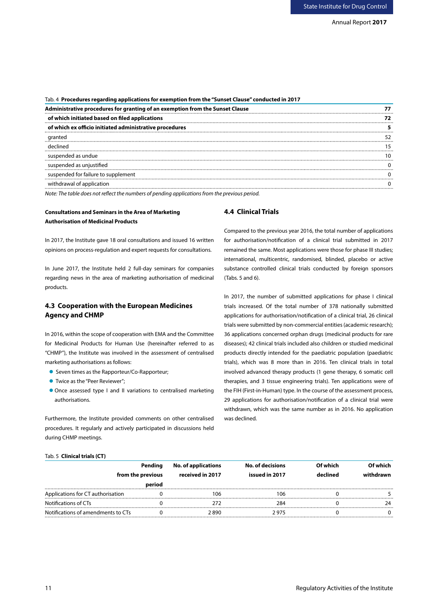| Tab. 4 Procedures regarding applications for exemption from the "Sunset Clause" conducted in 2017 |  |  |
|---------------------------------------------------------------------------------------------------|--|--|
| Administrative procedures for granting of an exemption from the Sunset Clause                     |  |  |
| of which initiated based on filed applications                                                    |  |  |
| of which ex officio initiated administrative procedures                                           |  |  |
| granted                                                                                           |  |  |
| declined                                                                                          |  |  |
| suspended as undue                                                                                |  |  |
| suspended as unjustified                                                                          |  |  |
| suspended for failure to supplement                                                               |  |  |
| withdrawal of application                                                                         |  |  |
|                                                                                                   |  |  |

*Note: The table does not reflect the numbers of pending applications from the previous period.*

## **Consultations and Seminars in the Area of Marketing Authorisation of Medicinal Products**

In 2017, the Institute gave 18 oral consultations and issued 16 written opinions on process-regulation and expert requests for consultations.

In June 2017, the Institute held 2 full-day seminars for companies regarding news in the area of marketing authorisation of medicinal products.

# **4.3 Cooperation with the European Medicines Agency and CHMP**

In 2016, within the scope of cooperation with EMA and the Committee for Medicinal Products for Human Use (hereinafter referred to as "CHMP"), the Institute was involved in the assessment of centralised marketing authorisations as follows:

- Seven times as the Rapporteur/Co-Rapporteur;
- Twice as the "Peer Reviewer";
- Once assessed type I and II variations to centralised marketing authorisations.

Furthermore, the Institute provided comments on other centralised procedures. It regularly and actively participated in discussions held during CHMP meetings.

# **4.4 Clinical Trials**

Compared to the previous year 2016, the total number of applications for authorisation/notification of a clinical trial submitted in 2017 remained the same. Most applications were those for phase III studies; international, multicentric, randomised, blinded, placebo or active substance controlled clinical trials conducted by foreign sponsors (Tabs. 5 and 6).

In 2017, the number of submitted applications for phase I clinical trials increased. Of the total number of 378 nationally submitted applications for authorisation/notification of a clinical trial, 26 clinical trials were submitted by non-commercial entities (academic research); 36 applications concerned orphan drugs (medicinal products for rare diseases); 42 clinical trials included also children or studied medicinal products directly intended for the paediatric population (paediatric trials), which was 8 more than in 2016. Ten clinical trials in total involved advanced therapy products (1 gene therapy, 6 somatic cell therapies, and 3 tissue engineering trials). Ten applications were of the FIH (First-in-Human) type. In the course of the assessment process, 29 applications for authorisation/notification of a clinical trial were withdrawn, which was the same number as in 2016. No application was declined.

#### Tab. 5 **Clinical trials (CT)**

| Pending                            |                   | <b>No. of applications</b> | <b>No. of decisions</b> | Of which | Of which  |  |
|------------------------------------|-------------------|----------------------------|-------------------------|----------|-----------|--|
|                                    | from the previous | received in 2017           | issued in 2017          | declined | withdrawn |  |
|                                    | period            |                            |                         |          |           |  |
| Applications for CT authorisation  |                   | 106                        | 106                     |          |           |  |
| Notifications of CTs               |                   |                            | 284                     |          |           |  |
| Notifications of amendments to CTs |                   | 2 890                      | 2 975                   |          |           |  |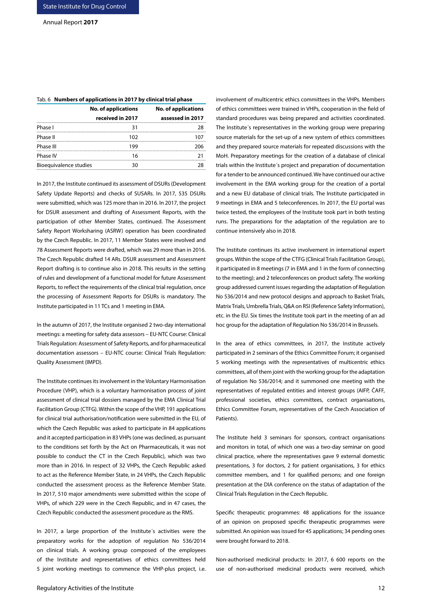| Tab. 6 Numbers of applications in 2017 by clinical trial phase |                            |  |  |  |  |
|----------------------------------------------------------------|----------------------------|--|--|--|--|
| <b>No. of applications</b>                                     | <b>No. of applications</b> |  |  |  |  |
| received in 2017                                               | assessed in 2017           |  |  |  |  |
| 31                                                             | 28                         |  |  |  |  |
| 102                                                            | 107                        |  |  |  |  |
| 199                                                            | 206                        |  |  |  |  |
| 16                                                             | 21                         |  |  |  |  |
| 30                                                             | 28                         |  |  |  |  |
|                                                                | Bioequivalence studies     |  |  |  |  |

In 2017, the Institute continued its assessment of DSURs (Development Safety Update Reports) and checks of SUSARs. In 2017, 535 DSURs were submitted, which was 125 more than in 2016. In 2017, the project for DSUR assessment and drafting of Assessment Reports, with the participation of other Member States, continued. The Assessment Safety Report Worksharing (ASRW) operation has been coordinated by the Czech Republic. In 2017, 11 Member States were involved and 78 Assessment Reports were drafted, which was 29 more than in 2016. The Czech Republic drafted 14 ARs. DSUR assessment and Assessment Report drafting is to continue also in 2018. This results in the setting of rules and development of a functional model for future Assessment Reports, to reflect the requirements of the clinical trial regulation, once the processing of Assessment Reports for DSURs is mandatory. The

In the autumn of 2017, the Institute organised 2 two-day international meetings: a meeting for safety data assessors – EU-NTC Course: Clinical Trials Regulation: Assessment of Safety Reports, and for pharmaceutical documentation assessors – EU-NTC course: Clinical Trials Regulation: Quality Assessment (IMPD).

Institute participated in 11 TCs and 1 meeting in EMA.

The Institute continues its involvement in the Voluntary Harmonisation Procedure (VHP), which is a voluntary harmonisation process of joint assessment of clinical trial dossiers managed by the EMA Clinical Trial Facilitation Group (CTFG). Within the scope of the VHP, 191 applications for clinical trial authorisation/notification were submitted in the EU, of which the Czech Republic was asked to participate in 84 applications and it accepted participation in 83 VHPs (one was declined, as pursuant to the conditions set forth by the Act on Pharmaceuticals, it was not possible to conduct the CT in the Czech Republic), which was two more than in 2016. In respect of 32 VHPs, the Czech Republic asked to act as the Reference Member State, in 24 VHPs, the Czech Republic conducted the assessment process as the Reference Member State. In 2017, 510 major amendments were submitted within the scope of VHPs, of which 229 were in the Czech Republic, and in 47 cases, the Czech Republic conducted the assessment procedure as the RMS.

In 2017, a large proportion of the Institute´s activities were the preparatory works for the adoption of regulation No 536/2014 on clinical trials. A working group composed of the employees of the Institute and representatives of ethics committees held 5 joint working meetings to commence the VHP-plus project, i.e. involvement of multicentric ethics committees in the VHPs. Members of ethics committees were trained in VHPs, cooperation in the field of standard procedures was being prepared and activities coordinated. The Institute´s representatives in the working group were preparing source materials for the set-up of a new system of ethics committees and they prepared source materials for repeated discussions with the MoH. Preparatory meetings for the creation of a database of clinical trials within the Institute´s project and preparation of documentation for a tender to be announced continued. We have continued our active involvement in the EMA working group for the creation of a portal and a new EU database of clinical trials. The Institute participated in 9 meetings in EMA and 5 teleconferences. In 2017, the EU portal was twice tested, the employees of the Institute took part in both testing runs. The preparations for the adaptation of the regulation are to continue intensively also in 2018.

The Institute continues its active involvement in international expert groups. Within the scope of the CTFG (Clinical Trials Facilitation Group), it participated in 8 meetings (7 in EMA and 1 in the form of connecting to the meeting); and 2 teleconferences on product safety. The working group addressed current issues regarding the adaptation of Regulation No 536/2014 and new protocol designs and approach to Basket Trials, Matrix Trials, Umbrella Trials, Q&A on RSI (Reference Safety Information), etc. in the EU. Six times the Institute took part in the meeting of an ad hoc group for the adaptation of Regulation No 536/2014 in Brussels.

In the area of ethics committees, in 2017, the Institute actively participated in 2 seminars of the Ethics Committee Forum; it organised 5 working meetings with the representatives of multicentric ethics committees, all of them joint with the working group for the adaptation of regulation No 536/2014; and it summoned one meeting with the representatives of regulated entities and interest groups (AIFP, ČAFF, professional societies, ethics committees, contract organisations, Ethics Committee Forum, representatives of the Czech Association of Patients).

The Institute held 3 seminars for sponsors, contract organisations and monitors in total, of which one was a two-day seminar on good clinical practice, where the representatives gave 9 external domestic presentations, 3 for doctors, 2 for patient organisations, 3 for ethics committee members, and 1 for qualified persons; and one foreign presentation at the DIA conference on the status of adaptation of the Clinical Trials Regulation in the Czech Republic.

Specific therapeutic programmes: 48 applications for the issuance of an opinion on proposed specific therapeutic programmes were submitted. An opinion was issued for 45 applications; 34 pending ones were brought forward to 2018.

Non-authorised medicinal products: In 2017, 6 600 reports on the use of non-authorised medicinal products were received, which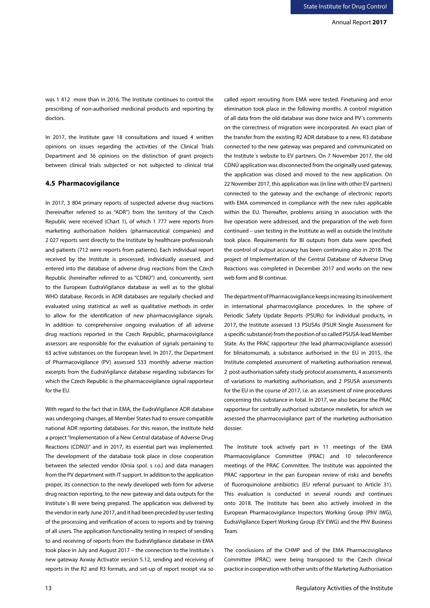was 1 412 more than in 2016. The Institute continues to control the prescribing of non-authorised medicinal products and reporting by doctors.

In 2017, the Institute gave 18 consultations and issued 4 written opinions on issues regarding the activities of the Clinical Trials Department and 36 opinions on the distinction of grant projects between clinical trials subjected or not subjected to clinical trial

#### **4.5 Pharmacovigilance**

In 2017, 3 804 primary reports of suspected adverse drug reactions (hereinafter referred to as "ADR") from the territory of the Czech Republic were received (Chart 1), of which 1 777 were reports from marketing authorisation holders (pharmaceutical companies) and 2 027 reports sent directly to the Institute by healthcare professionals and patients (712 were reports from patients). Each individual report received by the Institute is processed, individually assessed, and entered into the database of adverse drug reactions from the Czech Republic (hereinafter referred to as "CDNÚ") and, concurrently, sent to the European EudraVigilance database as well as to the global WHO database. Records in ADR databases are regularly checked and evaluated using statistical as well as qualitative methods in order to allow for the identification of new pharmacovigilance signals. In addition to comprehensive ongoing evaluation of all adverse drug reactions reported in the Czech Republic, pharmacovigilance assessors are responsible for the evaluation of signals pertaining to 63 active substances on the European level. In 2017, the Department of Pharmacovigilance (PV) assessed 533 monthly adverse reaction excerpts from the EudraVigilance database regarding substances for which the Czech Republic is the pharmacovigilance signal rapporteur for the EU.

With regard to the fact that in EMA, the EudraVigilance ADR database was undergoing changes, all Member States had to ensure compatible national ADR reporting databases. For this reason, the Institute held a project "Implementation of a New Central database of Adverse Drug Reactions (CDNÚ)" and in 2017, its essential part was implemented. The development of the database took place in close cooperation between the selected vendor (Orsia spol. s r.o.) and data managers from the PV department with IT support. In addition to the application proper, its connection to the newly developed web form for adverse drug reaction reporting, to the new gateway and data outputs for the Institute´s BI were being prepared. The application was delivered by the vendor in early June 2017, and it had been preceded by user testing of the processing and verification of access to reports and by training of all users. The application functionality testing in respect of sending to and receiving of reports from the EudraVigilance database in EMA took place in July and August 2017 – the connection to the Institute´s new gateway Axway Activator version 5.12, sending and receiving of reports in the R2 and R3 formats, and set-up of report receipt via so

elimination took place in the following months. A control migration of all data from the old database was done twice and PV´s comments on the correctness of migration were incorporated. An exact plan of the transfer from the existing R2 ADR database to a new, R3 database connected to the new gateway was prepared and communicated on the Institute´s website to EV partners. On 7 November 2017, the old CDNÚ application was disconnected from the originally used gateway, the application was closed and moved to the new application. On 22 November 2017, this application was (in line with other EV partners) connected to the gateway and the exchange of electronic reports with EMA commenced in compliance with the new rules applicable within the EU. Thereafter, problems arising in association with the live operation were addressed, and the preparation of the web form continued – user testing in the Institute as well as outside the Institute took place. Requirements for BI outputs from data were specified; the control of output accuracy has been continuing also in 2018. The project of Implementation of the Central Database of Adverse Drug Reactions was completed in December 2017 and works on the new web form and BI continue. The department of Pharmacovigilance keeps increasing its involvement in international pharmacovigilance procedures. In the sphere of

called report rerouting from EMA were tested. Finetuning and error

Periodic Safety Update Reports (PSURs) for individual products, in 2017, the Institute assessed 13 PSUSAs (PSUR Single Assessment for a specific substance) from the position of so called PSUSA-lead Member State. As the PRAC rapporteur (the lead pharmacovigilance assessor) for blinatomumab, a substance authorised in the EU in 2015, the Institute completed assessment of marketing authorisation renewal, 2 post-authorisation safety study protocol assessments, 4 assessments of variations to marketing authorisation, and 2 PSUSA assessments for the EU in the course of 2017, i.e. an assessment of nine procedures concerning this substance in total. In 2017, we also became the PRAC rapporteur for centrally authorised substance mexiletin, for which we assessed the pharmacovigilance part of the marketing authorisation dossier.

The Institute took actively part in 11 meetings of the EMA Pharmacovigilance Committee (PRAC) and 10 teleconference meetings of the PRAC Committee. The Institute was appointed the PRAC rapporteur in the pan European review of risks and benefits of fluoroquinolone antibiotics (EU referral pursuant to Article 31). This evaluation is conducted in several rounds and continues onto 2018. The Institute has been also actively involved in the European Pharmacovigilance Inspectors Working Group (PhV IWG), EudraVigilance Expert Working Group (EV EWG) and the PhV Business Team.

The conclusions of the CHMP and of the EMA Pharmacovigilance Committee (PRAC) were being transposed to the Czech clinical practice in cooperation with other units of the Marketing Authorisation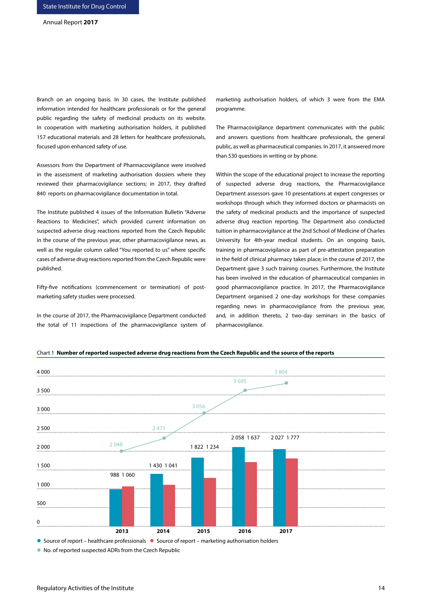Branch on an ongoing basis. In 30 cases, the Institute published information intended for healthcare professionals or for the general public regarding the safety of medicinal products on its website. In cooperation with marketing authorisation holders, it published 157 educational materials and 28 letters for healthcare professionals, focused upon enhanced safety of use.

Assessors from the Department of Pharmacovigilance were involved in the assessment of marketing authorisation dossiers where they reviewed their pharmacovigilance sections; in 2017, they drafted 840 reports on pharmacovigilance documentation in total.

The Institute published 4 issues of the Information Bulletin "Adverse Reactions to Medicines", which provided current information on suspected adverse drug reactions reported from the Czech Republic in the course of the previous year, other pharmacovigilance news, as well as the regular column called "You reported to us" where specific cases of adverse drug reactions reported from the Czech Republic were published.

Fifty-five notifications (commencement or termination) of postmarketing safety studies were processed.

In the course of 2017, the Pharmacovigilance Department conducted the total of 11 inspections of the pharmacovigilance system of marketing authorisation holders, of which 3 were from the EMA programme.

The Pharmacovigilance department communicates with the public and answers questions from healthcare professionals, the general public, as well as pharmaceutical companies. In 2017, it answered more than 530 questions in writing or by phone.

Within the scope of the educational project to increase the reporting of suspected adverse drug reactions, the Pharmacovigilance Department assessors gave 10 presentations at expert congresses or workshops through which they informed doctors or pharmacists on the safety of medicinal products and the importance of suspected adverse drug reaction reporting. The Department also conducted tuition in pharmacovigilance at the 2nd School of Medicine of Charles University for 4th-year medical students. On an ongoing basis, training in pharmacovigilance as part of pre-attestation preparation in the field of clinical pharmacy takes place; in the course of 2017, the Department gave 3 such training courses. Furthermore, the Institute has been involved in the education of pharmaceutical companies in good pharmacovigilance practice. In 2017, the Pharmacovigilance Department organised 2 one-day workshops for these companies regarding news in pharmacovigilance from the previous year, and, in addition thereto, 2 two-day seminars in the basics of pharmacovigilance.





No. of reported suspected ADRs from the Czech Republic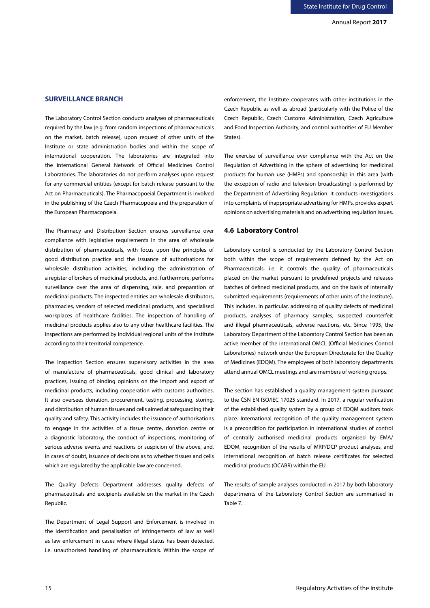# **SURVEILLANCE BRANCH**

The Laboratory Control Section conducts analyses of pharmaceuticals required by the law (e.g. from random inspections of pharmaceuticals on the market, batch release), upon request of other units of the Institute or state administration bodies and within the scope of international cooperation. The laboratories are integrated into the international General Network of Official Medicines Control Laboratories. The laboratories do not perform analyses upon request for any commercial entities (except for batch release pursuant to the Act on Pharmaceuticals). The Pharmacopoeial Department is involved in the publishing of the Czech Pharmacopoeia and the preparation of the European Pharmacopoeia.

The Pharmacy and Distribution Section ensures surveillance over compliance with legislative requirements in the area of wholesale distribution of pharmaceuticals, with focus upon the principles of good distribution practice and the issuance of authorisations for wholesale distribution activities, including the administration of a register of brokers of medicinal products, and, furthermore, performs surveillance over the area of dispensing, sale, and preparation of medicinal products. The inspected entities are wholesale distributors, pharmacies, vendors of selected medicinal products, and specialised workplaces of healthcare facilities. The inspection of handling of medicinal products applies also to any other healthcare facilities. The inspections are performed by individual regional units of the Institute according to their territorial competence.

The Inspection Section ensures supervisory activities in the area of manufacture of pharmaceuticals, good clinical and laboratory practices, issuing of binding opinions on the import and export of medicinal products, including cooperation with customs authorities. It also oversees donation, procurement, testing, processing, storing, and distribution of human tissues and cells aimed at safeguarding their quality and safety. This activity includes the issuance of authorisations to engage in the activities of a tissue centre, donation centre or a diagnostic laboratory, the conduct of inspections, monitoring of serious adverse events and reactions or suspicion of the above, and, in cases of doubt, issuance of decisions as to whether tissues and cells which are regulated by the applicable law are concerned.

The Quality Defects Department addresses quality defects of pharmaceuticals and excipients available on the market in the Czech Republic.

The Department of Legal Support and Enforcement is involved in the identification and penalisation of infringements of law as well as law enforcement in cases where illegal status has been detected, i.e. unauthorised handling of pharmaceuticals. Within the scope of

enforcement, the Institute cooperates with other institutions in the Czech Republic as well as abroad (particularly with the Police of the Czech Republic, Czech Customs Administration, Czech Agriculture and Food Inspection Authority, and control authorities of EU Member States).

The exercise of surveillance over compliance with the Act on the Regulation of Advertising in the sphere of advertising for medicinal products for human use (HMPs) and sponsorship in this area (with the exception of radio and television broadcasting) is performed by the Department of Advertising Regulation. It conducts investigations into complaints of inappropriate advertising for HMPs, provides expert opinions on advertising materials and on advertising regulation issues.

# **4.6 Laboratory Control**

Laboratory control is conducted by the Laboratory Control Section both within the scope of requirements defined by the Act on Pharmaceuticals, i.e. it controls the quality of pharmaceuticals placed on the market pursuant to predefined projects and releases batches of defined medicinal products, and on the basis of internally submitted requirements (requirements of other units of the Institute). This includes, in particular, addressing of quality defects of medicinal products, analyses of pharmacy samples, suspected counterfeit and illegal pharmaceuticals, adverse reactions, etc. Since 1995, the Laboratory Department of the Laboratory Control Section has been an active member of the international OMCL (Official Medicines Control Laboratories) network under the European Directorate for the Quality of Medicines (EDQM). The employees of both laboratory departments attend annual OMCL meetings and are members of working groups.

The section has established a quality management system pursuant to the ČSN EN ISO/IEC 17025 standard. In 2017, a regular verification of the established quality system by a group of EDQM auditors took place. International recognition of the quality management system is a precondition for participation in international studies of control of centrally authorised medicinal products organised by EMA/ EDQM, recognition of the results of MRP/DCP product analyses, and international recognition of batch release certificates for selected medicinal products (OCABR) within the EU.

The results of sample analyses conducted in 2017 by both laboratory departments of the Laboratory Control Section are summarised in Table 7.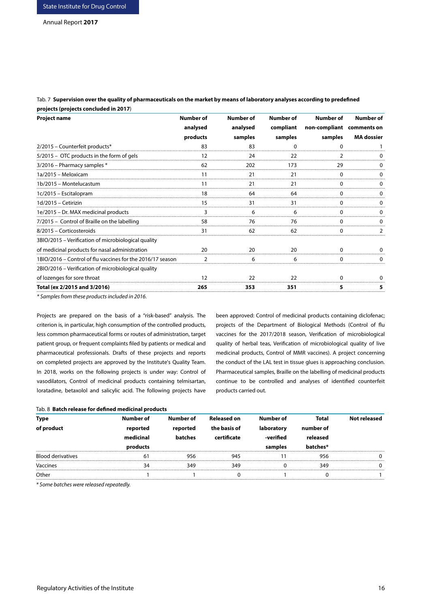Tab. 7 **Supervision over the quality of pharmaceuticals on the market by means of laboratory analyses according to predefined projects (projects concluded in 2017**)

| <b>Project name</b>                                        | Number of | Number of | <b>Number of</b> | Number of                 | <b>Number of</b>  |
|------------------------------------------------------------|-----------|-----------|------------------|---------------------------|-------------------|
|                                                            | analysed  | analysed  | compliant        | non-compliant comments on |                   |
|                                                            | products  | samples   | samples          | samples                   | <b>MA</b> dossier |
| 2/2015 - Counterfeit products*                             | 83        | 83        |                  |                           |                   |
| 5/2015 - OTC products in the form of gels                  | 12        | 24        | 22               |                           |                   |
| 3/2016 - Pharmacy samples *                                | 62        | 202       | 173              |                           |                   |
| 1a/2015 - Meloxicam                                        |           | 21        | 21               |                           |                   |
| 1b/2015 - Montelucastum                                    |           | 21        | 21               |                           |                   |
| 1c/2015 – Escitalopram                                     | 18        | 64        | 64               |                           |                   |
| 1d/2015 - Cetirizin                                        | 15        | 31        | 31               |                           |                   |
| 1e/2015 - Dr. MAX medicinal products                       |           |           |                  |                           |                   |
| 7/2015 - Control of Braille on the labelling               | 58        | 76        | 76               |                           |                   |
| 8/2015 - Corticosteroids                                   | 31        | 62        | 62               |                           |                   |
| 3BIO/2015 – Verification of microbiological quality        |           |           |                  |                           |                   |
| of medicinal products for nasal administration             | 20        |           |                  |                           |                   |
| 1BIO/2016 - Control of flu vaccines for the 2016/17 season |           |           |                  |                           |                   |
| 2BIO/2016 – Verification of microbiological quality        |           |           |                  |                           |                   |
| of lozenges for sore throat                                | 12        | 22        | 22               |                           |                   |
| Total (ex 2/2015 and 3/2016)                               | 265       | 353       | 351              | 5                         |                   |

*\* Samples from these products included in 2016.*

Tab. 8 **Batch release for defined medicinal products** 

Projects are prepared on the basis of a "risk-based" analysis. The criterion is, in particular, high consumption of the controlled products, less common pharmaceutical forms or routes of administration, target patient group, or frequent complaints filed by patients or medical and pharmaceutical professionals. Drafts of these projects and reports on completed projects are approved by the Institute's Quality Team. In 2018, works on the following projects is under way: Control of vasodilators, Control of medicinal products containing telmisartan, loratadine, betaxolol and salicylic acid. The following projects have

been approved: Control of medicinal products containing diclofenac; projects of the Department of Biological Methods (Control of flu vaccines for the 2017/2018 season, Verification of microbiological quality of herbal teas, Verification of microbiological quality of live medicinal products, Control of MMR vaccines). A project concerning the conduct of the LAL test in tissue glues is approaching conclusion. Pharmaceutical samples, Braille on the labelling of medicinal products continue to be controlled and analyses of identified counterfeit products carried out.

| <b>Type</b>              | Number of | Number of | <b>Released on</b> | Number of  | Total     | Not released |
|--------------------------|-----------|-----------|--------------------|------------|-----------|--------------|
| of product               | reported  | reported  | the basis of       | laboratory | number of |              |
|                          | medicinal | batches   | certificate        | -verified  | released  |              |
|                          | products  |           |                    | samples    | itches*   |              |
| <b>Blood derivatives</b> |           | 956       | 94۰                |            | 956       |              |
| Vaccines                 |           | ₹⊿с       | 349                |            | 349       |              |
| Other                    |           |           |                    |            |           |              |
|                          |           |           |                    |            |           |              |

*\* Some batches were released repeatedly.*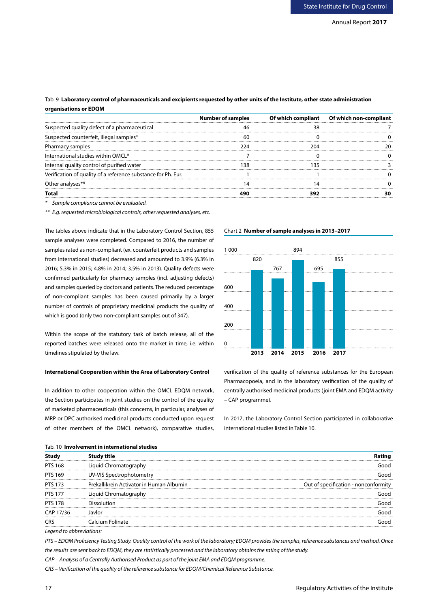# Tab. 9 **Laboratory control of pharmaceuticals and excipients requested by other units of the Institute, other state administration organisations or EDQM**

|                                                               | <b>Number of samples</b> | Of which compliant   Of which non-compliant |
|---------------------------------------------------------------|--------------------------|---------------------------------------------|
| Suspected quality defect of a pharmaceutical                  |                          |                                             |
| Suspected counterfeit, illegal samples*                       |                          |                                             |
| Pharmacy samples                                              |                          |                                             |
| International studies within OMCL*                            |                          |                                             |
| Internal quality control of purified water                    |                          |                                             |
| Verification of quality of a reference substance for Ph. Eur. |                          |                                             |
| Other analyses**                                              |                          |                                             |
|                                                               |                          |                                             |

*\* Sample compliance cannot be evaluated.*

*\*\* E.g. requested microbiological controls, other requested analyses, etc.*

The tables above indicate that in the Laboratory Control Section, 855 sample analyses were completed. Compared to 2016, the number of samples rated as non-compliant (ex. counterfeit products and samples from international studies) decreased and amounted to 3.9% (6.3% in 2016; 5.3% in 2015; 4.8% in 2014; 3.5% in 2013). Quality defects were confirmed particularly for pharmacy samples (incl. adjusting defects) and samples queried by doctors and patients. The reduced percentage of non-compliant samples has been caused primarily by a larger number of controls of proprietary medicinal products the quality of which is good (only two non-compliant samples out of 347).

Within the scope of the statutory task of batch release, all of the reported batches were released onto the market in time, i.e. within timelines stipulated by the law.

### **International Cooperation within the Area of Laboratory Control**

In addition to other cooperation within the OMCL EDQM network, the Section participates in joint studies on the control of the quality of marketed pharmaceuticals (this concerns, in particular, analyses of MRP or DPC authorised medicinal products conducted upon request of other members of the OMCL network), comparative studies,

### Chart 2 **Number of sample analyses in 2013–2017**



verification of the quality of reference substances for the European Pharmacopoeia, and in the laboratory verification of the quality of centrally authorised medicinal products (joint EMA and EDQM activity – CAP programme).

In 2017, the Laboratory Control Section participated in collaborative international studies listed in Table 10.

| Tab. 10 <b>Involvement in international studies</b> |
|-----------------------------------------------------|
|                                                     |

| Stud                                                                                                                                                                                                                                                                                                                                                | Study title                              | Ratıng                               |
|-----------------------------------------------------------------------------------------------------------------------------------------------------------------------------------------------------------------------------------------------------------------------------------------------------------------------------------------------------|------------------------------------------|--------------------------------------|
| <b>PTS 168</b>                                                                                                                                                                                                                                                                                                                                      | Liquid Chromatography                    | bood                                 |
| PTS 169                                                                                                                                                                                                                                                                                                                                             | UV-VIS Spectrophotometry                 | Good                                 |
| PTS 173                                                                                                                                                                                                                                                                                                                                             | Prekallikrein Activator in Human Albumin | Out of specification - nonconformity |
| <b>PTS 177</b>                                                                                                                                                                                                                                                                                                                                      | Liquid Chromatography                    | hoof                                 |
| <b>PTS 178</b>                                                                                                                                                                                                                                                                                                                                      | Dissolution                              | hoof                                 |
| CAP 17/36                                                                                                                                                                                                                                                                                                                                           | Javlor                                   | hoof                                 |
| CRS                                                                                                                                                                                                                                                                                                                                                 | Calcium Folinate                         | innd                                 |
| $\overline{a}$ , $\overline{a}$ , $\overline{a}$ , $\overline{a}$ , $\overline{a}$ , $\overline{a}$ , $\overline{a}$ , $\overline{a}$ , $\overline{a}$ , $\overline{a}$ , $\overline{a}$ , $\overline{a}$ , $\overline{a}$ , $\overline{a}$ , $\overline{a}$ , $\overline{a}$ , $\overline{a}$ , $\overline{a}$ , $\overline{a}$ , $\overline{a}$ , |                                          |                                      |

*Legend to abbreviations:*

*PTS – EDQM Proficiency Testing Study. Quality control of the work of the laboratory; EDQM provides the samples, reference substances and method. Once the results are sent back to EDQM, they are statistically processed and the laboratory obtains the rating of the study.*

*CAP – Analysis of a Centrally Authorised Product as part of the joint EMA and EDQM programme.*

*CRS – Verification of the quality of the reference substance for EDQM/Chemical Reference Substance.*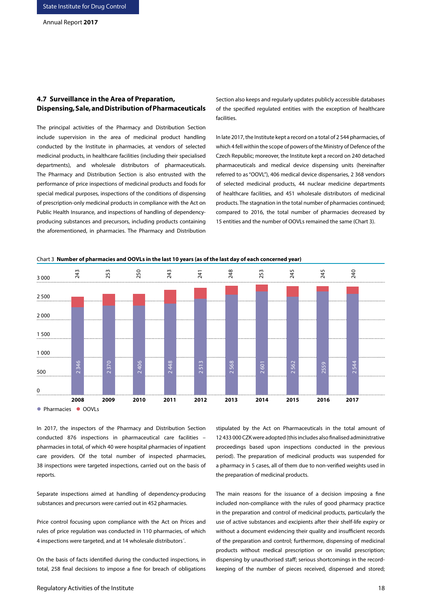# **4.7 Surveillance in the Area of Preparation, Dispensing, Sale, and Distribution of Pharmaceuticals**

The principal activities of the Pharmacy and Distribution Section include supervision in the area of medicinal product handling conducted by the Institute in pharmacies, at vendors of selected medicinal products, in healthcare facilities (including their specialised departments), and wholesale distributors of pharmaceuticals. The Pharmacy and Distribution Section is also entrusted with the performance of price inspections of medicinal products and foods for special medical purposes, inspections of the conditions of dispensing of prescription-only medicinal products in compliance with the Act on Public Health Insurance, and inspections of handling of dependencyproducing substances and precursors, including products containing the aforementioned, in pharmacies. The Pharmacy and Distribution Section also keeps and regularly updates publicly accessible databases of the specified regulated entities with the exception of healthcare facilities.

In late 2017, the Institute kept a record on a total of 2 544 pharmacies, of which 4 fell within the scope of powers of the Ministry of Defence of the Czech Republic; moreover, the Institute kept a record on 240 detached pharmaceuticals and medical device dispensing units (hereinafter referred to as "OOVL"), 406 medical device dispensaries, 2 368 vendors of selected medicinal products, 44 nuclear medicine departments of healthcare facilities, and 451 wholesale distributors of medicinal products. The stagnation in the total number of pharmacies continued; compared to 2016, the total number of pharmacies decreased by 15 entities and the number of OOVLs remained the same (Chart 3).



Chart 3 **Number of pharmacies and OOVLs in the last 10 years (as of the last day of each concerned year)**

In 2017, the inspectors of the Pharmacy and Distribution Section conducted 876 inspections in pharmaceutical care facilities – pharmacies in total, of which 40 were hospital pharmacies of inpatient care providers. Of the total number of inspected pharmacies, 38 inspections were targeted inspections, carried out on the basis of reports.

Separate inspections aimed at handling of dependency-producing substances and precursors were carried out in 452 pharmacies.

Price control focusing upon compliance with the Act on Prices and rules of price regulation was conducted in 110 pharmacies, of which 4 inspections were targeted, and at 14 wholesale distributors´.

On the basis of facts identified during the conducted inspections, in total, 258 final decisions to impose a fine for breach of obligations stipulated by the Act on Pharmaceuticals in the total amount of 12 433 000 CZK were adopted (this includes also finalised administrative proceedings based upon inspections conducted in the previous period). The preparation of medicinal products was suspended for a pharmacy in 5 cases, all of them due to non-verified weights used in the preparation of medicinal products.

The main reasons for the issuance of a decision imposing a fine included non-compliance with the rules of good pharmacy practice in the preparation and control of medicinal products, particularly the use of active substances and excipients after their shelf-life expiry or without a document evidencing their quality and insufficient records of the preparation and control; furthermore, dispensing of medicinal products without medical prescription or on invalid prescription; dispensing by unauthorised staff; serious shortcomings in the recordkeeping of the number of pieces received, dispensed and stored;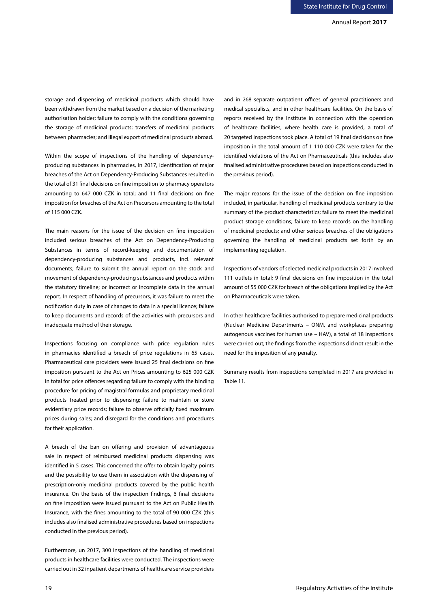storage and dispensing of medicinal products which should have been withdrawn from the market based on a decision of the marketing authorisation holder; failure to comply with the conditions governing the storage of medicinal products; transfers of medicinal products between pharmacies; and illegal export of medicinal products abroad.

Within the scope of inspections of the handling of dependencyproducing substances in pharmacies, in 2017, identification of major breaches of the Act on Dependency-Producing Substances resulted in the total of 31 final decisions on fine imposition to pharmacy operators amounting to 647 000 CZK in total; and 11 final decisions on fine imposition for breaches of the Act on Precursors amounting to the total of 115 000 CZK.

The main reasons for the issue of the decision on fine imposition included serious breaches of the Act on Dependency-Producing Substances in terms of record-keeping and documentation of dependency-producing substances and products, incl. relevant documents; failure to submit the annual report on the stock and movement of dependency-producing substances and products within the statutory timeline; or incorrect or incomplete data in the annual report. In respect of handling of precursors, it was failure to meet the notification duty in case of changes to data in a special licence; failure to keep documents and records of the activities with precursors and inadequate method of their storage.

Inspections focusing on compliance with price regulation rules in pharmacies identified a breach of price regulations in 65 cases. Pharmaceutical care providers were issued 25 final decisions on fine imposition pursuant to the Act on Prices amounting to 625 000 CZK in total for price offences regarding failure to comply with the binding procedure for pricing of magistral formulas and proprietary medicinal products treated prior to dispensing; failure to maintain or store evidentiary price records; failure to observe officially fixed maximum prices during sales; and disregard for the conditions and procedures for their application.

A breach of the ban on offering and provision of advantageous sale in respect of reimbursed medicinal products dispensing was identified in 5 cases. This concerned the offer to obtain loyalty points and the possibility to use them in association with the dispensing of prescription-only medicinal products covered by the public health insurance. On the basis of the inspection findings, 6 final decisions on fine imposition were issued pursuant to the Act on Public Health Insurance, with the fines amounting to the total of 90 000 CZK (this includes also finalised administrative procedures based on inspections conducted in the previous period).

Furthermore, un 2017, 300 inspections of the handling of medicinal products in healthcare facilities were conducted. The inspections were carried out in 32 inpatient departments of healthcare service providers

and in 268 separate outpatient offices of general practitioners and medical specialists, and in other healthcare facilities. On the basis of reports received by the Institute in connection with the operation of healthcare facilities, where health care is provided, a total of 20 targeted inspections took place. A total of 19 final decisions on fine imposition in the total amount of 1 110 000 CZK were taken for the identified violations of the Act on Pharmaceuticals (this includes also finalised administrative procedures based on inspections conducted in the previous period).

The major reasons for the issue of the decision on fine imposition included, in particular, handling of medicinal products contrary to the summary of the product characteristics; failure to meet the medicinal product storage conditions; failure to keep records on the handling of medicinal products; and other serious breaches of the obligations governing the handling of medicinal products set forth by an implementing regulation.

Inspections of vendors of selected medicinal products in 2017 involved 111 outlets in total; 9 final decisions on fine imposition in the total amount of 55 000 CZK for breach of the obligations implied by the Act on Pharmaceuticals were taken.

In other healthcare facilities authorised to prepare medicinal products (Nuclear Medicine Departments – ONM, and workplaces preparing autogenous vaccines for human use – HAV), a total of 18 inspections were carried out; the findings from the inspections did not result in the need for the imposition of any penalty.

Summary results from inspections completed in 2017 are provided in Table 11.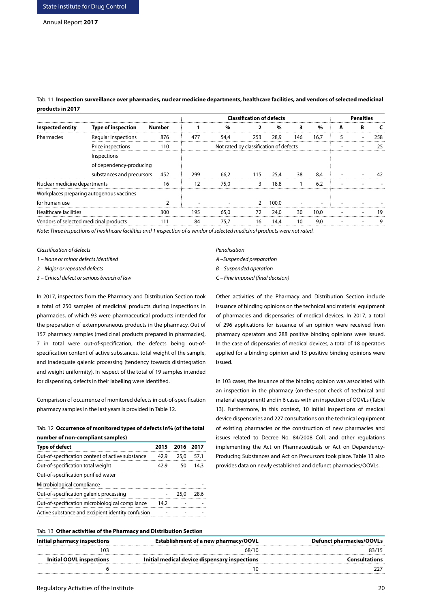Tab. 11 **Inspection surveillance over pharmacies, nuclear medicine departments, healthcare facilities, and vendors of selected medicinal products in 2017**

|                                        | <b>Classification of defects</b>         |        |     |                                        |     |       |     |               |  | <b>Penalties</b> |  |  |
|----------------------------------------|------------------------------------------|--------|-----|----------------------------------------|-----|-------|-----|---------------|--|------------------|--|--|
| Inspected entity                       | Type of inspection                       | Number |     |                                        |     |       |     | $\frac{1}{2}$ |  |                  |  |  |
| Pharmacies                             | Regular inspections                      | 876    | 477 |                                        | 253 | 28.9  | 146 | 16.7          |  |                  |  |  |
|                                        | Price inspections                        | 110    |     | Not rated by classification of defects |     |       |     |               |  |                  |  |  |
|                                        | Inspections                              |        |     |                                        |     |       |     |               |  |                  |  |  |
|                                        | of dependency-producing                  |        |     |                                        |     |       |     |               |  |                  |  |  |
|                                        | substances and precursors                | 452    | 299 | 66.2                                   | 115 | 25.4  | 38  | 8.4           |  |                  |  |  |
| Nuclear medicine departments           |                                          | 16     | 12  | 75.0                                   |     | 18.8  |     | 6.2           |  |                  |  |  |
|                                        | Workplaces preparing autogenous vaccines |        |     |                                        |     |       |     |               |  |                  |  |  |
| for human use                          |                                          |        |     |                                        |     | 100.0 |     |               |  |                  |  |  |
| <b>Healthcare facilities</b>           |                                          | 300    | 195 | 65.0                                   | 72  | 24.0  | 30  | 10.0          |  |                  |  |  |
| Vendors of selected medicinal products |                                          |        | 84  | 75.7                                   | 16  | 14.4  | 10  | 9.0           |  |                  |  |  |
|                                        |                                          |        |     |                                        |     |       |     |               |  |                  |  |  |

*Note: Three inspections of healthcare facilities and 1 inspection of a vendor of selected medicinal products were not rated.*

*Classification of defects Penalisation*

*1 – None or minor defects identified A –Suspended preparation*

*2 – Major or repeated defects B – Suspended operation*

*3 – Critical defect or serious breach of law C – Fine imposed (final decision)*

In 2017, inspectors from the Pharmacy and Distribution Section took a total of 250 samples of medicinal products during inspections in pharmacies, of which 93 were pharmaceutical products intended for the preparation of extemporaneous products in the pharmacy. Out of 157 pharmacy samples (medicinal products prepared in pharmacies), 7 in total were out-of-specification, the defects being out-ofspecification content of active substances, total weight of the sample, and inadequate galenic processing (tendency towards disintegration and weight uniformity). In respect of the total of 19 samples intended for dispensing, defects in their labelling were identified.

Comparison of occurrence of monitored defects in out-of-specification pharmacy samples in the last years is provided in Table 12.

#### Tab. 12 **Occurrence of monitored types of defects in% (of the total number of non-compliant samples)**

| <b>Type of defect</b>                             | 2015 | 2016 | 2017 |
|---------------------------------------------------|------|------|------|
| Out-of-specification content of active substance  | 42.9 | 25.0 | 57,1 |
| Out-of-specification total weight                 | 42.9 | 50   | 14.3 |
| Out-of-specification purified water               |      |      |      |
| Microbiological compliance                        |      |      |      |
| Out-of-specification galenic processing           |      | 25.0 | 28.6 |
| Out-of-specification microbiological compliance   | 14,2 |      |      |
| Active substance and excipient identity confusion |      |      |      |
|                                                   |      |      |      |

- 
- 

Other activities of the Pharmacy and Distribution Section include issuance of binding opinions on the technical and material equipment of pharmacies and dispensaries of medical devices. In 2017, a total of 296 applications for issuance of an opinion were received from pharmacy operators and 288 positive binding opinions were issued. In the case of dispensaries of medical devices, a total of 18 operators applied for a binding opinion and 15 positive binding opinions were issued.

In 103 cases, the issuance of the binding opinion was associated with an inspection in the pharmacy (on-the-spot check of technical and material equipment) and in 6 cases with an inspection of OOVLs (Table 13). Furthermore, in this context, 10 initial inspections of medical device dispensaries and 227 consultations on the technical equipment of existing pharmacies or the construction of new pharmacies and issues related to Decree No. 84/2008 Coll. and other regulations implementing the Act on Pharmaceuticals or Act on Dependency-Producing Substances and Act on Precursors took place. Table 13 also provides data on newly established and defunct pharmacies/OOVLs.

#### Tab. 13 **Other activities of the Pharmacy and Distribution Section**

| Establishment of a new pharmacy/OOVL          | Defunct pharmacies/OOVLs |
|-----------------------------------------------|--------------------------|
| 68/10                                         |                          |
| Initial medical device dispensary inspections | Consultations            |
|                                               |                          |
|                                               |                          |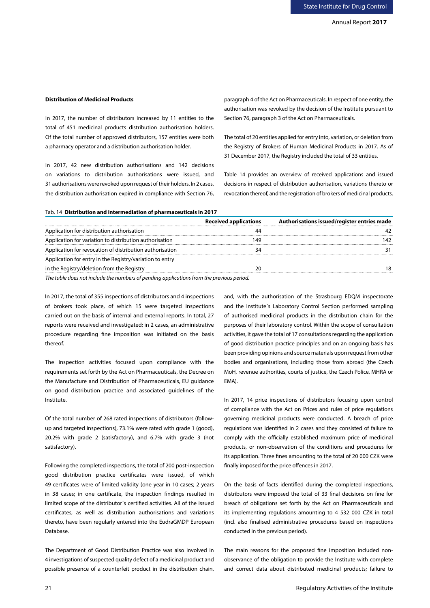# **Distribution of Medicinal Products**

In 2017, the number of distributors increased by 11 entities to the total of 451 medicinal products distribution authorisation holders. Of the total number of approved distributors, 157 entities were both a pharmacy operator and a distribution authorisation holder.

In 2017, 42 new distribution authorisations and 142 decisions on variations to distribution authorisations were issued, and 31 authorisations were revoked upon request of their holders. In 2 cases, the distribution authorisation expired in compliance with Section 76, paragraph 4 of the Act on Pharmaceuticals. In respect of one entity, the authorisation was revoked by the decision of the Institute pursuant to Section 76, paragraph 3 of the Act on Pharmaceuticals.

The total of 20 entities applied for entry into, variation, or deletion from the Registry of Brokers of Human Medicinal Products in 2017. As of 31 December 2017, the Registry included the total of 33 entities.

Table 14 provides an overview of received applications and issued decisions in respect of distribution authorisation, variations thereto or revocation thereof, and the registration of brokers of medicinal products.

#### Tab. 14 **Distribution and intermediation of pharmaceuticals in 2017**

|                                                          | <b>Received applications</b> | Authorisations issued/register entries made |
|----------------------------------------------------------|------------------------------|---------------------------------------------|
| Application for distribution authorisation               |                              |                                             |
| Application for variation to distribution authorisation  |                              |                                             |
| Application for revocation of distribution authorisation |                              |                                             |
| Application for entry in the Registry/variation to entry |                              |                                             |
| in the Registry/deletion from the Registry               |                              |                                             |
| .                                                        |                              |                                             |

*The table does not include the numbers of pending applications from the previous period.*

In 2017, the total of 355 inspections of distributors and 4 inspections of brokers took place, of which 15 were targeted inspections carried out on the basis of internal and external reports. In total, 27 reports were received and investigated; in 2 cases, an administrative procedure regarding fine imposition was initiated on the basis thereof.

The inspection activities focused upon compliance with the requirements set forth by the Act on Pharmaceuticals, the Decree on the Manufacture and Distribution of Pharmaceuticals, EU guidance on good distribution practice and associated guidelines of the Institute.

Of the total number of 268 rated inspections of distributors (followup and targeted inspections), 73.1% were rated with grade 1 (good), 20.2% with grade 2 (satisfactory), and 6.7% with grade 3 (not satisfactory).

Following the completed inspections, the total of 200 post-inspection good distribution practice certificates were issued, of which 49 certificates were of limited validity (one year in 10 cases; 2 years in 38 cases; in one certificate, the inspection findings resulted in limited scope of the distributor´s certified activities. All of the issued certificates, as well as distribution authorisations and variations thereto, have been regularly entered into the EudraGMDP European Database.

The Department of Good Distribution Practice was also involved in 4 investigations of suspected quality defect of a medicinal product and possible presence of a counterfeit product in the distribution chain,

and, with the authorisation of the Strasbourg EDQM inspectorate and the Institute´s Laboratory Control Section performed sampling of authorised medicinal products in the distribution chain for the purposes of their laboratory control. Within the scope of consultation activities, it gave the total of 17 consultations regarding the application of good distribution practice principles and on an ongoing basis has been providing opinions and source materials upon request from other bodies and organisations, including those from abroad (the Czech MoH, revenue authorities, courts of justice, the Czech Police, MHRA or EMA).

In 2017, 14 price inspections of distributors focusing upon control of compliance with the Act on Prices and rules of price regulations governing medicinal products were conducted. A breach of price regulations was identified in 2 cases and they consisted of failure to comply with the officially established maximum price of medicinal products, or non-observation of the conditions and procedures for its application. Three fines amounting to the total of 20 000 CZK were finally imposed for the price offences in 2017.

On the basis of facts identified during the completed inspections, distributors were imposed the total of 33 final decisions on fine for breach of obligations set forth by the Act on Pharmaceuticals and its implementing regulations amounting to 4 532 000 CZK in total (incl. also finalised administrative procedures based on inspections conducted in the previous period).

The main reasons for the proposed fine imposition included nonobservance of the obligation to provide the Institute with complete and correct data about distributed medicinal products; failure to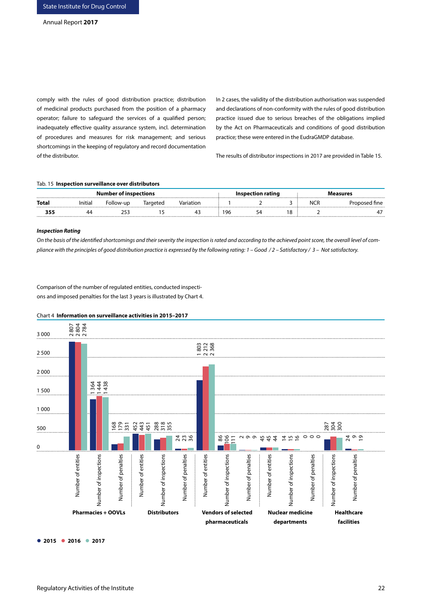comply with the rules of good distribution practice; distribution of medicinal products purchased from the position of a pharmacy operator; failure to safeguard the services of a qualified person; inadequately effective quality assurance system, incl. determination of procedures and measures for risk management; and serious shortcomings in the keeping of regulatory and record documentation of the distributor.

In 2 cases, the validity of the distribution authorisation was suspended and declarations of non-conformity with the rules of good distribution practice issued due to serious breaches of the obligations implied by the Act on Pharmaceuticals and conditions of good distribution practice; these were entered in the EudraGMDP database.

The results of distributor inspections in 2017 are provided in Table 15.

#### Tab. 15 **Inspection surveillance over distributors**

| <b>Number of inspections</b> |  |           |          |    |    | Inspection rating |    | Measures       |
|------------------------------|--|-----------|----------|----|----|-------------------|----|----------------|
| Total                        |  | Follow-up | Targetec |    |    |                   | NO | Pronosed fine. |
|                              |  |           |          | 4: | ۹F |                   |    |                |

#### *Inspection Rating*

*On the basis of the identified shortcomings and their severity the inspection is rated and according to the achieved point score, the overall level of compliance with the principles of good distribution practice is expressed by the following rating: 1 – Good / 2 – Satisfactory / 3 – Not satisfactory.*

Comparison of the number of regulated entities, conducted inspections and imposed penalties for the last 3 years is illustrated by Chart 4.



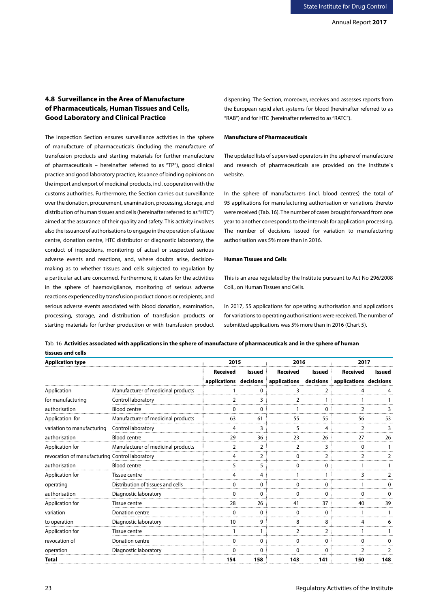# **4.8 Surveillance in the Area of Manufacture of Pharmaceuticals, Human Tissues and Cells, Good Laboratory and Clinical Practice**

The Inspection Section ensures surveillance activities in the sphere of manufacture of pharmaceuticals (including the manufacture of transfusion products and starting materials for further manufacture of pharmaceuticals – hereinafter referred to as "TP"), good clinical practice and good laboratory practice, issuance of binding opinions on the import and export of medicinal products, incl. cooperation with the customs authorities. Furthermore, the Section carries out surveillance over the donation, procurement, examination, processing, storage, and distribution of human tissues and cells (hereinafter referred to as "HTC") aimed at the assurance of their quality and safety. This activity involves also the issuance of authorisations to engage in the operation of a tissue centre, donation centre, HTC distributor or diagnostic laboratory, the conduct of inspections, monitoring of actual or suspected serious adverse events and reactions, and, where doubts arise, decisionmaking as to whether tissues and cells subjected to regulation by a particular act are concerned. Furthermore, it caters for the activities in the sphere of haemovigilance, monitoring of serious adverse reactions experienced by transfusion product donors or recipients, and serious adverse events associated with blood donation, examination, processing, storage, and distribution of transfusion products or starting materials for further production or with transfusion product dispensing. The Section, moreover, receives and assesses reports from the European rapid alert systems for blood (hereinafter referred to as "RAB") and for HTC (hereinafter referred to as "RATC").

#### **Manufacture of Pharmaceuticals**

The updated lists of supervised operators in the sphere of manufacture and research of pharmaceuticals are provided on the Institute´s website.

In the sphere of manufacturers (incl. blood centres) the total of 95 applications for manufacturing authorisation or variations thereto were received (Tab. 16). The number of cases brought forward from one year to another corresponds to the intervals for application processing. The number of decisions issued for variation to manufacturing authorisation was 5% more than in 2016.

#### **Human Tissues and Cells**

This is an area regulated by the Institute pursuant to Act No 296/2008 Coll., on Human Tissues and Cells.

In 2017, 55 applications for operating authorisation and applications for variations to operating authorisations were received. The number of submitted applications was 5% more than in 2016 (Chart 5).

| <b>Application type</b>                        |                                    | 2015            |                | 2016                                                                 |                | 2017            |        |  |
|------------------------------------------------|------------------------------------|-----------------|----------------|----------------------------------------------------------------------|----------------|-----------------|--------|--|
|                                                |                                    | <b>Received</b> | Issued         | Received                                                             | Issued         | <b>Received</b> | Issued |  |
|                                                |                                    |                 |                | applications decisions applications decisions applications decisions |                |                 |        |  |
| Application                                    | Manufacturer of medicinal products |                 | O              |                                                                      | 2              |                 |        |  |
| for manufacturing                              | Control laboratory                 |                 | 3              |                                                                      |                |                 |        |  |
| authorisation                                  | <b>Blood centre</b>                |                 | 0              |                                                                      | 0              |                 |        |  |
| Application for                                | Manufacturer of medicinal products | 63              | 61             | 55                                                                   | 55             | 56              | 53     |  |
| variation to manufacturing                     | Control laboratory                 | 4               | 3              | 5                                                                    | 4              | 2               |        |  |
| authorisation                                  | <b>Blood centre</b>                | 29              | 36             | 23                                                                   | 26             | 27              | 26     |  |
| Application for                                | Manufacturer of medicinal products |                 | $\overline{2}$ |                                                                      | 3              | U               |        |  |
| revocation of manufacturing Control laboratory |                                    | 4               | $\overline{2}$ | $\Omega$                                                             | $\overline{2}$ | $\mathcal{P}$   |        |  |
| authorisation                                  | <b>Blood centre</b>                | 5               | 5              | 0                                                                    | 0              |                 |        |  |
| Application for                                | Tissue centre                      |                 | 4              |                                                                      |                |                 |        |  |
| operating                                      | Distribution of tissues and cells  |                 | O              | ∩                                                                    | O              |                 |        |  |
| authorisation                                  | Diagnostic laboratory              | 0               | 0              | 0                                                                    | 0              | 0               |        |  |
| Application for                                | Tissue centre                      | 28              | 26             | 41                                                                   | 37             | 40              | 39     |  |
| variation                                      | Donation centre                    | n               | O              | ∩                                                                    | $\Omega$       |                 |        |  |
| to operation                                   | Diagnostic laboratory              | 10              | 9              | 8                                                                    | 8              |                 |        |  |
| Application for                                | Tissue centre                      |                 |                | 2                                                                    | $\overline{2}$ |                 |        |  |
| revocation of                                  | Donation centre                    |                 |                |                                                                      |                |                 |        |  |
| operation                                      | Diagnostic laboratory              | ŋ               | $\Omega$       | <sup>0</sup>                                                         | <sup>0</sup>   | っ               |        |  |
| <b>Total</b>                                   |                                    | 154             | 158            | 143                                                                  | 141            | 150             | 148    |  |

Tab. 16 **Activities associated with applications in the sphere of manufacture of pharmaceuticals and in the sphere of human tissues and cells**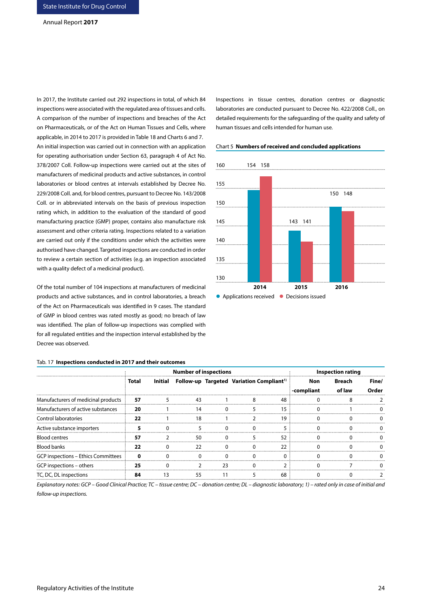In 2017, the Institute carried out 292 inspections in total, of which 84 inspections were associated with the regulated area of tissues and cells. A comparison of the number of inspections and breaches of the Act on Pharmaceuticals, or of the Act on Human Tissues and Cells, where applicable, in 2014 to 2017 is provided in Table 18 and Charts 6 and 7. An initial inspection was carried out in connection with an application for operating authorisation under Section 63, paragraph 4 of Act No. 378/2007 Coll. Follow-up inspections were carried out at the sites of manufacturers of medicinal products and active substances, in control laboratories or blood centres at intervals established by Decree No. 229/2008 Coll. and, for blood centres, pursuant to Decree No. 143/2008 Coll. or in abbreviated intervals on the basis of previous inspection rating which, in addition to the evaluation of the standard of good manufacturing practice (GMP) proper, contains also manufacture risk assessment and other criteria rating. Inspections related to a variation are carried out only if the conditions under which the activities were authorised have changed. Targeted inspections are conducted in order to review a certain section of activities (e.g. an inspection associated with a quality defect of a medicinal product).

Of the total number of 104 inspections at manufacturers of medicinal products and active substances, and in control laboratories, a breach of the Act on Pharmaceuticals was identified in 9 cases. The standard of GMP in blood centres was rated mostly as good; no breach of law was identified. The plan of follow-up inspections was complied with for all regulated entities and the inspection interval established by the Decree was observed.

#### Tab. 17 **Inspections conducted in 2017 and their outcomes**

Inspections in tissue centres, donation centres or diagnostic laboratories are conducted pursuant to Decree No. 422/2008 Coll., on detailed requirements for the safeguarding of the quality and safety of human tissues and cells intended for human use.





| lab. 17 <b>Inspections conducted in 2017 and their outcomes</b> |       |                              |                                                              |    |            |        |       |
|-----------------------------------------------------------------|-------|------------------------------|--------------------------------------------------------------|----|------------|--------|-------|
|                                                                 |       | <b>Number of inspections</b> | <b>Inspection rating</b>                                     |    |            |        |       |
|                                                                 | Total |                              | Initial Follow-up Targeted Variation Compliant <sup>1)</sup> |    | Non        | Breach | Fine/ |
|                                                                 |       |                              |                                                              |    | -compliant | of law | Order |
| Manufacturers of medicinal products                             | 57    |                              |                                                              | 48 |            |        |       |
| Manufacturers of active substances                              | 20    |                              |                                                              | 15 |            |        |       |
| Control laboratories                                            | 22    | 18                           |                                                              | 19 |            |        |       |
| Active substance importers                                      |       |                              |                                                              |    |            |        |       |
| <b>Blood centres</b>                                            | 57    | 50                           |                                                              | 52 |            |        |       |
| <b>Blood banks</b>                                              | 22    | つつ                           |                                                              | 22 |            |        |       |
| <b>GCP inspections - Ethics Committees</b>                      |       |                              |                                                              |    |            |        |       |
| GCP inspections – others                                        | 25    |                              |                                                              |    |            |        |       |
| TC, DC, DL inspections                                          | 84    |                              |                                                              | 68 |            |        |       |

*Explanatory notes: GCP – Good Clinical Practice; TC – tissue centre; DC – donation centre; DL – diagnostic laboratory; 1) – rated only in case of initial and follow-up inspections.*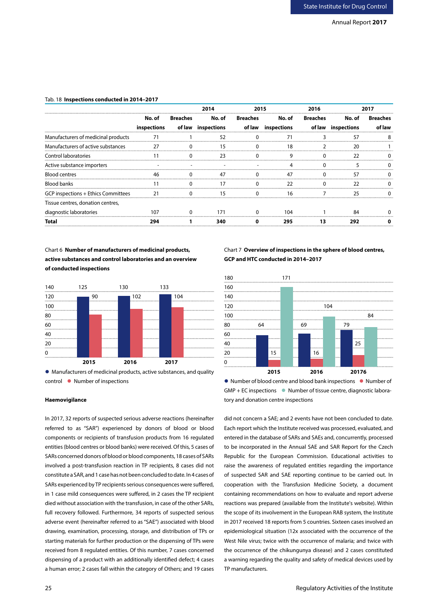# Tab. 18 **Inspections conducted in 2014–2017**

|                                     |                             |                | 2014               | 2015     |                    | 2016     |                    |          |
|-------------------------------------|-----------------------------|----------------|--------------------|----------|--------------------|----------|--------------------|----------|
|                                     | No. of                      | Breaches       | No. of Breaches    |          | No. of             | Breaches | No. of             | Breaches |
|                                     | inspections                 |                | of law inspections |          | of law inspections |          | of law inspections |          |
| Manufacturers of medicinal products | 71                          |                | 52                 |          |                    |          | 57                 |          |
| Manufacturers of active substances  | 27                          | $\Omega$       | 15                 | $\Omega$ | 18                 |          | 20                 |          |
| Control laboratories                |                             |                | -23                | $\Omega$ | 9                  |          | 22                 |          |
| Active substance importers          |                             |                |                    |          |                    |          |                    |          |
| <b>Blood centres</b>                |                             |                |                    |          |                    |          | 57                 |          |
| Blood banks                         |                             |                | 17                 |          | 22                 |          | 22                 |          |
| GCP inspections + Ethics Committees | $\overline{\phantom{0}}$ 21 | $\overline{0}$ | 15                 | $\Omega$ | 16                 |          | 25                 |          |
| Tissue centres, donation centres,   |                             |                |                    |          |                    |          |                    |          |
| diagnostic laboratories             |                             |                |                    |          | 104                |          |                    |          |
| Total                               | 294                         |                | 340                |          | 295                | 13       | 292                |          |

Chart 6 **Number of manufacturers of medicinal products, active substances and control laboratories and an overview of conducted inspections** 



 Manufacturers of medicinal products, active substances, and quality control • Number of inspections

In 2017, 32 reports of suspected serious adverse reactions (hereinafter referred to as "SAR") experienced by donors of blood or blood components or recipients of transfusion products from 16 regulated entities (blood centres or blood banks) were received. Of this, 5 cases of SARs concerned donors of blood or blood components, 18 cases of SARs involved a post-transfusion reaction in TP recipients, 8 cases did not constitute a SAR, and 1 case has not been concluded to date. In 4 cases of SARs experienced by TP recipients serious consequences were suffered, in 1 case mild consequences were suffered, in 2 cases the TP recipient died without association with the transfusion, in case of the other SARs, full recovery followed. Furthermore, 34 reports of suspected serious adverse event (hereinafter referred to as "SAE") associated with blood drawing, examination, processing, storage, and distribution of TPs or starting materials for further production or the dispensing of TPs were received from 8 regulated entities. Of this number, 7 cases concerned dispensing of a product with an additionally identified defect; 4 cases a human error; 2 cases fall within the category of Others; and 19 cases

# Chart 7 **Overview of inspections in the sphere of blood centres, GCP and HTC conducted in 2014–2017**



● Number of blood centre and blood bank inspections ● Number of  $GMP + EC$  inspections  $\bullet$  Number of tissue centre, diagnostic labora-**Haemovigilance** tory and donation centre inspections

> did not concern a SAE; and 2 events have not been concluded to date. Each report which the Institute received was processed, evaluated, and entered in the database of SARs and SAEs and, concurrently, processed to be incorporated in the Annual SAE and SAR Report for the Czech Republic for the European Commission. Educational activities to raise the awareness of regulated entities regarding the importance of suspected SAR and SAE reporting continue to be carried out. In cooperation with the Transfusion Medicine Society, a document containing recommendations on how to evaluate and report adverse reactions was prepared (available from the Institute's website). Within the scope of its involvement in the European RAB system, the Institute in 2017 received 18 reports from 5 countries. Sixteen cases involved an epidemiological situation (12x associated with the occurrence of the West Nile virus; twice with the occurrence of malaria; and twice with the occurrence of the chikungunya disease) and 2 cases constituted a warning regarding the quality and safety of medical devices used by TP manufacturers.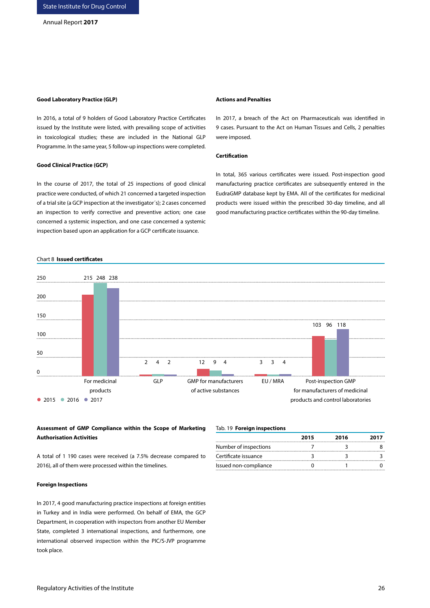#### **Good Laboratory Practice (GLP)**

In 2016, a total of 9 holders of Good Laboratory Practice Certificates issued by the Institute were listed, with prevailing scope of activities in toxicological studies; these are included in the National GLP Programme. In the same year, 5 follow-up inspections were completed.

#### **Good Clinical Practice (GCP)**

In the course of 2017, the total of 25 inspections of good clinical practice were conducted, of which 21 concerned a targeted inspection of a trial site (a GCP inspection at the investigator´s); 2 cases concerned an inspection to verify corrective and preventive action; one case concerned a systemic inspection, and one case concerned a systemic inspection based upon an application for a GCP certificate issuance.

#### Chart 8 **Issued certificates**



# **Assessment of GMP Compliance within the Scope of Marketing Authorisation Activities**

A total of 1 190 cases were received (a 7.5% decrease compared to 2016), all of them were processed within the timelines.

#### **Foreign Inspections**

In 2017, 4 good manufacturing practice inspections at foreign entities in Turkey and in India were performed. On behalf of EMA, the GCP Department, in cooperation with inspectors from another EU Member State, completed 3 international inspections, and furthermore, one international observed inspection within the PIC/S-JVP programme took place.

#### Tab. 19 **Foreign inspections**

|                       | 2015 | 2016 | 2017 |
|-----------------------|------|------|------|
| Number of inspections |      |      |      |
| Certificate issuance  |      |      |      |
| Issued non-compliance |      |      |      |

#### **Actions and Penalties**

In 2017, a breach of the Act on Pharmaceuticals was identified in 9 cases. Pursuant to the Act on Human Tissues and Cells, 2 penalties were imposed.

#### **Certification**

In total, 365 various certificates were issued. Post-inspection good manufacturing practice certificates are subsequently entered in the EudraGMP database kept by EMA. All of the certificates for medicinal products were issued within the prescribed 30-day timeline, and all good manufacturing practice certificates within the 90-day timeline.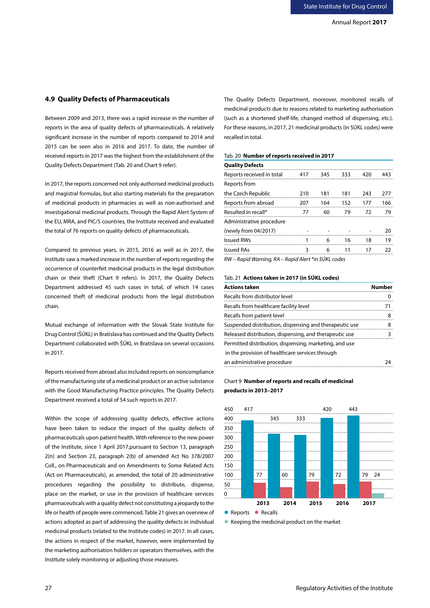# **4.9 Quality Defects of Pharmaceuticals**

Between 2009 and 2013, there was a rapid increase in the number of reports in the area of quality defects of pharmaceuticals. A relatively significant increase in the number of reports compared to 2014 and 2015 can be seen also in 2016 and 2017. To date, the number of received reports in 2017 was the highest from the establishment of the Quality Defects Department (Tab. 20 and Chart 9 refer).

In 2017, the reports concerned not only authorised medicinal products and magistral formulas, but also starting materials for the preparation of medicinal products in pharmacies as well as non-authorised and investigational medicinal products. Through the Rapid Alert System of the EU, MRA, and PIC/S countries, the Institute received and evaluated the total of 76 reports on quality defects of pharmaceuticals.

Compared to previous years, in 2015, 2016 as well as in 2017, the Institute saw a marked increase in the number of reports regarding the occurrence of counterfeit medicinal products in the legal distribution chain or their theft (Chart 9 refers). In 2017, the Quality Defects Department addressed 45 such cases in total, of which 14 cases concerned theft of medicinal products from the legal distribution chain.

Mutual exchange of information with the Slovak State Institute for Drug Control (ŠÚKL) in Bratislava has continued and the Quality Defects Department collaborated with ŠÚKL in Bratislava on several occasions in 2017.

Reports received from abroad also included reports on noncompliance of the manufacturing site of a medicinal product or an active substance with the Good Manufacturing Practice principles. The Quality Defects Department received a total of 54 such reports in 2017.

Within the scope of addressing quality defects, effective actions have been taken to reduce the impact of the quality defects of pharmaceuticals upon patient health. With reference to the new power of the Institute, since 1 April 2017,pursuant to Section 13, paragraph 2(n) and Section 23, paragraph 2(b) of amended Act No 378/2007 Coll., on Pharmaceuticals and on Amendments to Some Related Acts (Act on Pharmaceuticals), as amended, the total of 20 administrative procedures regarding the possibility to distribute, dispense, place on the market, or use in the provision of healthcare services pharmaceuticals with a quality defect not constituting a jeopardy to the life or health of people were commenced. Table 21 gives an overview of actions adopted as part of addressing the quality defects in individual medicinal products (related to the Institute codes) in 2017. In all cases, the actions in respect of the market, however, were implemented by the marketing authorisation holders or operators themselves, with the Institute solely monitoring or adjusting those measures.

The Quality Defects Department, moreover, monitored recalls of medicinal products due to reasons related to marketing authorisation (such as a shortened shelf-life, changed method of dispensing, etc.). For these reasons, in 2017, 21 medicinal products (in SÚKL codes) were recalled in total.

# Tab. 20 **Number of reports received in 2017**

| <b>Quality Defects</b>    |     |     |     |     |     |
|---------------------------|-----|-----|-----|-----|-----|
| Reports received in total | 417 | 345 | 333 | 420 | 443 |
| Reports from              |     |     |     |     |     |
| the Czech Republic        | 210 | 181 | 181 | 243 | 277 |
| Reports from abroad       | 207 | 164 | 152 | 177 | 166 |
| Resulted in recall*       | 77  | 60  | 79  | 72  | 79  |
| Administrative procedure  |     |     |     |     |     |
| (newly from 04/2017)      |     |     |     |     | 20  |
| <b>Issued RWs</b>         |     | 6   | 16  | 18  | 19  |
| <b>Issued RAs</b>         | 3   | 6   | 11  | 17  | つつ  |
|                           |     |     |     |     |     |

*RW – Rapid Warning, RA – Rapid Alert \*in SÚKL codes* 

# Tab. 21 **Actions taken in 2017 (in SÚKL codes)**

| <b>Actions taken</b>                                   | Number |
|--------------------------------------------------------|--------|
| Recalls from distributor level                         |        |
| Recalls from healthcare facility level                 | 71     |
| Recalls from patient level                             | 8      |
| Suspended distribution, dispensing and therapeutic use | 8      |
| Released distribution, dispensing, and therapeutic use |        |
| Permitted distribution, dispensing, marketing, and use |        |
| in the provision of healthcare services through        |        |
| an administrative procedure                            |        |

# Chart 9 **Number of reports and recalls of medicinal products in 2013–2017**



● Keeping the medicinal product on the market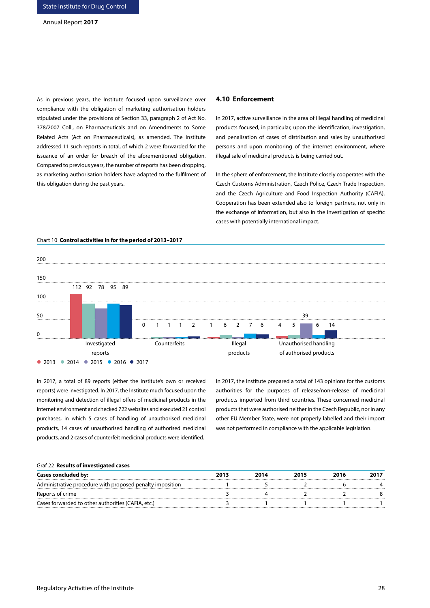As in previous years, the Institute focused upon surveillance over compliance with the obligation of marketing authorisation holders stipulated under the provisions of Section 33, paragraph 2 of Act No. 378/2007 Coll., on Pharmaceuticals and on Amendments to Some Related Acts (Act on Pharmaceuticals), as amended. The Institute addressed 11 such reports in total, of which 2 were forwarded for the issuance of an order for breach of the aforementioned obligation. Compared to previous years, the number of reports has been dropping, as marketing authorisation holders have adapted to the fulfilment of this obligation during the past years.

#### **4.10 Enforcement**

In 2017, active surveillance in the area of illegal handling of medicinal products focused, in particular, upon the identification, investigation, and penalisation of cases of distribution and sales by unauthorised persons and upon monitoring of the internet environment, where illegal sale of medicinal products is being carried out.

In the sphere of enforcement, the Institute closely cooperates with the Czech Customs Administration, Czech Police, Czech Trade Inspection, and the Czech Agriculture and Food Inspection Authority (CAFIA). Cooperation has been extended also to foreign partners, not only in the exchange of information, but also in the investigation of specific cases with potentially international impact.



#### Chart 10 **Control activities in for the period of 2013–2017**

In 2017, a total of 89 reports (either the Institute's own or received reports) were investigated. In 2017, the Institute much focused upon the monitoring and detection of illegal offers of medicinal products in the internet environment and checked 722 websites and executed 21 control purchases, in which 5 cases of handling of unauthorised medicinal products, 14 cases of unauthorised handling of authorised medicinal products, and 2 cases of counterfeit medicinal products were identified.

In 2017, the Institute prepared a total of 143 opinions for the customs authorities for the purposes of release/non-release of medicinal products imported from third countries. These concerned medicinal products that were authorised neither in the Czech Republic, nor in any other EU Member State, were not properly labelled and their import was not performed in compliance with the applicable legislation.

#### Graf 22 **Results of investigated cases**

| <b>Cases concluded by:</b>                                | 2013 | 2014 | 2015 | 2016 |  |
|-----------------------------------------------------------|------|------|------|------|--|
| Administrative procedure with proposed penalty imposition |      |      |      |      |  |
| Reports of crime                                          |      |      |      |      |  |
| Cases forwarded to other authorities (CAFIA, etc.)        |      |      |      |      |  |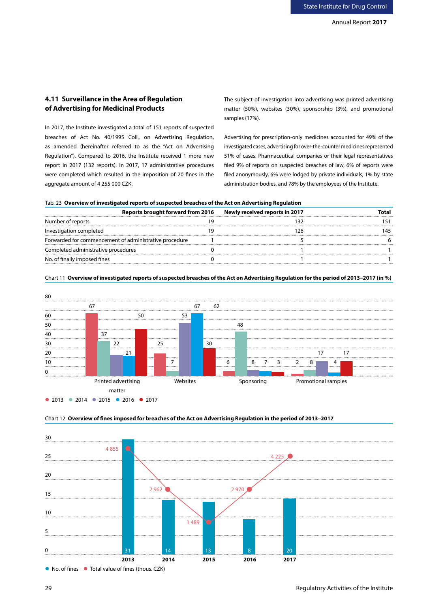# **4.11 Surveillance in the Area of Regulation of Advertising for Medicinal Products**

In 2017, the Institute investigated a total of 151 reports of suspected breaches of Act No. 40/1995 Coll., on Advertising Regulation, as amended (hereinafter referred to as the "Act on Advertising Regulation"). Compared to 2016, the Institute received 1 more new report in 2017 (132 reports). In 2017, 17 administrative procedures were completed which resulted in the imposition of 20 fines in the aggregate amount of 4 255 000 CZK.

The subject of investigation into advertising was printed advertising matter (50%), websites (30%), sponsorship (3%), and promotional samples (17%).

Advertising for prescription-only medicines accounted for 49% of the investigated cases, advertising for over-the-counter medicines represented 51% of cases. Pharmaceutical companies or their legal representatives filed 9% of reports on suspected breaches of law, 6% of reports were filed anonymously, 6% were lodged by private individuals, 1% by state administration bodies, and 78% by the employees of the Institute.

|  |  |  | Tab. 23 Overview of investigated reports of suspected breaches of the Act on Advertising Regulation |  |
|--|--|--|-----------------------------------------------------------------------------------------------------|--|
|--|--|--|-----------------------------------------------------------------------------------------------------|--|

| Reports brought forward from 2016                      | Newly received reports in 2017 | otal. |
|--------------------------------------------------------|--------------------------------|-------|
| Number of reports                                      |                                |       |
| Investigation completed                                |                                |       |
| Forwarded for commencement of administrative procedure |                                |       |
| Completed administrative procedures                    |                                |       |
| No. of finally imposed fines                           |                                |       |



Chart 11 **Overview of investigated reports of suspected breaches of the Act on Advertising Regulation for the period of 2013–2017 (in %)**



Chart 12 **Overview of fines imposed for breaches of the Act on Advertising Regulation in the period of 2013–2017**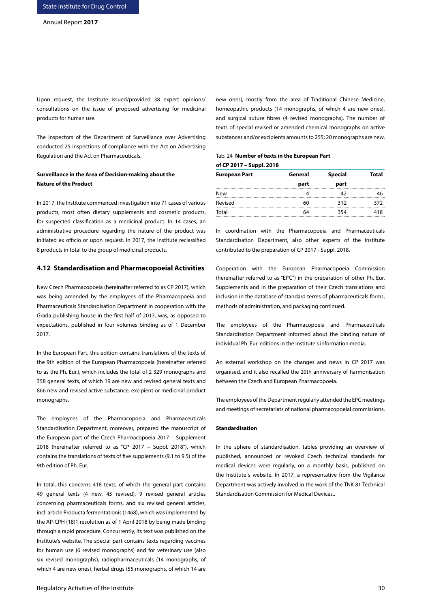Upon request, the Institute issued/provided 38 expert opinions/ consultations on the issue of proposed advertising for medicinal products for human use.

The inspectors of the Department of Surveillance over Advertising conducted 25 inspections of compliance with the Act on Advertising Regulation and the Act on Pharmaceuticals.

# **Surveillance in the Area of Decision-making about the Nature of the Product**

In 2017, the Institute commenced investigation into 71 cases of various products, most often dietary supplements and cosmetic products, for suspected classification as a medicinal product. In 14 cases, an administrative procedure regarding the nature of the product was initiated ex officio or upon request. In 2017, the Institute reclassified 8 products in total to the group of medicinal products.

# **4.12 Standardisation and Pharmacopoeial Activities**

New Czech Pharmacopoeia (hereinafter referred to as CP 2017), which was being amended by the employees of the Pharmacopoeia and Pharmaceuticals Standardisation Department in cooperation with the Grada publishing house in the first half of 2017, was, as opposed to expectations, published in four volumes binding as of 1 December 2017.

In the European Part, this edition contains translations of the texts of the 9th edition of the European Pharmacopoeia (hereinafter referred to as the Ph. Eur.), which includes the total of 2 329 monographs and 358 general texts, of which 19 are new and revised general texts and 866 new and revised active substance, excipient or medicinal product monographs.

The employees of the Pharmacopoeia and Pharmaceuticals Standardisation Department, moreover, prepared the manuscript of the European part of the Czech Pharmacopoeia 2017 – Supplement 2018 (hereinafter referred to as "CP 2017 – Suppl. 2018"), which contains the translations of texts of five supplements (9.1 to 9.5) of the 9th edition of Ph. Eur.

In total, this concerns 418 texts, of which the general part contains 49 general texts (4 new, 45 revised), 9 revised general articles concerning pharmaceuticals forms, and six revised general articles, incl. article Producta fermentationis (1468), which was implemented by the AP-CPH (18)1 resolution as of 1 April 2018 by being made binding through a rapid procedure. Concurrently, its text was published on the Institute's website. The special part contains texts regarding vaccines for human use (6 revised monographs) and for veterinary use (also six revised monographs), radiopharmaceuticals (14 monographs, of which 4 are new ones), herbal drugs (55 monographs, of which 14 are new ones), mostly from the area of Traditional Chinese Medicine, homeopathic products (14 monographs, of which 4 are new ones), and surgical suture fibres (4 revised monographs). The number of texts of special revised or amended chemical monographs on active substances and/or excipients amounts to 255; 20 monographs are new.

# Tab. 24 **Number of texts in the European Part of CP 2017 – Suppl. 2018**

| <b>European Part</b> | General | <b>Special</b> | Total |
|----------------------|---------|----------------|-------|
|                      | part    | part           |       |
| <b>New</b>           |         |                |       |
| Revised              | 60      | 312            | 372   |
| Total                | 64      | 354            | 418   |

In coordination with the Pharmacopoeia and Pharmaceuticals Standardisation Department, also other experts of the Institute contributed to the preparation of CP 2017 - Suppl. 2018.

Cooperation with the European Pharmacopoeia Commission (hereinafter referred to as "EPC") in the preparation of other Ph. Eur. Supplements and in the preparation of their Czech translations and inclusion in the database of standard terms of pharmaceuticals forms, methods of administration, and packaging continued.

The employees of the Pharmacopoeia and Pharmaceuticals Standardisation Department informed about the binding nature of individual Ph. Eur. editions in the Institute's information media.

An external workshop on the changes and news in CP 2017 was organised, and it also recalled the 20th anniversary of harmonisation between the Czech and European Pharmacopoeia.

The employees of the Department regularly attended the EPC meetings and meetings of secretariats of national pharmacopoeial commissions.

#### **Standardisation**

In the sphere of standardisation, tables providing an overview of published, announced or revoked Czech technical standards for medical devices were regularly, on a monthly basis, published on the Institute´s website. In 2017, a representative from the Vigilance Department was actively involved in the work of the TNK 81 Technical Standardisation Commission for Medical Devices..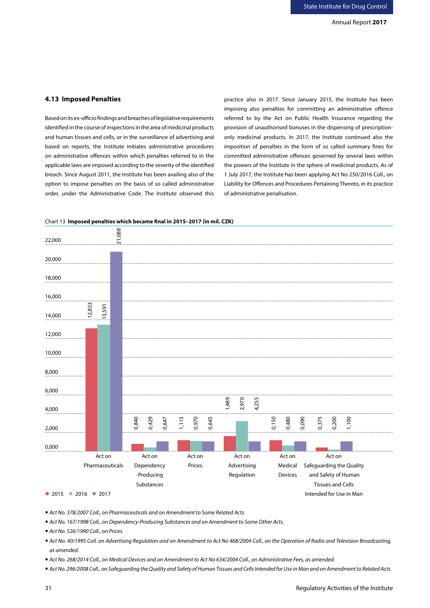# **4.13 Imposed Penalties**

Based on its ex-officio findings and breaches of legislative requirements identified in the course of inspections in the area of medicinal products and human tissues and cells, or in the surveillance of advertising and based on reports, the Institute initiates administrative procedures on administrative offences within which penalties referred to in the applicable laws are imposed according to the severity of the identified breach. Since August 2011, the Institute has been availing also of the option to impose penalties on the basis of so called administrative order, under the Administrative Code. The Institute observed this

practice also in 2017. Since January 2015, the Institute has been imposing also penalties for committing an administrative offence referred to by the Act on Public Health Insurance regarding the provision of unauthorised bonuses in the dispensing of prescriptiononly medicinal products. In 2017, the Institute continued also the imposition of penalties in the form of so called summary fines for committed administrative offences governed by several laws within the powers of the Institute in the sphere of medicinal products. As of 1 July 2017, the Institute has been applying Act No 250/2016 Coll., on Liability for Offences and Procedures Pertaining Thereto, in its practice of administrative penalisation.



Chart 13 **Imposed penalties which became final in 2015–2017 (in mil. CZK)**

*Act No. 378/2007 Coll., on Pharmaceuticals and on Amendment to Some Related Acts.*

*Act No. 167/1998 Coll., on Dependency-Producing Substances and on Amendment to Some Other Acts.*

*Act No. 526/1990 Coll., on Prices.*

- *Act No. 40/1995 Coll. on Advertising Regulation and on Amendment to Act No 468/2004 Coll., on the Operation of Radio and Television Broadcasting, as amended.*
- *Act No. 268/2014 Coll., on Medical Devices and on Amendment to Act No 634/2004 Coll., on Administrative Fees, as amended.*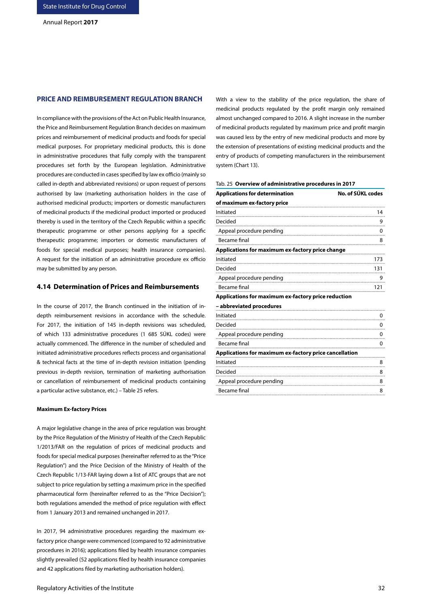# **PRICE AND REIMBURSEMENT REGULATION BRANCH**

In compliance with the provisions of the Act on Public Health Insurance, the Price and Reimbursement Regulation Branch decides on maximum prices and reimbursement of medicinal products and foods for special medical purposes. For proprietary medicinal products, this is done in administrative procedures that fully comply with the transparent procedures set forth by the European legislation. Administrative procedures are conducted in cases specified by law ex officio (mainly so called in-depth and abbreviated revisions) or upon request of persons authorised by law (marketing authorisation holders in the case of authorised medicinal products; importers or domestic manufacturers of medicinal products if the medicinal product imported or produced thereby is used in the territory of the Czech Republic within a specific therapeutic programme or other persons applying for a specific therapeutic programme; importers or domestic manufacturers of foods for special medical purposes; health insurance companies). A request for the initiation of an administrative procedure ex officio may be submitted by any person.

### **4.14 Determination of Prices and Reimbursements**

In the course of 2017, the Branch continued in the initiation of indepth reimbursement revisions in accordance with the schedule. For 2017, the initiation of 145 in-depth revisions was scheduled, of which 133 administrative procedures (1 685 SÚKL codes) were actually commenced. The difference in the number of scheduled and initiated administrative procedures reflects process and organisational & technical facts at the time of in-depth revision initiation (pending previous in-depth revision, termination of marketing authorisation or cancellation of reimbursement of medicinal products containing a particular active substance, etc.) – Table 25 refers.

#### **Maximum Ex-factory Prices**

A major legislative change in the area of price regulation was brought by the Price Regulation of the Ministry of Health of the Czech Republic 1/2013/FAR on the regulation of prices of medicinal products and foods for special medical purposes (hereinafter referred to as the "Price Regulation") and the Price Decision of the Ministry of Health of the Czech Republic 1/13-FAR laying down a list of ATC groups that are not subject to price regulation by setting a maximum price in the specified pharmaceutical form (hereinafter referred to as the "Price Decision"); both regulations amended the method of price regulation with effect from 1 January 2013 and remained unchanged in 2017.

In 2017, 94 administrative procedures regarding the maximum exfactory price change were commenced (compared to 92 administrative procedures in 2016); applications filed by health insurance companies slightly prevailed (52 applications filed by health insurance companies and 42 applications filed by marketing authorisation holders).

With a view to the stability of the price regulation, the share of medicinal products regulated by the profit margin only remained almost unchanged compared to 2016. A slight increase in the number of medicinal products regulated by maximum price and profit margin was caused less by the entry of new medicinal products and more by the extension of presentations of existing medicinal products and the entry of products of competing manufacturers in the reimbursement system (Chart 13).

#### Tab. 25 **Overview of administrative procedures in 2017**

| No. of SÚKL codes<br><b>Applications for determination</b> |     |  |  |
|------------------------------------------------------------|-----|--|--|
| of maximum ex-factory price                                |     |  |  |
| Initiated                                                  | 14  |  |  |
| Decided                                                    | 9   |  |  |
| Appeal procedure pending                                   | 0   |  |  |
| Became final                                               | 8   |  |  |
| Applications for maximum ex-factory price change           |     |  |  |
| Initiated                                                  | 173 |  |  |
| Decided                                                    | 131 |  |  |
| Appeal procedure pending                                   | 9   |  |  |
| Became final                                               | 121 |  |  |
| Applications for maximum ex-factory price reduction        |     |  |  |
| – abbreviated procedures                                   |     |  |  |
| Initiated                                                  | 0   |  |  |
| Decided                                                    | 0   |  |  |
| Appeal procedure pending                                   | 0   |  |  |
| Became final                                               | 0   |  |  |
| Applications for maximum ex-factory price cancellation     |     |  |  |
| Initiated                                                  | 8   |  |  |
| Decided                                                    | 8   |  |  |
| Appeal procedure pending                                   | 8   |  |  |
| Became final                                               | 8   |  |  |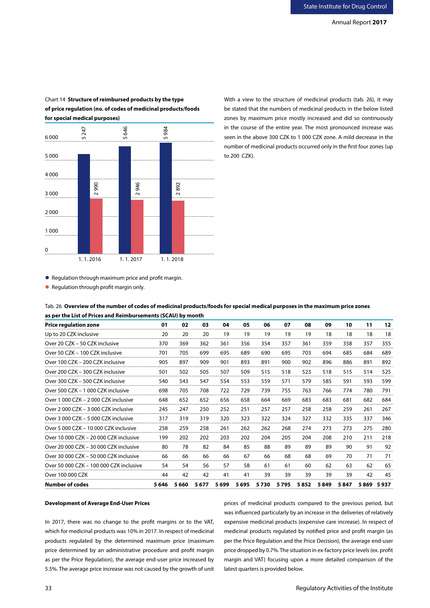

Chart 14 **Structure of reimbursed products by the type of price regulation (no. of codes of medicinal products/foods for special medical purposes)**

With a view to the structure of medicinal products (tab. 26), it may be stated that the numbers of medicinal products in the below listed zones by maximum price mostly increased and did so continuously in the course of the entire year. The most pronounced increase was seen in the above 300 CZK to 1 000 CZK zone. A mild decrease in the number of medicinal products occurred only in the first four zones (up to 200 CZK).

● Regulation through maximum price and profit margin.

Tab. 26 **Overview of the number of codes of medicinal products/foods for special medical purposes in the maximum price zones as per the List of Prices and Reimbursements (SCAU) by month** 

| <b>Price regulation zone</b>            | 01    | 02    | 03    | 04    | 05      | 06   | 07      | 08   | 09   | 10   | 11  | 12        |
|-----------------------------------------|-------|-------|-------|-------|---------|------|---------|------|------|------|-----|-----------|
| Up to 20 CZK inclusive                  | 20    | 20    | 20    | 19    | 19      | 19   | 19      | 19   | 18   | 18   | 18  | 18        |
| Over 20 CZK - 50 CZK inclusive          | 370   | 369   | 362   | 361   | 356     | 354  | 357     | 361  | 359  | 358  | 357 | 355       |
| Over 50 CZK - 100 CZK inclusive         | 701   | 705   | 699   | 695   | 689     | 690  | 695     | 703  | 694  | 685  | 684 | 689       |
| Over 100 CZK - 200 CZK inclusive        | 905   | 897   | 909   | 901   | 893     | 891  | 900     | 902  | 896  | 886  | 891 | 892       |
| Over 200 CZK - 300 CZK inclusive        | 501   | 502   | 505   | 507   | 509     | 515  | 518     | 523  | 518  | 515  | 514 | 525       |
| Over 300 CZK - 500 CZK inclusive        | 540   | 543   | 547   | 554   | 553     | 559  | 571     | 579  | 585  | 591  | 593 | 599       |
| Over 500 CZK - 1 000 CZK inclusive      | 698   | 705   | 708   | 722   | 729     | 739  | 755     | 763  | 766  | 774  | 780 | 791       |
| Over 1 000 CZK - 2 000 CZK inclusive    | 648   | 652   | 652   | 656   | 658     | 664  | 669     | 683  | 683  | 681  | 682 | 684       |
| Over 2000 CZK - 3000 CZK inclusive      | 245   | 247   | 250   | 252   | 251     | 257  | 257     | 258  | 258  | 259  | 261 | 267       |
| Over 3 000 CZK - 5 000 CZK inclusive    | 317   | 319   | 319   | 320   | 323     | 322  | 324     | 327  | 332  | 335  | 337 | 346       |
| Over 5 000 CZK - 10 000 CZK inclusive   | 258   | 259   | 258   | 261   | 262     | 262  | 268     | 274  | 273  | 273  | 275 | 280       |
| Over 10 000 CZK - 20 000 CZK inclusive  | 199   | 202   | 202   | 203   | 202     | 204  | 205     | 204  | 208  | 210  | 211 | 218       |
| Over 20 000 CZK - 30 000 CZK inclusive  | 80    | 78    | 82    | 84    | 85      | 88   | 89      | 89   | 89   | 90   | 91  | 92        |
| Over 30 000 CZK - 50 000 CZK inclusive  | 66    | 66    | 66    | 66    | 67      | 66   | 68      | 68   | 69   | 70   | 71  | 71        |
| Over 50 000 CZK - 100 000 CZK inclusive | 54    | 54    | 56    | 57    | 58      | 61   | 61      | 60   | 62   | 63   | 62  | 65        |
| Over 100 000 CZK                        | 44    | 42    | 42    | 41    | 41      | 39   | 39      | 39   | 39   | 39   | 42  | 45        |
| Number of codes                         | 5 646 | 5 660 | 5 677 | 5 699 | 5 6 9 5 | 5730 | 5 7 9 5 | 5852 | 5849 | 5847 |     | 5869 5937 |

### **Development of Average End-User Prices**

In 2017, there was no change to the profit margins or to the VAT, which for medicinal products was 10% in 2017. In respect of medicinal products regulated by the determined maximum price (maximum price determined by an administrative procedure and profit margin as per the Price Regulation), the average end-user price increased by 5.5%. The average price increase was not caused by the growth of unit prices of medicinal products compared to the previous period, but was influenced particularly by an increase in the deliveries of relatively expensive medicinal products (expensive care increase). In respect of medicinal products regulated by notified price and profit margin (as per the Price Regulation and the Price Decision), the average end-user price dropped by 0.7%. The situation in ex-factory price levels (ex. profit margin and VAT) focusing upon a more detailed comparison of the latest quarters is provided below.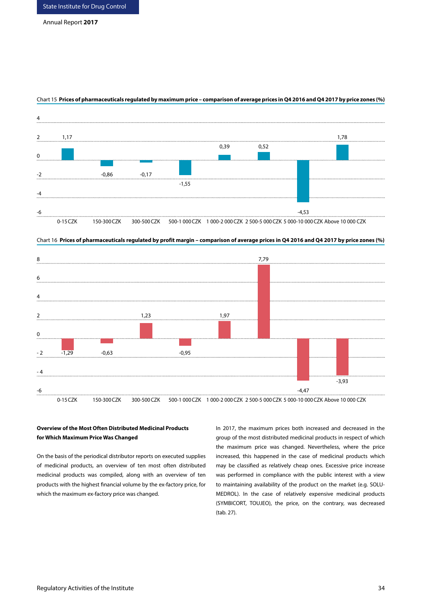

### Chart 15 **Prices of pharmaceuticals regulated by maximum price – comparison of average prices in Q4 2016 and Q4 2017 by price zones (%)**



Chart 16 **Prices of pharmaceuticals regulated by profit margin – comparison of average prices in Q4 2016 and Q4 2017 by price zones (%)**

# **Overview of the Most Often Distributed Medicinal Products for Which Maximum Price Was Changed**

On the basis of the periodical distributor reports on executed supplies of medicinal products, an overview of ten most often distributed medicinal products was compiled, along with an overview of ten products with the highest financial volume by the ex-factory price, for which the maximum ex-factory price was changed.

In 2017, the maximum prices both increased and decreased in the group of the most distributed medicinal products in respect of which the maximum price was changed. Nevertheless, where the price increased, this happened in the case of medicinal products which may be classified as relatively cheap ones. Excessive price increase was performed in compliance with the public interest with a view to maintaining availability of the product on the market (e.g. SOLU-MEDROL). In the case of relatively expensive medicinal products (SYMBICORT, TOUJEO), the price, on the contrary, was decreased (tab. 27).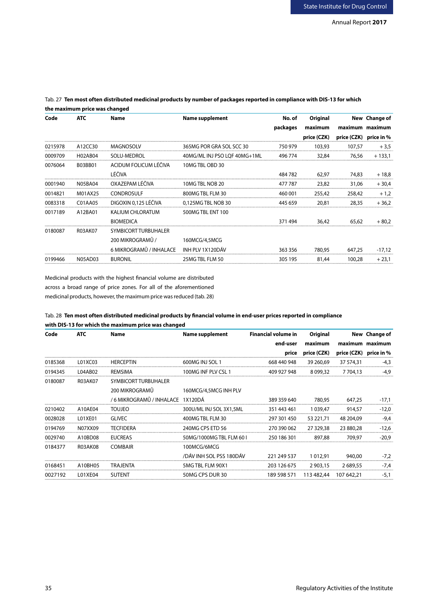| Code    | <b>ATC</b>     | Name                        | <b>Name supplement</b>       | No. of   | Original    |                        | New Change of   |
|---------|----------------|-----------------------------|------------------------------|----------|-------------|------------------------|-----------------|
|         |                |                             |                              | packages | maximum     |                        | maximum maximum |
|         |                |                             |                              |          | price (CZK) | price (CZK) price in % |                 |
| 0215978 | A12CC30        | MAGNOSOLV                   | 365MG POR GRA SOL SCC 30     | 750 979  | 103,93      | 107,57                 | $+3,5$          |
| 0009709 | H02AB04        | SOLU-MEDROL                 | 40MG/ML INJ PSO LOF 40MG+1ML | 496 774  | 32,84       | 76.56                  | $+133,1$        |
| 0076064 | <b>B03BB01</b> | ACIDUM FOLICUM LÉČIVA       | 10MG TBL OBD 30              |          |             |                        |                 |
|         |                | LÉČIVA                      |                              | 484 782  | 62.97       | 74,83                  | $+18,8$         |
| 0001940 | N05BA04        | OXAZEPAM LÉČIVA             | 10MG TBL NOB 20              | 477 787  | 23,82       | 31,06                  | $+30,4$         |
| 0014821 | M01AX25        | <b>CONDROSULF</b>           | 800MG TBL FLM 30             | 460,001  | 255,42      | 258,42                 | $+1,2$          |
| 0083318 | C01AA05        | DIGOXIN 0.125 LÉČIVA        | 0.125MG TBL NOB 30           | 445 659  | 20.81       | 28,35                  | $+36.2$         |
| 0017189 | A12BA01        | KALIUM CHLORATUM            | 500MG TBL ENT 100            |          |             |                        |                 |
|         |                | <b>BIOMEDICA</b>            |                              | 371494   | 36.42       | 65.62                  | $+80.2$         |
| 0180087 | <b>R03AK07</b> | <b>SYMBICORT TURBUHALER</b> |                              |          |             |                        |                 |
|         |                | 200 MIKROGRAMŮ /            | 160MCG/4,5MCG                |          |             |                        |                 |
|         |                | 6 MIKROGRAMŮ / INHALACE     | INH PLV 1X120DÁV             | 363 356  | 780.95      | 647.25                 | $-17.12$        |
| 0199466 | N05AD03        | <b>BURONIL</b>              | 25MG TBL FLM 50              | 305 195  | 81.44       | 100.28                 | $+23.1$         |

# Tab. 27 **Ten most often distributed medicinal products by number of packages reported in compliance with DIS-13 for which the maximum price was changed**

Medicinal products with the highest financial volume are distributed across a broad range of price zones. For all of the aforementioned medicinal products, however, the maximum price was reduced (tab. 28)

# Tab. 28 **Ten most often distributed medicinal products by financial volume in end-user prices reported in compliance with DIS-13 for which the maximum price was changed**

| Code    | <b>ATC</b> | Name                              | <b>Name supplement</b>   | <b>Financial volume in</b> | Original      |                        | New Change of   |
|---------|------------|-----------------------------------|--------------------------|----------------------------|---------------|------------------------|-----------------|
|         |            |                                   |                          | end-user                   | maximum       |                        | maximum maximum |
|         |            |                                   |                          | price                      | price (CZK)   | price (CZK) price in % |                 |
| 0185368 | L01XC03    | <b>HERCEPTIN</b>                  | 600MG INJ SOL 1          | 668 440 948                | 39 260.69     | 37 574.31              | $-4.3$          |
| 0194345 | L04AB02    | REMSIMA                           | 100MG INF PLV CSL 1      | 409 927 948                | 8 0 9 9.32    | 7 7 04.13              | $-4.9$          |
| 0180087 | R03AK07    | SYMBICORT TURBUHALER              |                          |                            |               |                        |                 |
|         |            | 200 MIKROGRAMŮ                    | 160MCG/4,5MCG INH PLV    |                            |               |                        |                 |
|         |            | / 6 MIKROGRAMŮ / INHALACE 1X120DÁ |                          | 389 359 640                | 780,95        | 647,25                 | $-17,1$         |
| 0210402 | A10AF04    | <b>TOUJEO</b>                     | 300U/ML INJ SOL 3X1,5ML  | 351 443 461                | 1 0 3 9 . 4 7 | 914.57                 | $-12,0$         |
| 0028028 | LO1XE01    | <b>GLIVEC</b>                     | 400MG TBL FLM 30         | 297 301 450                | 53 221,71     | 48 204.09              | $-9,4$          |
| 0194769 | N07XX09    | TFCFIDFRA                         | 240MG CPS FTD 56         | 270 390 062                | 27 329,38     | 23 880.28              | $-12,6$         |
| 0029740 | A10BD08    | <b>EUCREAS</b>                    | 50MG/1000MG TBL FLM 60 L | 250 186 301                | 897,88        | 709,97                 | $-20,9$         |
| 0184377 | R03AK08    | <b>COMBAIR</b>                    | 100MCG/6MCG              |                            |               |                        |                 |
|         |            |                                   | /DÁV INH SOL PSS 180DÁV  | 221 249 537                | 1 0 1 2 . 9 1 | 940.00                 | $-7,2$          |
| 0168451 | A10BH05    | TRA JFNTA                         | 5MG TBL FLM 90X1         | 203 126 675                | 2 9 0 3 . 1 5 | 2 689.55               | $-7.4$          |
| 0027192 | L01XE04    | <b>SUTENT</b>                     | 50MG CPS DUR 30          | 189 598 571                | 113 482,44    | 107 642.21             | $-5,1$          |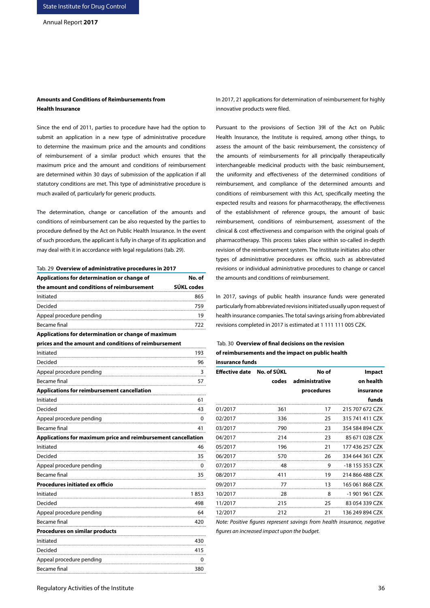# **Amounts and Conditions of Reimbursements from Health Insurance**

Since the end of 2011, parties to procedure have had the option to submit an application in a new type of administrative procedure to determine the maximum price and the amounts and conditions of reimbursement of a similar product which ensures that the maximum price and the amount and conditions of reimbursement are determined within 30 days of submission of the application if all statutory conditions are met. This type of administrative procedure is much availed of, particularly for generic products.

The determination, change or cancellation of the amounts and conditions of reimbursement can be also requested by the parties to procedure defined by the Act on Public Health Insurance. In the event of such procedure, the applicant is fully in charge of its application and may deal with it in accordance with legal regulations (tab. 29).

|  |  | Tab. 29 Overview of administrative procedures in 2017 |  |  |
|--|--|-------------------------------------------------------|--|--|
|--|--|-------------------------------------------------------|--|--|

| Applications for determination or change of                   | No. of     |
|---------------------------------------------------------------|------------|
| the amount and conditions of reimbursement                    | SÚKL codes |
| Initiated                                                     | 865        |
| Decided                                                       | 759        |
| Appeal procedure pending                                      | 19         |
| Became final                                                  | 722        |
| Applications for determination or change of maximum           |            |
| prices and the amount and conditions of reimbursement         |            |
| Initiated                                                     | 193        |
| Decided                                                       | 96         |
| Appeal procedure pending                                      | 3          |
| Became final                                                  | 57         |
| <b>Applications for reimbursement cancellation</b>            |            |
| Initiated                                                     | 61         |
| Decided                                                       | 43         |
| Appeal procedure pending                                      | 0          |
| Became final                                                  | 41         |
| Applications for maximum price and reimbursement cancellation |            |
| Initiated                                                     | 46         |
| Decided                                                       | 35         |
| Appeal procedure pending                                      | 0          |
| <b>Became final</b>                                           | 35         |
| Procedures initiated ex officio                               |            |
| Initiated                                                     | 1853       |
| Decided                                                       | 498        |
| Appeal procedure pending                                      | 64         |
| <b>Became final</b>                                           | 420        |
| <b>Procedures on similar products</b>                         |            |
| Initiated                                                     | 430        |
| Decided                                                       | 415        |
| Appeal procedure pending                                      | 0          |
| Became final                                                  | 380        |

In 2017, 21 applications for determination of reimbursement for highly innovative products were filed.

Pursuant to the provisions of Section 39l of the Act on Public Health Insurance, the Institute is required, among other things, to assess the amount of the basic reimbursement, the consistency of the amounts of reimbursements for all principally therapeutically interchangeable medicinal products with the basic reimbursement, the uniformity and effectiveness of the determined conditions of reimbursement, and compliance of the determined amounts and conditions of reimbursement with this Act, specifically meeting the expected results and reasons for pharmacotherapy, the effectiveness of the establishment of reference groups, the amount of basic reimbursement, conditions of reimbursement, assessment of the clinical & cost effectiveness and comparison with the original goals of pharmacotherapy. This process takes place within so-called in-depth revision of the reimbursement system. The Institute initiates also other types of administrative procedures ex officio, such as abbreviated revisions or individual administrative procedures to change or cancel the amounts and conditions of reimbursement.

In 2017, savings of public health insurance funds were generated particularly from abbreviated revisions initiated usually upon request of health insurance companies. The total savings arising from abbreviated revisions completed in 2017 is estimated at 1 111 111 005 CZK.

# Tab. 30 **Overview of final decisions on the revision of reimbursements and the impact on public health insurance funds**

| <b>Effective date</b> | No. of SÚKL | No of          | <b>Impact</b>   |
|-----------------------|-------------|----------------|-----------------|
|                       | codes       | administrative | on health       |
|                       |             | procedures     | insurance       |
|                       |             |                | funds           |
| 01/2017               | 361         | 17             | 215 707 672 CZK |
| 02/2017               | 336         | 25             | 315 741 411 CZK |
| 03/2017               | 790         | 23             | 354 584 894 CZK |
| 04/2017               | 214         | 23             | 85 671 028 CZK  |
| 05/2017               | 196         | 21             | 177 436 257 CZK |
| 06/2017               | 570         | 26             | 334 644 361 CZK |
| 07/2017               | 48          | 9              | -18 155 353 CZK |
| 08/2017               | 411         | 19             | 214 866 488 CZK |
| 09/2017               | 77          | 13             | 165 061 868 CZK |
| 10/2017               | 28          | 8              | -1 901 961 CZK  |
| 11/2017               | 215         | 25             | 83 054 339 CZK  |
| 12/2017               | 212         | 21             | 136 249 894 CZK |

*Note: Positive figures represent savings from health insurance, negative figures an increased impact upon the budget.*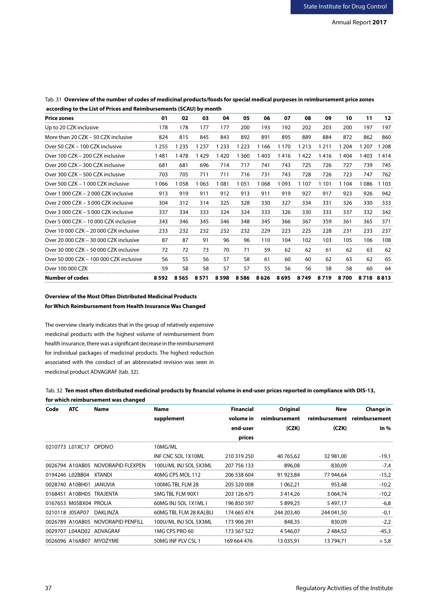| <b>Price zones</b>                      | 01      | 02              | 03      | 04      | 05      | 06      | 07      | 08      | 09      | 10    | 11        | 12  |
|-----------------------------------------|---------|-----------------|---------|---------|---------|---------|---------|---------|---------|-------|-----------|-----|
| Up to 20 CZK inclusive                  | 178     | 178             | 177     | 177     | 200     | 193     | 192     | 202     | 203     | 200   | 197       | 197 |
| More than 20 CZK - 50 CZK inclusive     | 824     | 815             | 845     | 843     | 892     | 891     | 895     | 889     | 884     | 872   | 862       | 860 |
| Over 50 CZK - 100 CZK inclusive         | 1 2 5 5 | 235             | 1 2 3 7 | 1 2 3 3 | 1 2 2 3 | 1 1 6 6 | 1 1 7 0 | 1 2 1 3 | 1 2 1 1 | 1 204 | 207       | 208 |
| Over 100 CZK - 200 CZK inclusive        | 1481    | 478             | 429     | 420     | 1 360   | 1 403   | 1416    | 1422    | 1416    | 1 404 | 403       | 414 |
| Over 200 CZK - 300 CZK inclusive        | 681     | 681             | 696     | 714     | 717     | 741     | 743     | 725     | 726     | 727   | 739       | 745 |
| Over 300 CZK - 500 CZK inclusive        | 703     | 705             | 711     | 711     | 716     | 731     | 743     | 728     | 726     | 723   | 747       | 762 |
| Over 500 CZK - 1 000 CZK inclusive      | 1 066   | l 058           | 063     | 1 081   | 1051    | 1 068   | 1093    | 1 107   | 1 1 0 1 | 1 104 | 1 086     | 103 |
| Over 1 000 CZK - 2 000 CZK inclusive    | 913     | 919             | 911     | 912     | 913     | 911     | 919     | 927     | 917     | 923   | 926       | 942 |
| Over 2 000 CZK - 3 000 CZK inclusive    | 304     | 312             | 314     | 325     | 328     | 330     | 327     | 334     | 331     | 326   | 330       | 333 |
| Over 3 000 CZK - 5 000 CZK inclusive    | 337     | 334             | 333     | 324     | 324     | 333     | 326     | 330     | 333     | 337   | 332       | 342 |
| Over 5 000 CZK - 10 000 CZK inclusive   | 343     | 346             | 345     | 346     | 348     | 345     | 366     | 367     | 359     | 361   | 365       | 371 |
| Over 10 000 CZK - 20 000 CZK inclusive  | 233     | 232             | 232     | 232     | 232     | 229     | 223     | 225     | 228     | 231   | 233       | 237 |
| Over 20 000 CZK - 30 000 CZK inclusive  | 87      | 87              | 91      | 96      | 96      | 110     | 104     | 102     | 103     | 105   | 106       | 108 |
| Over 30 000 CZK - 50 000 CZK inclusive  | 72      | 72              | 73      | 70      | 71      | 59      | 62      | 62      | 61      | 62    | 63        | 62  |
| Over 50 000 CZK - 100 000 CZK inclusive | 56      | 55              | 56      | 57      | 58      | 61      | 60      | 60      | 62      | 63    | 62        | 65  |
| Over 100 000 CZK                        | 59      | 58              | 58      | 57      | 57      | 55      | 56      | 56      | 58      | 58    | 60        | 64  |
| <b>Number of codes</b>                  |         | 8 5 9 2 8 5 6 5 | 8 5 7 1 | 8 5 9 8 | 8 5 8 6 | 8 6 2 6 | 8 6 9 5 | 8 7 4 9 | 8719    | 8700  | 8718 8813 |     |

# Tab. 31 **Overview of the number of codes of medicinal products/foods for special medical purposes in reimbursement price zones according to the List of Prices and Reimbursements (SCAU) by month**

# **Overview of the Most Often Distributed Medicinal Products for Which Reimbursement from Health Insurance Was Changed**

The overview clearly indicates that in the group of relatively expensive medicinal products with the highest volume of reimbursement from health insurance, there was a significant decrease in the reimbursement for individual packages of medicinal products. The highest reduction associated with the conduct of an abbreviated revision was seen in medicinal product ADVAGRAF (tab. 32).

| Tab. 32 Ten most often distributed medicinal products by financial volume in end-user prices reported in compliance with DIS-13, |  |
|----------------------------------------------------------------------------------------------------------------------------------|--|
| for which reimbursement was changed                                                                                              |  |

| Code | <b>ATC</b>              | Name                              | Name                   | <b>Financial</b> | Original      | New           | <b>Change in</b> |
|------|-------------------------|-----------------------------------|------------------------|------------------|---------------|---------------|------------------|
|      |                         |                                   | supplement             | volume in        | reimbursement | reimbursement | reimbursement    |
|      |                         |                                   |                        | end-user         | (CZK)         | (CZK)         | $ln\%$           |
|      |                         |                                   |                        | prices           |               |               |                  |
|      | 0210773 L01XC17 OPDIVO  |                                   | 10MG/ML                |                  |               |               |                  |
|      |                         |                                   | INF CNC SOL 1X10ML     | 210 319 250      | 40 765.62     | 32 981.00     | $-19.1$          |
|      | 0026794 A10AB05         | NOVORAPID FI FXPFN                | 100U/ML INJ SOL 5X3ML  | 207 756 133      | 896,08        | 830.09        | $-7,4$           |
|      | 0194246 L02BB04 XTANDI  |                                   | 40MG CPS MOL 112       | 206 538 604      | 91 923.84     | 77 944.64     | $-15,2$          |
|      | 0028740 A10BH01 JANUVIA |                                   | 100MG TBL FLM 28       | 205 320 008      | 1 062.21      | 953,48        | $-10.2$          |
|      |                         | 0168451 A10BH05 TRAJENTA          | 5MG TBL FLM 90X1       | 203 126 675      | 3 4 1 4 2 6   | 3 0 64, 74    | $-10,2$          |
|      | 0167653 M05BX04 PROLIA  |                                   | 60MG INJ SOL 1X1ML I   | 196 850 597      | 5 899.25      | 5497.17       | $-6.8$           |
|      | 0210118 J05AP07         | DAKLINZA                          | 60MG TBL FLM 28 KALBLI | 174 665 474      | 244 203,40    | 244 041,50    | -0.1             |
|      |                         | 0026789 A10AB05 NOVORAPID PENFILL | 100U/ML INJ SOL 5X3ML  | 173 906 291      | 848.35        | 830.09        | $-2.2$           |
|      |                         | 0029707 L04AD02 ADVAGRAF          | 1MG CPS PRO 60         | 173 567 522      | 4 5 4 6 , 0 7 | 2484.52       | $-45.3$          |
|      |                         | 0026096 A16AB07 MYOZYME           | 50MG INF PLV CSL 1     | 169 664 476      | 13 035,91     | 13 794.71     | $+5,8$           |
|      |                         |                                   |                        |                  |               |               |                  |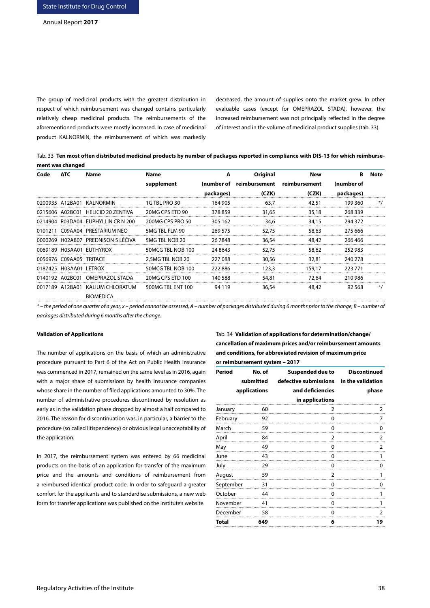The group of medicinal products with the greatest distribution in respect of which reimbursement was changed contains particularly relatively cheap medicinal products. The reimbursements of the aforementioned products were mostly increased. In case of medicinal product KALNORMIN, the reimbursement of which was markedly decreased, the amount of supplies onto the market grew. In other evaluable cases (except for OMEPRAZOL STADA), however, the increased reimbursement was not principally reflected in the degree of interest and in the volume of medicinal product supplies (tab. 33).

| Tab. 33 Ten most often distributed medicinal products by number of packages reported in compliance with DIS-13 for which reimburse- |
|-------------------------------------------------------------------------------------------------------------------------------------|
| ment was changed                                                                                                                    |

| ATC             | Name            | Name                                                                                                                                                                                                                                                                                                           | A         | Original      | New           | в          | Note  |
|-----------------|-----------------|----------------------------------------------------------------------------------------------------------------------------------------------------------------------------------------------------------------------------------------------------------------------------------------------------------------|-----------|---------------|---------------|------------|-------|
|                 |                 | supplement                                                                                                                                                                                                                                                                                                     |           | reimbursement | reimbursement | (number of |       |
|                 |                 |                                                                                                                                                                                                                                                                                                                | packages) | (CZK)         | (CZK)         | packages)  |       |
|                 |                 | 1G TBL PRO 30                                                                                                                                                                                                                                                                                                  | 164 905   | 63.7          | 42,51         | 199 360    |       |
|                 |                 | 20MG CPS ETD 90                                                                                                                                                                                                                                                                                                | 378859    | 31,65         | 35,18         | 268 339    |       |
|                 |                 | 200MG CPS PRO 50                                                                                                                                                                                                                                                                                               | 305 162   | 34.6          | 34,15         | 294 372    |       |
|                 |                 | 5MG TBL FLM 90                                                                                                                                                                                                                                                                                                 | 269 575   | 52.75         | 58.63         | 275 666    |       |
|                 |                 | 5MG TBL NOB 20                                                                                                                                                                                                                                                                                                 | 26 7848   | 36.54         | 48.42         | 266 466    |       |
|                 |                 | 50MCG TBL NOB 100                                                                                                                                                                                                                                                                                              | 24 8 643  | 52.75         | 58,62         | 252 983    |       |
|                 |                 | 2.5MG TBL NOB 20                                                                                                                                                                                                                                                                                               | 227088    | 30,56         | 32,81         | 240 278    |       |
|                 |                 | 50MCG TBL NOB 100                                                                                                                                                                                                                                                                                              | 222886    | 123.3         | 159.17        | 223 771    |       |
| 0140192 A02BC01 | OMEPRAZOL STADA | 20MG CPS ETD 100                                                                                                                                                                                                                                                                                               | 140 588   | 54,81         | 72.64         | 210 986    |       |
|                 |                 | 500MG TBL ENT 100                                                                                                                                                                                                                                                                                              | 94 1 1 9  | 36,54         | 48.42         | 92 568     | $*$ / |
|                 |                 | 0200935 A12BA01 KALNORMIN<br>0215606 A02BC01 HELICID 20 ZENTIVA<br>0214904 R03DA04 EUPHYLLIN CR N 200<br>C09AA04 PRESTARIUM NEO<br>0000269 H02AB07 PREDNISON 5 LÉCIVA<br>0069189 H03AA01 EUTHYROX<br>0056976 C09AA05 TRITACE<br>0187425 H03AA01 LETROX<br>0017189 A12BA01 KALIUM CHLORATUM<br><b>BIOMEDICA</b> |           |               | (number of    |            |       |

*\* – the period of one quarter of a year, x – period cannot be assessed, A – number of packages distributed during 6 months prior to the change, B – number of packages distributed during 6 months after the change.*

## **Validation of Applications**

The number of applications on the basis of which an administrative procedure pursuant to Part 6 of the Act on Public Health Insurance was commenced in 2017, remained on the same level as in 2016, again with a major share of submissions by health insurance companies whose share in the number of filed applications amounted to 30%. The number of administrative procedures discontinued by resolution as early as in the validation phase dropped by almost a half compared to 2016. The reason for discontinuation was, in particular, a barrier to the procedure (so called litispendency) or obvious legal unacceptability of the application.

In 2017, the reimbursement system was entered by 66 medicinal products on the basis of an application for transfer of the maximum price and the amounts and conditions of reimbursement from a reimbursed identical product code. In order to safeguard a greater comfort for the applicants and to standardise submissions, a new web form for transfer applications was published on the Institute's website.

Tab. 34 **Validation of applications for determination/change/ cancellation of maximum prices and/or reimbursement amounts and conditions, for abbreviated revision of maximum price or reimbursement system – 2017** 

| Period    | No. of       | <b>Suspended due to</b> | <b>Discontinued</b> |
|-----------|--------------|-------------------------|---------------------|
|           | submitted    | defective submissions   | in the validation   |
|           | applications | and deficiencies        | phase               |
|           |              | in applications         |                     |
| January   | 60           | 2                       | 2                   |
| February  | 92           | 0                       | 7                   |
| March     | 59           | 0                       | 0                   |
| April     | 84           | 2                       | 2                   |
| May       | 49           | 0                       | 2                   |
| June      | 43           | 0                       | 1<br>               |
| July      | 29           | 0                       | 0                   |
| August    | 59           | 2                       | 1                   |
| September | 31           | 0<br>                   | 0                   |
| October   | 44           | 0                       | 1                   |
| November  | 41           | 0                       | 1                   |
| December  | 58           | 0                       | 2                   |
| Total     | 649          | 6<br>                   | 19                  |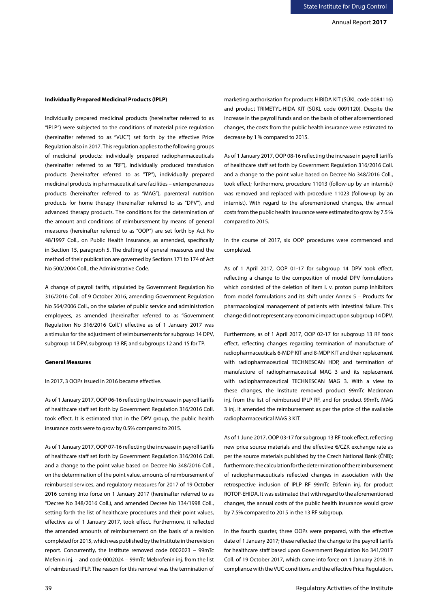# **Individually Prepared Medicinal Products (IPLP)**

Individually prepared medicinal products (hereinafter referred to as "IPLP") were subjected to the conditions of material price regulation (hereinafter referred to as "VUC") set forth by the effective Price Regulation also in 2017. This regulation applies to the following groups of medicinal products: individually prepared radiopharmaceuticals (hereinafter referred to as "RF"), individually produced transfusion products (hereinafter referred to as "TP"), individually prepared medicinal products in pharmaceutical care facilities – extemporaneous products (hereinafter referred to as "MAG"), parenteral nutrition products for home therapy (hereinafter referred to as "DPV"), and advanced therapy products. The conditions for the determination of the amount and conditions of reimbursement by means of general measures (hereinafter referred to as "OOP") are set forth by Act No 48/1997 Coll., on Public Health Insurance, as amended, specifically in Section 15, paragraph 5. The drafting of general measures and the method of their publication are governed by Sections 171 to 174 of Act No 500/2004 Coll., the Administrative Code.

A change of payroll tariffs, stipulated by Government Regulation No 316/2016 Coll. of 9 October 2016, amending Government Regulation No 564/2006 Coll., on the salaries of public service and administration employees, as amended (hereinafter referred to as "Government Regulation No 316/2016 Coll.") effective as of 1 January 2017 was a stimulus for the adjustment of reimbursements for subgroup 14 DPV, subgroup 14 DPV, subgroup 13 RF, and subgroups 12 and 15 for TP.

#### **General Measures**

In 2017, 3 OOPs issued in 2016 became effective.

As of 1 January 2017, OOP 06-16 reflecting the increase in payroll tariffs of healthcare staff set forth by Government Regulation 316/2016 Coll. took effect. It is estimated that in the DPV group, the public health insurance costs were to grow by 0.5% compared to 2015.

As of 1 January 2017, OOP 07-16 reflecting the increase in payroll tariffs of healthcare staff set forth by Government Regulation 316/2016 Coll. and a change to the point value based on Decree No 348/2016 Coll., on the determination of the point value, amounts of reimbursement of reimbursed services, and regulatory measures for 2017 of 19 October 2016 coming into force on 1 January 2017 (hereinafter referred to as "Decree No 348/2016 Coll.), and amended Decree No 134/1998 Coll., setting forth the list of healthcare procedures and their point values, effective as of 1 January 2017, took effect. Furthermore, it reflected the amended amounts of reimbursement on the basis of a revision completed for 2015, which was published by the Institute in the revision report. Concurrently, the Institute removed code 0002023 – 99mTc Mefenin inj. – and code 0002024 – 99mTc Mebrofenin inj. from the list of reimbursed IPLP. The reason for this removal was the termination of marketing authorisation for products HIBIDA KIT (SÚKL code 0084116) and product TRIMETYL-HIDA KIT (SÚKL code 0091120). Despite the increase in the payroll funds and on the basis of other aforementioned changes, the costs from the public health insurance were estimated to decrease by 1% compared to 2015.

As of 1 January 2017, OOP 08-16 reflecting the increase in payroll tariffs of healthcare staff set forth by Government Regulation 316/2016 Coll. and a change to the point value based on Decree No 348/2016 Coll., took effect; furthermore, procedure 11013 (follow-up by an internist) was removed and replaced with procedure 11023 (follow-up by an internist). With regard to the aforementioned changes, the annual costs from the public health insurance were estimated to grow by 7.5% compared to 2015.

In the course of 2017, six OOP procedures were commenced and completed.

As of 1 April 2017, OOP 01-17 for subgroup 14 DPV took effect, reflecting a change to the composition of model DPV formulations which consisted of the deletion of item i. v. proton pump inhibitors from model formulations and its shift under Annex 5 – Products for pharmacological management of patients with intestinal failure. This change did not represent any economic impact upon subgroup 14 DPV.

Furthermore, as of 1 April 2017, OOP 02-17 for subgroup 13 RF took effect, reflecting changes regarding termination of manufacture of radiopharmaceuticals 6-MDP KIT and 8-MDP KIT and their replacement with radiopharmaceutical TECHNESCAN HDP, and termination of manufacture of radiopharmaceutical MAG 3 and its replacement with radiopharmaceutical TECHNESCAN MAG 3. With a view to these changes, the Institute removed product 99mTc Medronan inj. from the list of reimbursed IPLP RF, and for product 99mTc MAG 3 inj. it amended the reimbursement as per the price of the available radiopharmaceutical MAG 3 KIT.

As of 1 June 2017, OOP 03-17 for subgroup 13 RF took effect, reflecting new price source materials and the effective €/CZK exchange rate as per the source materials published by the Czech National Bank (ČNB); furthermore, the calculation for the determination of the reimbursement of radiopharmaceuticals reflected changes in association with the retrospective inclusion of IPLP RF 99mTc Etifenin inj. for product ROTOP-EHIDA. It was estimated that with regard to the aforementioned changes, the annual costs of the public health insurance would grow by 7.5% compared to 2015 in the 13 RF subgroup.

In the fourth quarter, three OOPs were prepared, with the effective date of 1 January 2017; these reflected the change to the payroll tariffs for healthcare staff based upon Government Regulation No 341/2017 Coll. of 19 October 2017, which came into force on 1 January 2018. In compliance with the VUC conditions and the effective Price Regulation,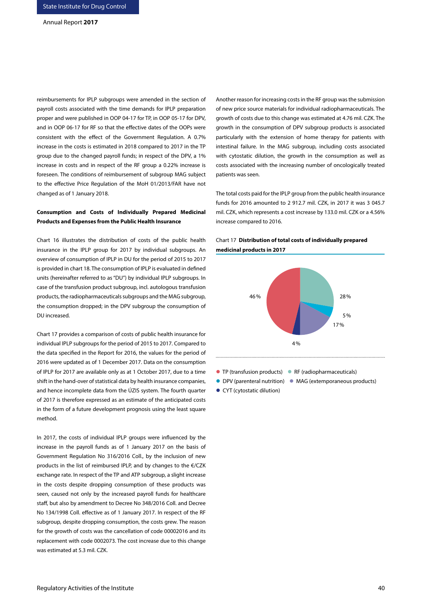reimbursements for IPLP subgroups were amended in the section of payroll costs associated with the time demands for IPLP preparation proper and were published in OOP 04-17 for TP, in OOP 05-17 for DPV, and in OOP 06-17 for RF so that the effective dates of the OOPs were consistent with the effect of the Government Regulation. A 0.7% increase in the costs is estimated in 2018 compared to 2017 in the TP group due to the changed payroll funds; in respect of the DPV, a 1% increase in costs and in respect of the RF group a 0.22% increase is foreseen. The conditions of reimbursement of subgroup MAG subject to the effective Price Regulation of the MoH 01/2013/FAR have not changed as of 1 January 2018.

# **Consumption and Costs of Individually Prepared Medicinal Products and Expenses from the Public Health Insurance**

Chart 16 illustrates the distribution of costs of the public health insurance in the IPLP group for 2017 by individual subgroups. An overview of consumption of IPLP in DU for the period of 2015 to 2017 is provided in chart 18. The consumption of IPLP is evaluated in defined units (hereinafter referred to as "DU") by individual IPLP subgroups. In case of the transfusion product subgroup, incl. autologous transfusion products, the radiopharmaceuticals subgroups and the MAG subgroup, the consumption dropped; in the DPV subgroup the consumption of DU increased.

Chart 17 provides a comparison of costs of public health insurance for individual IPLP subgroups for the period of 2015 to 2017. Compared to the data specified in the Report for 2016, the values for the period of 2016 were updated as of 1 December 2017. Data on the consumption of IPLP for 2017 are available only as at 1 October 2017, due to a time shift in the hand-over of statistical data by health insurance companies, and hence incomplete data from the ÚZIS system. The fourth quarter of 2017 is therefore expressed as an estimate of the anticipated costs in the form of a future development prognosis using the least square method.

In 2017, the costs of individual IPLP groups were influenced by the increase in the payroll funds as of 1 January 2017 on the basis of Government Regulation No 316/2016 Coll., by the inclusion of new products in the list of reimbursed IPLP, and by changes to the €/CZK exchange rate. In respect of the TP and ATP subgroup, a slight increase in the costs despite dropping consumption of these products was seen, caused not only by the increased payroll funds for healthcare staff, but also by amendment to Decree No 348/2016 Coll. and Decree No 134/1998 Coll. effective as of 1 January 2017. In respect of the RF subgroup, despite dropping consumption, the costs grew. The reason for the growth of costs was the cancellation of code 00002016 and its replacement with code 0002073. The cost increase due to this change was estimated at 5.3 mil. CZK.

Another reason for increasing costs in the RF group was the submission of new price source materials for individual radiopharmaceuticals. The growth of costs due to this change was estimated at 4.76 mil. CZK. The growth in the consumption of DPV subgroup products is associated particularly with the extension of home therapy for patients with intestinal failure. In the MAG subgroup, including costs associated with cytostatic dilution, the growth in the consumption as well as costs associated with the increasing number of oncologically treated patients was seen.

The total costs paid for the IPLP group from the public health insurance funds for 2016 amounted to 2 912.7 mil. CZK, in 2017 it was 3 045.7 mil. CZK, which represents a cost increase by 133.0 mil. CZK or a 4.56% increase compared to 2016.



# Chart 17 **Distribution of total costs of individually prepared medicinal products in 2017**

- TP (transfusion products) RF (radiopharmaceuticals)
- DPV (parenteral nutrition) MAG (extemporaneous products)
- CYT (cytostatic dilution)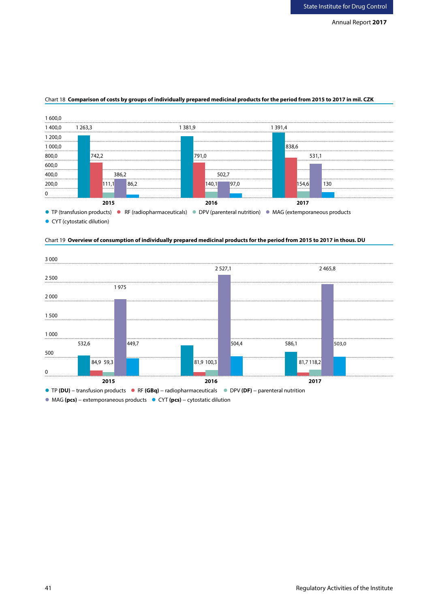

## Chart 18 **Comparison of costs by groups of individually prepared medicinal products for the period from 2015 to 2017 in mil. CZK**

● CYT (cytostatic dilution)





MAG **(pcs)** − extemporaneous products CYT **(pcs)** − cytostatic dilution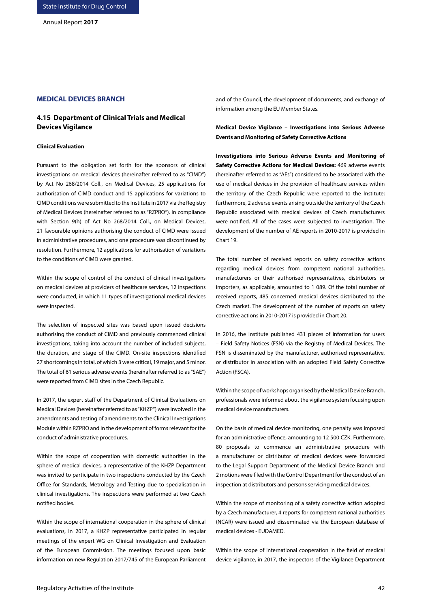# **MEDICAL DEVICES BRANCH**

# **4.15 Department of Clinical Trials and Medical Devices Vigilance**

#### **Clinical Evaluation**

Pursuant to the obligation set forth for the sponsors of clinical investigations on medical devices (hereinafter referred to as "CIMD") by Act No 268/2014 Coll., on Medical Devices, 25 applications for authorisation of CIMD conduct and 15 applications for variations to CIMD conditions were submitted to the Institute in 2017 via the Registry of Medical Devices (hereinafter referred to as "RZPRO"). In compliance with Section 9(h) of Act No 268/2014 Coll., on Medical Devices, 21 favourable opinions authorising the conduct of CIMD were issued in administrative procedures, and one procedure was discontinued by resolution. Furthermore, 12 applications for authorisation of variations to the conditions of CIMD were granted.

Within the scope of control of the conduct of clinical investigations on medical devices at providers of healthcare services, 12 inspections were conducted, in which 11 types of investigational medical devices were inspected.

The selection of inspected sites was based upon issued decisions authorising the conduct of CIMD and previously commenced clinical investigations, taking into account the number of included subjects, the duration, and stage of the CIMD. On-site inspections identified 27 shortcomings in total, of which 3 were critical, 19 major, and 5 minor. The total of 61 serious adverse events (hereinafter referred to as "SAE") were reported from CIMD sites in the Czech Republic.

In 2017, the expert staff of the Department of Clinical Evaluations on Medical Devices (hereinafter referred to as "KHZP") were involved in the amendments and testing of amendments to the Clinical Investigations Module within RZPRO and in the development of forms relevant for the conduct of administrative procedures.

Within the scope of cooperation with domestic authorities in the sphere of medical devices, a representative of the KHZP Department was invited to participate in two inspections conducted by the Czech Office for Standards, Metrology and Testing due to specialisation in clinical investigations. The inspections were performed at two Czech notified bodies.

Within the scope of international cooperation in the sphere of clinical evaluations, in 2017, a KHZP representative participated in regular meetings of the expert WG on Clinical Investigation and Evaluation of the European Commission. The meetings focused upon basic information on new Regulation 2017/745 of the European Parliament and of the Council, the development of documents, and exchange of information among the EU Member States.

**Medical Device Vigilance – Investigations into Serious Adverse Events and Monitoring of Safety Corrective Actions** 

**Investigations into Serious Adverse Events and Monitoring of Safety Corrective Actions for Medical Devices:** 469 adverse events (hereinafter referred to as "AEs") considered to be associated with the use of medical devices in the provision of healthcare services within the territory of the Czech Republic were reported to the Institute; furthermore, 2 adverse events arising outside the territory of the Czech Republic associated with medical devices of Czech manufacturers were notified. All of the cases were subjected to investigation. The development of the number of AE reports in 2010-2017 is provided in Chart 19.

The total number of received reports on safety corrective actions regarding medical devices from competent national authorities, manufacturers or their authorised representatives, distributors or importers, as applicable, amounted to 1 089. Of the total number of received reports, 485 concerned medical devices distributed to the Czech market. The development of the number of reports on safety corrective actions in 2010-2017 is provided in Chart 20.

In 2016, the Institute published 431 pieces of information for users – Field Safety Notices (FSN) via the Registry of Medical Devices. The FSN is disseminated by the manufacturer, authorised representative, or distributor in association with an adopted Field Safety Corrective Action (FSCA).

Within the scope of workshops organised by the Medical Device Branch, professionals were informed about the vigilance system focusing upon medical device manufacturers.

On the basis of medical device monitoring, one penalty was imposed for an administrative offence, amounting to 12 500 CZK. Furthermore, 80 proposals to commence an administrative procedure with a manufacturer or distributor of medical devices were forwarded to the Legal Support Department of the Medical Device Branch and 2 motions were filed with the Control Department for the conduct of an inspection at distributors and persons servicing medical devices.

Within the scope of monitoring of a safety corrective action adopted by a Czech manufacturer, 4 reports for competent national authorities (NCAR) were issued and disseminated via the European database of medical devices - EUDAMED.

Within the scope of international cooperation in the field of medical device vigilance, in 2017, the inspectors of the Vigilance Department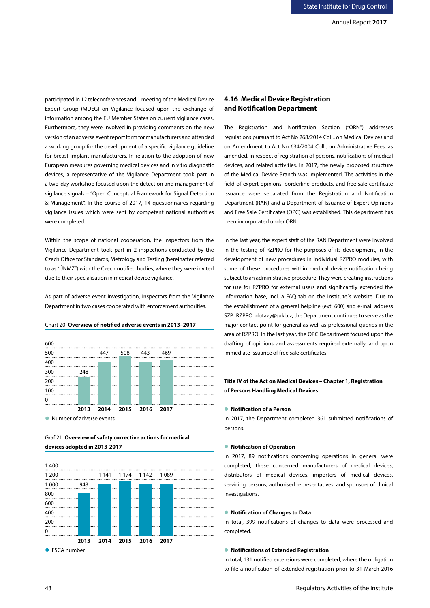participated in 12 teleconferences and 1 meeting of the Medical Device Expert Group (MDEG) on Vigilance focused upon the exchange of information among the EU Member States on current vigilance cases. Furthermore, they were involved in providing comments on the new version of an adverse event report form for manufacturers and attended a working group for the development of a specific vigilance guideline for breast implant manufacturers. In relation to the adoption of new European measures governing medical devices and in vitro diagnostic devices, a representative of the Vigilance Department took part in a two-day workshop focused upon the detection and management of vigilance signals – "Open Conceptual Framework for Signal Detection & Management". In the course of 2017, 14 questionnaires regarding vigilance issues which were sent by competent national authorities were completed.

Within the scope of national cooperation, the inspectors from the Vigilance Department took part in 2 inspections conducted by the Czech Office for Standards, Metrology and Testing (hereinafter referred to as "ÚNMZ") with the Czech notified bodies, where they were invited due to their specialisation in medical device vigilance.

As part of adverse event investigation, inspectors from the Vigilance Department in two cases cooperated with enforcement authorities.



#### Chart 20 **Overview of notified adverse events in 2013–2017**

Graf 21 **Overview of safety corrective actions for medical devices adopted in 2013-2017**



# **4.16 Medical Device Registration and Notification Department**

The Registration and Notification Section ("ORN") addresses regulations pursuant to Act No 268/2014 Coll., on Medical Devices and on Amendment to Act No 634/2004 Coll., on Administrative Fees, as amended, in respect of registration of persons, notifications of medical devices, and related activities. In 2017, the newly proposed structure of the Medical Device Branch was implemented. The activities in the field of expert opinions, borderline products, and free sale certificate issuance were separated from the Registration and Notification Department (RAN) and a Department of Issuance of Expert Opinions and Free Sale Certificates (OPC) was established. This department has been incorporated under ORN.

In the last year, the expert staff of the RAN Department were involved in the testing of RZPRO for the purposes of its development, in the development of new procedures in individual RZPRO modules, with some of these procedures within medical device notification being subject to an administrative procedure. They were creating instructions for use for RZPRO for external users and significantly extended the information base, incl. a FAQ tab on the Institute´s website. Due to the establishment of a general helpline (ext. 600) and e-mail address SZP\_RZPRO\_dotazy@sukl.cz, the Department continues to serve as the major contact point for general as well as professional queries in the area of RZPRO. In the last year, the OPC Department focused upon the drafting of opinions and assessments required externally, and upon immediate issuance of free sale certificates.

# **Title IV of the Act on Medical Devices – Chapter 1, Registration of Persons Handling Medical Devices**

### **Notification of a Person**

In 2017, the Department completed 361 submitted notifications of persons.

## **Notification of Operation**

In 2017, 89 notifications concerning operations in general were completed; these concerned manufacturers of medical devices, distributors of medical devices, importers of medical devices, servicing persons, authorised representatives, and sponsors of clinical investigations.

## **Notification of Changes to Data**

In total, 399 notifications of changes to data were processed and completed.

### **Notifications of Extended Registration**

In total, 131 notified extensions were completed, where the obligation to file a notification of extended registration prior to 31 March 2016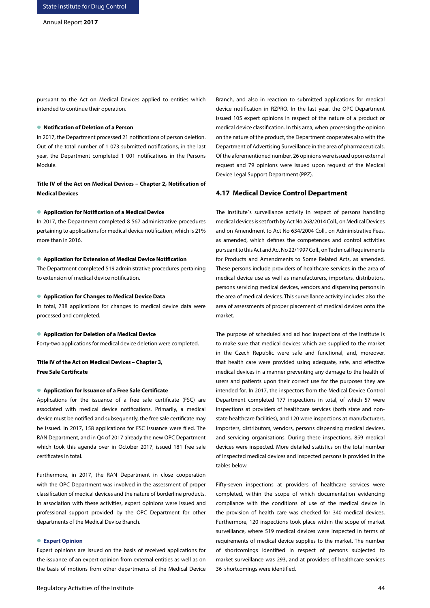pursuant to the Act on Medical Devices applied to entities which intended to continue their operation.

#### **Notification of Deletion of a Person**

In 2017, the Department processed 21 notifications of person deletion. Out of the total number of 1 073 submitted notifications, in the last year, the Department completed 1 001 notifications in the Persons Module.

**Title IV of the Act on Medical Devices – Chapter 2, Notification of Medical Devices**

#### **Application for Notification of a Medical Device**

In 2017, the Department completed 8 567 administrative procedures pertaining to applications for medical device notification, which is 21% more than in 2016.

#### **Application for Extension of Medical Device Notification**

The Department completed 519 administrative procedures pertaining to extension of medical device notification.

#### **Application for Changes to Medical Device Data**

In total, 738 applications for changes to medical device data were processed and completed.

#### **Application for Deletion of a Medical Device**

Forty-two applications for medical device deletion were completed.

# **Title IV of the Act on Medical Devices – Chapter 3, Free Sale Certificate**

#### **Application for Issuance of a Free Sale Certificate**

Applications for the issuance of a free sale certificate (FSC) are associated with medical device notifications. Primarily, a medical device must be notified and subsequently, the free sale certificate may be issued. In 2017, 158 applications for FSC issuance were filed. The RAN Department, and in Q4 of 2017 already the new OPC Department which took this agenda over in October 2017, issued 181 free sale certificates in total.

Furthermore, in 2017, the RAN Department in close cooperation with the OPC Department was involved in the assessment of proper classification of medical devices and the nature of borderline products. In association with these activities, expert opinions were issued and professional support provided by the OPC Department for other departments of the Medical Device Branch.

### **Expert Opinion**

Expert opinions are issued on the basis of received applications for the issuance of an expert opinion from external entities as well as on the basis of motions from other departments of the Medical Device Branch, and also in reaction to submitted applications for medical device notification in RZPRO. In the last year, the OPC Department issued 105 expert opinions in respect of the nature of a product or medical device classification. In this area, when processing the opinion on the nature of the product, the Department cooperates also with the Department of Advertising Surveillance in the area of pharmaceuticals. Of the aforementioned number, 26 opinions were issued upon external request and 79 opinions were issued upon request of the Medical Device Legal Support Department (PPZ).

# **4.17 Medical Device Control Department**

The Institute´s surveillance activity in respect of persons handling medical devices is set forth by Act No 268/2014 Coll., on Medical Devices and on Amendment to Act No 634/2004 Coll., on Administrative Fees, as amended, which defines the competences and control activities pursuant to this Act and Act No 22/1997 Coll., on Technical Requirements for Products and Amendments to Some Related Acts, as amended. These persons include providers of healthcare services in the area of medical device use as well as manufacturers, importers, distributors, persons servicing medical devices, vendors and dispensing persons in the area of medical devices. This surveillance activity includes also the area of assessments of proper placement of medical devices onto the market.

The purpose of scheduled and ad hoc inspections of the Institute is to make sure that medical devices which are supplied to the market in the Czech Republic were safe and functional, and, moreover, that health care were provided using adequate, safe, and effective medical devices in a manner preventing any damage to the health of users and patients upon their correct use for the purposes they are intended for. In 2017, the inspectors from the Medical Device Control Department completed 177 inspections in total, of which 57 were inspections at providers of healthcare services (both state and nonstate healthcare facilities), and 120 were inspections at manufacturers, importers, distributors, vendors, persons dispensing medical devices, and servicing organisations. During these inspections, 859 medical devices were inspected. More detailed statistics on the total number of inspected medical devices and inspected persons is provided in the tables below.

Fifty-seven inspections at providers of healthcare services were completed, within the scope of which documentation evidencing compliance with the conditions of use of the medical device in the provision of health care was checked for 340 medical devices. Furthermore, 120 inspections took place within the scope of market surveillance, where 519 medical devices were inspected in terms of requirements of medical device supplies to the market. The number of shortcomings identified in respect of persons subjected to market surveillance was 293, and at providers of healthcare services 36 shortcomings were identified.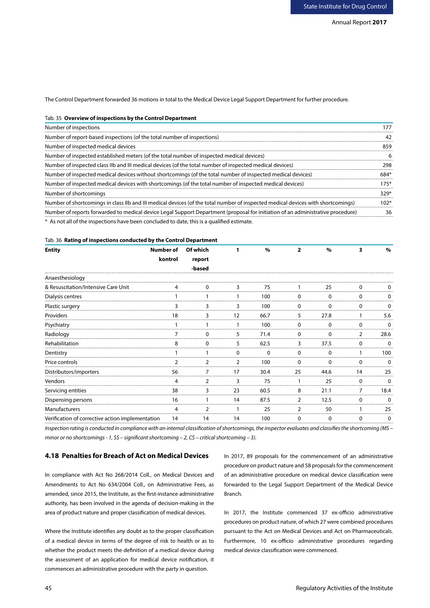The Control Department forwarded 36 motions in total to the Medical Device Legal Support Department for further procedure.

## Tab. 35 **Overview of inspections by the Control Department**

| Number of inspections                                                                                                            |      |
|----------------------------------------------------------------------------------------------------------------------------------|------|
| Number of report-based inspections (of the total number of inspections)                                                          |      |
| Number of inspected medical devices                                                                                              | 850  |
| Number of inspected established meters (of the total number of inspected medical devices)                                        |      |
| Number of inspected class IIb and III medical devices (of the total number of inspected medical devices)                         | 9٥۶  |
| Number of inspected medical devices without shortcomings (of the total number of inspected medical devices)                      |      |
| Number of inspected medical devices with shortcomings (of the total number of inspected medical devices)                         | 175  |
| Number of shortcomings                                                                                                           | 329  |
| Number of shortcomings in class IIb and III medical devices (of the total number of inspected medical devices with shortcomings) | 1∩ว∘ |
| Number of reports forwarded to medical device Legal Support Department (proposal for initiation of an administrative procedure)  |      |
| * As not all of the inspections have been concluded to date, this is a qualified estimate.                                       |      |

#### Tab. 36 **Rating of inspections conducted by the Control Department**

| <b>Entity</b>                                    | Number of | Of which |    | $\%$ | $\overline{\phantom{a}}$ | $\%$ |    | $\%$ |
|--------------------------------------------------|-----------|----------|----|------|--------------------------|------|----|------|
|                                                  | kontrol   | report   |    |      |                          |      |    |      |
|                                                  |           | -based   |    |      |                          |      |    |      |
| Anaesthesiology                                  |           |          |    |      |                          |      |    |      |
| & Resuscitation/Intensive Care Unit              |           |          |    | 75   |                          | 25   |    |      |
| Dialysis centres                                 |           |          |    | 100  | ŋ                        | U    |    |      |
| Plastic surgery                                  |           |          |    | 100  | ∩                        | ∩    |    |      |
| Providers                                        |           |          | 12 | 66.7 | 5                        | 27.8 |    | 5.6  |
| Psychiatry                                       |           |          |    | 100  | ŋ                        | U    |    |      |
| Radiology                                        |           |          |    | 71.4 | ŋ                        |      |    | 28.6 |
| Rehabilitation                                   |           |          | 5  | 62.5 | 3                        | 37.5 |    |      |
| Dentistry                                        |           |          |    |      |                          |      |    | LOO  |
| Price controls                                   |           |          |    | 100  |                          |      |    |      |
| Distributors/importers                           | 56        |          | 17 | 30.4 | 25                       | 44.6 | 14 | 25   |
| <b>Vendors</b>                                   |           | 2        | 3  | 75   |                          | 25   | 0  |      |
| Servicing entities                               | 38        | 3        | 23 | 60.5 | 8                        | 21.1 |    | 18.4 |
| Dispensing persons                               | 16        |          | 14 | 87.5 | 2                        | 12.5 |    |      |
| Manufacturers                                    |           |          |    | 25   |                          | 50   |    | 25   |
| Verification of corrective action implementation | 14        | 14       | 14 | 100  | 0                        | 0    | 0  |      |

*Inspection rating is conducted in compliance with an internal classification of shortcomings, the inspector evaluates and classifies the shortcoming (MS – minor or no shortcomings - 1, SS – significant shortcoming – 2, CS – critical shortcoming – 3).* 

## **4.18 Penalties for Breach of Act on Medical Devices**

In compliance with Act No 268/2014 Coll., on Medical Devices and Amendments to Act No 634/2004 Coll., on Administrative Fees, as amended, since 2015, the Institute, as the first-instance administrative authority, has been involved in the agenda of decision-making in the area of product nature and proper classification of medical devices.

Where the Institute identifies any doubt as to the proper classification of a medical device in terms of the degree of risk to health or as to whether the product meets the definition of a medical device during the assessment of an application for medical device notification, it commences an administrative procedure with the party in question.

In 2017, 89 proposals for the commencement of an administrative procedure on product nature and 58 proposals for the commencement of an administrative procedure on medical device classification were forwarded to the Legal Support Department of the Medical Device Branch.

In 2017, the Institute commenced 37 ex-officio administrative procedures on product nature, of which 27 were combined procedures pursuant to the Act on Medical Devices and Act on Pharmaceuticals. Furthermore, 10 ex-officio administrative procedures regarding medical device classification were commenced.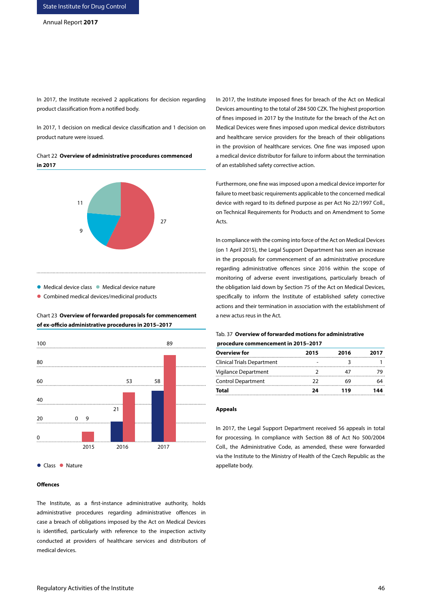In 2017, the Institute received 2 applications for decision regarding product classification from a notified body.

In 2017, 1 decision on medical device classification and 1 decision on product nature were issued.

Chart 22 **Overview of administrative procedures commenced in 2017**



● Medical device class ● Medical device nature

**Combined medical devices/medicinal products** 



# Chart 23 **Overview of forwarded proposals for commencement of ex-officio administrative procedures in 2015–2017**

## **Offences**

The Institute, as a first-instance administrative authority, holds administrative procedures regarding administrative offences in case a breach of obligations imposed by the Act on Medical Devices is identified, particularly with reference to the inspection activity conducted at providers of healthcare services and distributors of medical devices.

In 2017, the Institute imposed fines for breach of the Act on Medical Devices amounting to the total of 284 500 CZK. The highest proportion of fines imposed in 2017 by the Institute for the breach of the Act on Medical Devices were fines imposed upon medical device distributors and healthcare service providers for the breach of their obligations in the provision of healthcare services. One fine was imposed upon a medical device distributor for failure to inform about the termination of an established safety corrective action.

Furthermore, one fine was imposed upon a medical device importer for failure to meet basic requirements applicable to the concerned medical device with regard to its defined purpose as per Act No 22/1997 Coll., on Technical Requirements for Products and on Amendment to Some Acts.

In compliance with the coming into force of the Act on Medical Devices (on 1 April 2015), the Legal Support Department has seen an increase in the proposals for commencement of an administrative procedure regarding administrative offences since 2016 within the scope of monitoring of adverse event investigations, particularly breach of the obligation laid down by Section 75 of the Act on Medical Devices, specifically to inform the Institute of established safety corrective actions and their termination in association with the establishment of a new actus reus in the Act.

## Tab. 37 **Overview of forwarded motions for administrative procedure commencement in 2015–2017**

| 2015 | 2016 | 2017 |
|------|------|------|
|      |      |      |
|      |      |      |
| つつ   | 69   |      |
| 24   | 119  | 144  |
|      |      |      |

#### **Appeals**

In 2017, the Legal Support Department received 56 appeals in total for processing. In compliance with Section 88 of Act No 500/2004 Coll., the Administrative Code, as amended, these were forwarded via the Institute to the Ministry of Health of the Czech Republic as the appellate body.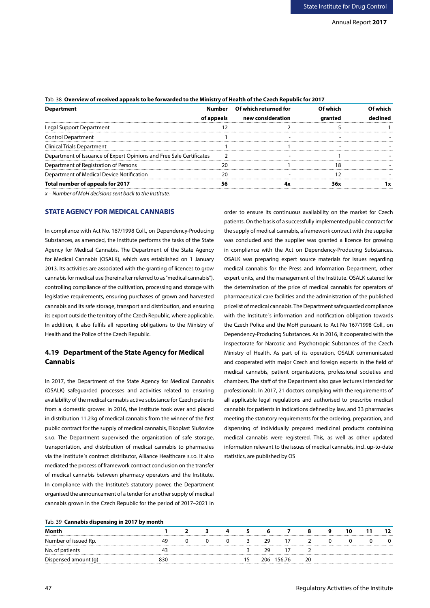| <b>Department</b>                                                    |            | Number Of which returned for | Of which | Of which |
|----------------------------------------------------------------------|------------|------------------------------|----------|----------|
|                                                                      | of appeals | new consideration            | aranted  |          |
| Legal Support Department                                             |            |                              |          |          |
| Control Department                                                   |            |                              |          |          |
| <b>Clinical Trials Department</b>                                    |            |                              |          |          |
| Department of Issuance of Expert Opinions and Free Sale Certificates |            |                              |          |          |
| Department of Registration of Persons                                |            |                              |          |          |
| Department of Medical Device Notification                            |            |                              |          |          |
| Total number of appeals for 2017                                     |            |                              | 36x      |          |

# Tab. 38 **Overview of received appeals to be forwarded to the Ministry of Health of the Czech Republic for 2017**

*x – Number of MoH decisions sent back to the Institute.*

# **STATE AGENCY FOR MEDICAL CANNABIS**

In compliance with Act No. 167/1998 Coll., on Dependency-Producing Substances, as amended, the Institute performs the tasks of the State Agency for Medical Cannabis. The Department of the State Agency for Medical Cannabis (OSALK), which was established on 1 January 2013. Its activities are associated with the granting of licences to grow cannabis for medical use (hereinafter referred to as "medical cannabis"), controlling compliance of the cultivation, processing and storage with legislative requirements, ensuring purchases of grown and harvested cannabis and its safe storage, transport and distribution, and ensuring its export outside the territory of the Czech Republic, where applicable. In addition, it also fulfils all reporting obligations to the Ministry of Health and the Police of the Czech Republic.

# **4.19 Department of the State Agency for Medical Cannabis**

In 2017, the Department of the State Agency for Medical Cannabis (OSALK) safeguarded processes and activities related to ensuring availability of the medical cannabis active substance for Czech patients from a domestic grower. In 2016, the Institute took over and placed in distribution 11.2kg of medical cannabis from the winner of the first public contract for the supply of medical cannabis, Elkoplast Slušovice s.r.o. The Department supervised the organisation of safe storage, transportation, and distribution of medical cannabis to pharmacies via the Institute´s contract distributor, Alliance Healthcare s.r.o. It also mediated the process of framework contract conclusion on the transfer of medical cannabis between pharmacy operators and the Institute. In compliance with the Institute's statutory power, the Department organised the announcement of a tender for another supply of medical cannabis grown in the Czech Republic for the period of 2017–2021 in patients. On the basis of a successfully implemented public contract for the supply of medical cannabis, a framework contract with the supplier was concluded and the supplier was granted a licence for growing in compliance with the Act on Dependency-Producing Substances. OSALK was preparing expert source materials for issues regarding medical cannabis for the Press and Information Department, other expert units, and the management of the Institute. OSALK catered for the determination of the price of medical cannabis for operators of pharmaceutical care facilities and the administration of the published pricelist of medical cannabis. The Department safeguarded compliance with the Institute´s information and notification obligation towards the Czech Police and the MoH pursuant to Act No 167/1998 Coll., on Dependency-Producing Substances. As in 2016, it cooperated with the Inspectorate for Narcotic and Psychotropic Substances of the Czech Ministry of Health. As part of its operation, OSALK communicated and cooperated with major Czech and foreign experts in the field of medical cannabis, patient organisations, professional societies and chambers. The staff of the Department also gave lectures intended for professionals. In 2017, 21 doctors complying with the requirements of all applicable legal regulations and authorised to prescribe medical cannabis for patients in indications defined by law, and 33 pharmacies meeting the statutory requirements for the ordering, preparation, and dispensing of individually prepared medicinal products containing medical cannabis were registered. This, as well as other updated information relevant to the issues of medical cannabis, incl. up-to-date statistics, are published by OS

order to ensure its continuous availability on the market for Czech

## Tab. 39 **Cannabis dispensing in 2017 by month**

| Number of issued Rp. |     |  |  | 29   |        |    |  |  |
|----------------------|-----|--|--|------|--------|----|--|--|
| patients             |     |  |  |      |        |    |  |  |
| Dispensed amount (q) | १३८ |  |  | 206. | 156.76 | 20 |  |  |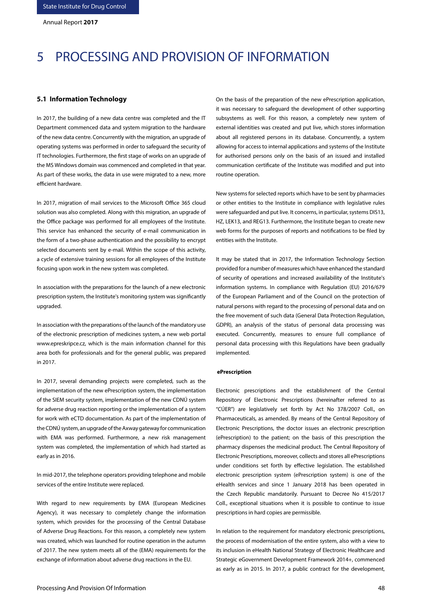# 5 PROCESSING AND PROVISION OF INFORMATION

## **5.1 Information Technology**

In 2017, the building of a new data centre was completed and the IT Department commenced data and system migration to the hardware of the new data centre. Concurrently with the migration, an upgrade of operating systems was performed in order to safeguard the security of IT technologies. Furthermore, the first stage of works on an upgrade of the MS Windows domain was commenced and completed in that year. As part of these works, the data in use were migrated to a new, more efficient hardware.

In 2017, migration of mail services to the Microsoft Office 365 cloud solution was also completed. Along with this migration, an upgrade of the Office package was performed for all employees of the Institute. This service has enhanced the security of e-mail communication in the form of a two-phase authentication and the possibility to encrypt selected documents sent by e-mail. Within the scope of this activity, a cycle of extensive training sessions for all employees of the Institute focusing upon work in the new system was completed.

In association with the preparations for the launch of a new electronic prescription system, the Institute's monitoring system was significantly upgraded.

In association with the preparations of the launch of the mandatory use of the electronic prescription of medicines system, a new web portal www.epreskripce.cz, which is the main information channel for this area both for professionals and for the general public, was prepared in 2017.

In 2017, several demanding projects were completed, such as the implementation of the new ePrescription system, the implementation of the SIEM security system, implementation of the new CDNÚ system for adverse drug reaction reporting or the implementation of a system for work with eCTD documentation. As part of the implementation of the CDNÚ system, an upgrade of the Axway gateway for communication with EMA was performed. Furthermore, a new risk management system was completed, the implementation of which had started as early as in 2016.

In mid-2017, the telephone operators providing telephone and mobile services of the entire Institute were replaced.

With regard to new requirements by EMA (European Medicines Agency), it was necessary to completely change the information system, which provides for the processing of the Central Database of Adverse Drug Reactions. For this reason, a completely new system was created, which was launched for routine operation in the autumn of 2017. The new system meets all of the (EMA) requirements for the exchange of information about adverse drug reactions in the EU.

On the basis of the preparation of the new ePrescription application, it was necessary to safeguard the development of other supporting subsystems as well. For this reason, a completely new system of external identities was created and put live, which stores information about all registered persons in its database. Concurrently, a system allowing for access to internal applications and systems of the Institute for authorised persons only on the basis of an issued and installed communication certificate of the Institute was modified and put into routine operation.

New systems for selected reports which have to be sent by pharmacies or other entities to the Institute in compliance with legislative rules were safeguarded and put live. It concerns, in particular, systems DIS13, HZ, LEK13, and REG13. Furthermore, the Institute began to create new web forms for the purposes of reports and notifications to be filed by entities with the Institute.

It may be stated that in 2017, the Information Technology Section provided for a number of measures which have enhanced the standard of security of operations and increased availability of the Institute's information systems. In compliance with Regulation (EU) 2016/679 of the European Parliament and of the Council on the protection of natural persons with regard to the processing of personal data and on the free movement of such data (General Data Protection Regulation, GDPR), an analysis of the status of personal data processing was executed. Concurrently, measures to ensure full compliance of personal data processing with this Regulations have been gradually implemented.

#### **ePrescription**

Electronic prescriptions and the establishment of the Central Repository of Electronic Prescriptions (hereinafter referred to as "CÚER") are legislatively set forth by Act No 378/2007 Coll., on Pharmaceuticals, as amended. By means of the Central Repository of Electronic Prescriptions, the doctor issues an electronic prescription (ePrescription) to the patient; on the basis of this prescription the pharmacy dispenses the medicinal product. The Central Repository of Electronic Prescriptions, moreover, collects and stores all ePrescriptions under conditions set forth by effective legislation. The established electronic prescription system (ePrescription system) is one of the eHealth services and since 1 January 2018 has been operated in the Czech Republic mandatorily. Pursuant to Decree No 415/2017 Coll., exceptional situations when it is possible to continue to issue prescriptions in hard copies are permissible.

In relation to the requirement for mandatory electronic prescriptions, the process of modernisation of the entire system, also with a view to its inclusion in eHealth National Strategy of Electronic Healthcare and Strategic eGovernment Development Framework 2014+, commenced as early as in 2015. In 2017, a public contract for the development,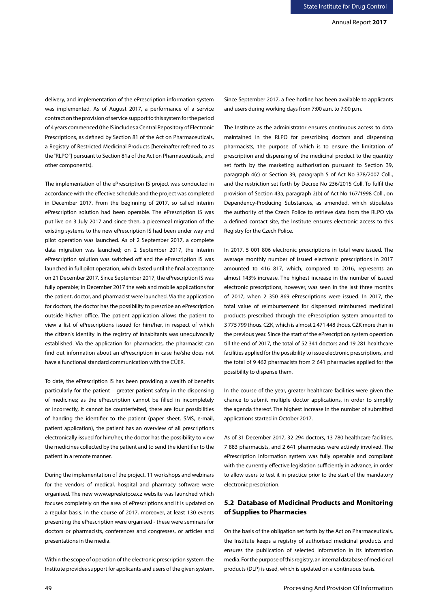delivery, and implementation of the ePrescription information system was implemented. As of August 2017, a performance of a service contract on the provision of service support to this system for the period of 4 years commenced (the IS includes a Central Repository of Electronic Prescriptions, as defined by Section 81 of the Act on Pharmaceuticals, a Registry of Restricted Medicinal Products [hereinafter referred to as the "RLPO"] pursuant to Section 81a of the Act on Pharmaceuticals, and other components).

The implementation of the ePrescription IS project was conducted in accordance with the effective schedule and the project was completed in December 2017. From the beginning of 2017, so called interim ePrescription solution had been operable. The ePrescription IS was put live on 3 July 2017 and since then, a piecemeal migration of the existing systems to the new ePrescription IS had been under way and pilot operation was launched. As of 2 September 2017, a complete data migration was launched; on 2 September 2017, the interim ePrescription solution was switched off and the ePrescription IS was launched in full pilot operation, which lasted until the final acceptance on 21 December 2017. Since September 2017, the ePrescription IS was fully operable; in December 2017 the web and mobile applications for the patient, doctor, and pharmacist were launched. Via the application for doctors, the doctor has the possibility to prescribe an ePrescription outside his/her office. The patient application allows the patient to view a list of ePrescriptions issued for him/her, in respect of which the citizen's identity in the registry of inhabitants was unequivocally established. Via the application for pharmacists, the pharmacist can find out information about an ePrescription in case he/she does not have a functional standard communication with the CÚER.

To date, the ePrescription IS has been providing a wealth of benefits particularly for the patient – greater patient safety in the dispensing of medicines; as the ePrescription cannot be filled in incompletely or incorrectly, it cannot be counterfeited, there are four possibilities of handing the identifier to the patient (paper sheet, SMS, e-mail, patient application), the patient has an overview of all prescriptions electronically issued for him/her, the doctor has the possibility to view the medicines collected by the patient and to send the identifier to the patient in a remote manner.

During the implementation of the project, 11 workshops and webinars for the vendors of medical, hospital and pharmacy software were organised. The new www.epreskripce.cz website was launched which focuses completely on the area of ePrescriptions and it is updated on a regular basis. In the course of 2017, moreover, at least 130 events presenting the ePrescription were organised - these were seminars for doctors or pharmacists, conferences and congresses, or articles and presentations in the media.

Within the scope of operation of the electronic prescription system, the Institute provides support for applicants and users of the given system.

Since September 2017, a free hotline has been available to applicants and users during working days from 7:00 a.m. to 7:00 p.m.

The Institute as the administrator ensures continuous access to data maintained in the RLPO for prescribing doctors and dispensing pharmacists, the purpose of which is to ensure the limitation of prescription and dispensing of the medicinal product to the quantity set forth by the marketing authorisation pursuant to Section 39, paragraph 4(c) or Section 39, paragraph 5 of Act No 378/2007 Coll., and the restriction set forth by Decree No 236/2015 Coll. To fulfil the provision of Section 43a, paragraph 2(b) of Act No 167/1998 Coll., on Dependency-Producing Substances, as amended, which stipulates the authority of the Czech Police to retrieve data from the RLPO via a defined contact site, the Institute ensures electronic access to this Registry for the Czech Police.

In 2017, 5 001 806 electronic prescriptions in total were issued. The average monthly number of issued electronic prescriptions in 2017 amounted to 416 817, which, compared to 2016, represents an almost 143% increase. The highest increase in the number of issued electronic prescriptions, however, was seen in the last three months of 2017, when 2 350 869 ePrescriptions were issued. In 2017, the total value of reimbursement for dispensed reimbursed medicinal products prescribed through the ePrescription system amounted to 3 775 799 thous. CZK, which is almost 2 471 448 thous. CZK more than in the previous year. Since the start of the ePrescription system operation till the end of 2017, the total of 52 341 doctors and 19 281 healthcare facilities applied for the possibility to issue electronic prescriptions, and the total of 9 462 pharmacists from 2 641 pharmacies applied for the possibility to dispense them.

In the course of the year, greater healthcare facilities were given the chance to submit multiple doctor applications, in order to simplify the agenda thereof. The highest increase in the number of submitted applications started in October 2017.

As of 31 December 2017, 32 294 doctors, 13 780 healthcare facilities, 7 883 pharmacists, and 2 641 pharmacies were actively involved. The ePrescription information system was fully operable and compliant with the currently effective legislation sufficiently in advance, in order to allow users to test it in practice prior to the start of the mandatory electronic prescription.

# **5.2 Database of Medicinal Products and Monitoring of Supplies to Pharmacies**

On the basis of the obligation set forth by the Act on Pharmaceuticals, the Institute keeps a registry of authorised medicinal products and ensures the publication of selected information in its information media. For the purpose of this registry, an internal database of medicinal products (DLP) is used, which is updated on a continuous basis.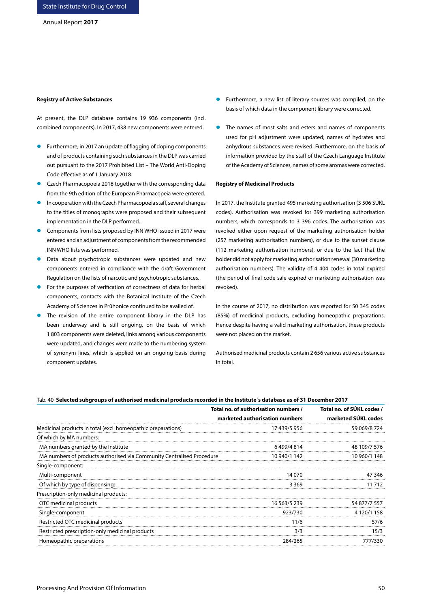### **Registry of Active Substances**

At present, the DLP database contains 19 936 components (incl. combined components). In 2017, 438 new components were entered.

- **•** Furthermore, in 2017 an update of flagging of doping components and of products containing such substances in the DLP was carried out pursuant to the 2017 Prohibited List – The World Anti-Doping Code effective as of 1 January 2018.
- Czech Pharmacopoeia 2018 together with the corresponding data from the 9th edition of the European Pharmacopeia were entered.
- In cooperation with the Czech Pharmacopoeia staff, several changes to the titles of monographs were proposed and their subsequent implementation in the DLP performed.
- **Components from lists proposed by INN WHO issued in 2017 were** entered and an adjustment of components from the recommended INN WHO lists was performed.
- **•** Data about psychotropic substances were updated and new components entered in compliance with the draft Government Regulation on the lists of narcotic and psychotropic substances.
- **•** For the purposes of verification of correctness of data for herbal components, contacts with the Botanical Institute of the Czech Academy of Sciences in Průhonice continued to be availed of.
- The revision of the entire component library in the DLP has been underway and is still ongoing, on the basis of which 1 803 components were deleted, links among various components were updated, and changes were made to the numbering system of synonym lines, which is applied on an ongoing basis during component updates.
- **•** Furthermore, a new list of literary sources was compiled, on the basis of which data in the component library were corrected.
- The names of most salts and esters and names of components used for pH adjustment were updated; names of hydrates and anhydrous substances were revised. Furthermore, on the basis of information provided by the staff of the Czech Language Institute of the Academy of Sciences, names of some aromas were corrected.

#### **Registry of Medicinal Products**

In 2017, the Institute granted 495 marketing authorisation (3 506 SÚKL codes). Authorisation was revoked for 399 marketing authorisation numbers, which corresponds to 3 396 codes. The authorisation was revoked either upon request of the marketing authorisation holder (257 marketing authorisation numbers), or due to the sunset clause (112 marketing authorisation numbers), or due to the fact that the holder did not apply for marketing authorisation renewal (30 marketing authorisation numbers). The validity of 4 404 codes in total expired (the period of final code sale expired or marketing authorisation was revoked).

In the course of 2017, no distribution was reported for 50 345 codes (85%) of medicinal products, excluding homeopathic preparations. Hence despite having a valid marketing authorisation, these products were not placed on the market.

Authorised medicinal products contain 2 656 various active substances in total.

#### Tab. 40 **Selected subgroups of authorised medicinal products recorded in the Institute´s database as of 31 December 2017**

|                                                                       | Total no. of authorisation numbers / | Total no. of SUKL codes / |
|-----------------------------------------------------------------------|--------------------------------------|---------------------------|
|                                                                       | marketed authorisation numbers       | marketed SÚKL codes       |
| Medicinal products in total (excl. homeopathic preparations)          | 17 439/5 956                         | 59 069/8 724              |
| Of which by MA numbers:                                               |                                      |                           |
| MA numbers granted by the Institute                                   | 6499/4814                            | 48 109/7 576              |
| MA numbers of products authorised via Community Centralised Procedure | 10 940/1 142                         | 10 960/1 148              |
| Single-component:                                                     |                                      |                           |
| Multi-component                                                       | 14 070                               | 47 346                    |
| Of which by type of dispensing:                                       | 3 3 6 9                              | 11 712                    |
| Prescription-only medicinal products:                                 |                                      |                           |
| OTC medicinal products                                                | 16 563/5 239                         | 54 877/7 557              |
| Single-component                                                      | 923/730                              | 4 120/1 158               |
| Restricted OTC medicinal products                                     | 11/6                                 | 57/6                      |
| Restricted prescription-only medicinal products                       | 3/3                                  | 15/3                      |
| Homeopathic preparations                                              | 284/265                              | 777/330                   |
|                                                                       |                                      |                           |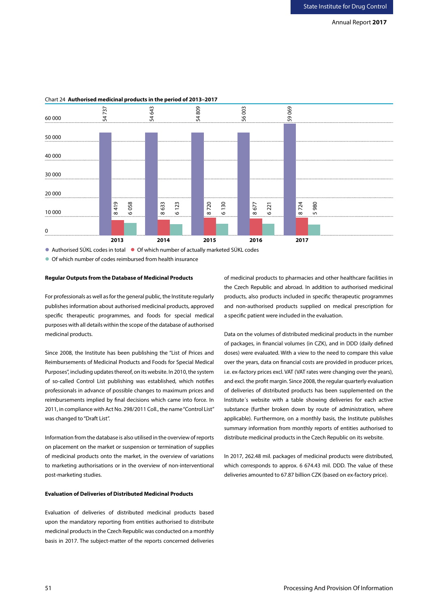

# Chart 24 **Authorised medicinal products in the period of 2013–2017**

● Authorised SÚKL codes in total ● Of which number of actually marketed SÚKL codes

# **Regular Outputs from the Database of Medicinal Products**

For professionals as well as for the general public, the Institute regularly publishes information about authorised medicinal products, approved specific therapeutic programmes, and foods for special medical purposes with all details within the scope of the database of authorised medicinal products.

Since 2008, the Institute has been publishing the "List of Prices and Reimbursements of Medicinal Products and Foods for Special Medical Purposes", including updates thereof, on its website. In 2010, the system of so-called Control List publishing was established, which notifies professionals in advance of possible changes to maximum prices and reimbursements implied by final decisions which came into force. In 2011, in compliance with Act No. 298/2011 Coll., the name "Control List" was changed to "Draft List".

Information from the database is also utilised in the overview of reports on placement on the market or suspension or termination of supplies of medicinal products onto the market, in the overview of variations to marketing authorisations or in the overview of non-interventional post-marketing studies.

## **Evaluation of Deliveries of Distributed Medicinal Products**

Evaluation of deliveries of distributed medicinal products based upon the mandatory reporting from entities authorised to distribute medicinal products in the Czech Republic was conducted on a monthly basis in 2017. The subject-matter of the reports concerned deliveries

of medicinal products to pharmacies and other healthcare facilities in the Czech Republic and abroad. In addition to authorised medicinal products, also products included in specific therapeutic programmes and non-authorised products supplied on medical prescription for a specific patient were included in the evaluation.

Data on the volumes of distributed medicinal products in the number of packages, in financial volumes (in CZK), and in DDD (daily defined doses) were evaluated. With a view to the need to compare this value over the years, data on financial costs are provided in producer prices, i.e. ex-factory prices excl. VAT (VAT rates were changing over the years), and excl. the profit margin. Since 2008, the regular quarterly evaluation of deliveries of distributed products has been supplemented on the Institute´s website with a table showing deliveries for each active substance (further broken down by route of administration, where applicable). Furthermore, on a monthly basis, the Institute publishes summary information from monthly reports of entities authorised to distribute medicinal products in the Czech Republic on its website.

In 2017, 262.48 mil. packages of medicinal products were distributed, which corresponds to approx. 6 674.43 mil. DDD. The value of these deliveries amounted to 67.87 billion CZK (based on ex-factory price).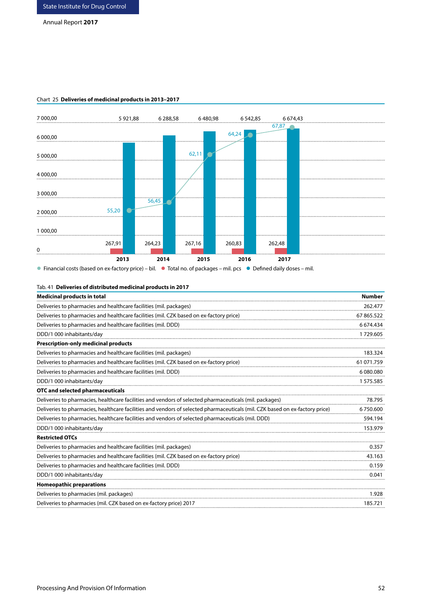# Annual Report **2017**



## Chart 25 **Deliveries of medicinal products in 2013–2017**

■ Financial costs (based on ex-factory price) – bil. ■ Total no. of packages – mil. pcs ● Defined daily doses – mil.

|  |  |  |  | Tab. 41 Deliveries of distributed medicinal products in 2017 |
|--|--|--|--|--------------------------------------------------------------|
|--|--|--|--|--------------------------------------------------------------|

| <b>Medicinal products in total</b>                                                                                           | <b>Number</b> |
|------------------------------------------------------------------------------------------------------------------------------|---------------|
| Deliveries to pharmacies and healthcare facilities (mil. packages)                                                           | 262.477       |
| Deliveries to pharmacies and healthcare facilities (mil. CZK based on ex-factory price)                                      | 67865.522     |
| Deliveries to pharmacies and healthcare facilities (mil. DDD)                                                                | 6674.434      |
| DDD/1 000 inhabitants/day                                                                                                    | 1729.605      |
| <b>Prescription-only medicinal products</b>                                                                                  |               |
| Deliveries to pharmacies and healthcare facilities (mil. packages)                                                           | 183.324       |
| Deliveries to pharmacies and healthcare facilities (mil. CZK based on ex-factory price)                                      | 61 071.759    |
| Deliveries to pharmacies and healthcare facilities (mil. DDD)                                                                | 6 080.080     |
| DDD/1 000 inhabitants/day                                                                                                    | 1575.585      |
| OTC and selected pharmaceuticals                                                                                             |               |
| Deliveries to pharmacies, healthcare facilities and vendors of selected pharmaceuticals (mil. packages)                      | 78.795        |
| Deliveries to pharmacies, healthcare facilities and vendors of selected pharmaceuticals (mil. CZK based on ex-factory price) | 6750.600      |
| Deliveries to pharmacies, healthcare facilities and vendors of selected pharmaceuticals (mil. DDD)                           | 594.194       |
| DDD/1 000 inhabitants/day                                                                                                    | 153.979       |
| <b>Restricted OTCs</b>                                                                                                       |               |
| Deliveries to pharmacies and healthcare facilities (mil. packages)                                                           | 0.357         |
| Deliveries to pharmacies and healthcare facilities (mil. CZK based on ex-factory price)                                      | 43.163        |
| Deliveries to pharmacies and healthcare facilities (mil. DDD)                                                                | 0.159         |
| DDD/1 000 inhabitants/day                                                                                                    | 0.041         |
| <b>Homeopathic preparations</b>                                                                                              |               |
| Deliveries to pharmacies (mil. packages)                                                                                     | 1.928         |
| Deliveries to pharmacies (mil. CZK based on ex-factory price) 2017                                                           | 185.721       |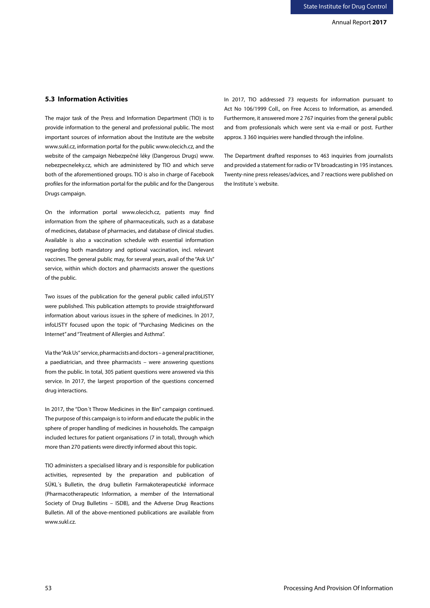# **5.3 Information Activities**

The major task of the Press and Information Department (TIO) is to provide information to the general and professional public. The most important sources of information about the Institute are the website www.sukl.cz, information portal for the public www.olecich.cz, and the website of the campaign Nebezpečné léky (Dangerous Drugs) www. nebezpecneleky.cz, which are administered by TIO and which serve both of the aforementioned groups. TIO is also in charge of Facebook profiles for the information portal for the public and for the Dangerous Drugs campaign.

On the information portal www.olecich.cz, patients may find information from the sphere of pharmaceuticals, such as a database of medicines, database of pharmacies, and database of clinical studies. Available is also a vaccination schedule with essential information regarding both mandatory and optional vaccination, incl. relevant vaccines. The general public may, for several years, avail of the "Ask Us" service, within which doctors and pharmacists answer the questions of the public.

Two issues of the publication for the general public called infoLISTY were published. This publication attempts to provide straightforward information about various issues in the sphere of medicines. In 2017, infoLISTY focused upon the topic of "Purchasing Medicines on the Internet" and "Treatment of Allergies and Asthma".

Via the "Ask Us" service, pharmacists and doctors – a general practitioner, a paediatrician, and three pharmacists – were answering questions from the public. In total, 305 patient questions were answered via this service. In 2017, the largest proportion of the questions concerned drug interactions.

In 2017, the "Don´t Throw Medicines in the Bin" campaign continued. The purpose of this campaign is to inform and educate the public in the sphere of proper handling of medicines in households. The campaign included lectures for patient organisations (7 in total), through which more than 270 patients were directly informed about this topic.

TIO administers a specialised library and is responsible for publication activities, represented by the preparation and publication of SÚKL´s Bulletin, the drug bulletin Farmakoterapeutické informace (Pharmacotherapeutic Information, a member of the International Society of Drug Bulletins – ISDB), and the Adverse Drug Reactions Bulletin. All of the above-mentioned publications are available from www.sukl.cz.

In 2017, TIO addressed 73 requests for information pursuant to Act No 106/1999 Coll., on Free Access to Information, as amended. Furthermore, it answered more 2 767 inquiries from the general public and from professionals which were sent via e-mail or post. Further approx. 3 360 inquiries were handled through the infoline.

The Department drafted responses to 463 inquiries from journalists and provided a statement for radio or TV broadcasting in 195 instances. Twenty-nine press releases/advices, and 7 reactions were published on the Institute´s website.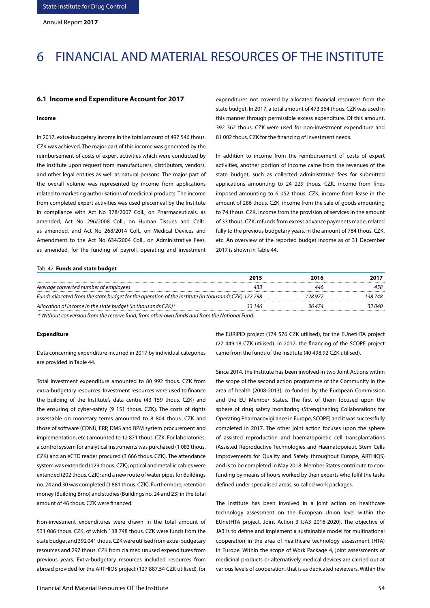# 6 FINANCIAL AND MATERIAL RESOURCES OF THE INSTITUTE

### **6.1 Income and Expenditure Account for 2017**

#### **Income**

In 2017, extra-budgetary income in the total amount of 497 546 thous. CZK was achieved. The major part of this income was generated by the reimbursement of costs of expert activities which were conducted by the Institute upon request from manufacturers, distributors, vendors, and other legal entities as well as natural persons. The major part of the overall volume was represented by income from applications related to marketing authorisations of medicinal products. The income from completed expert activities was used piecemeal by the Institute in compliance with Act No 378/2007 Coll., on Pharmaceuticals, as amended, Act No 296/2008 Coll., on Human Tissues and Cells, as amended, and Act No 268/2014 Coll., on Medical Devices and Amendment to the Act No 634/2004 Coll., on Administrative Fees, as amended, for the funding of payroll, operating and investment

expenditures not covered by allocated financial resources from the state budget. In 2017, a total amount of 473 364 thous. CZK was used in this manner through permissible excess expenditure. Of this amount, 392 362 thous. CZK were used for non-investment expenditure and 81 002 thous. CZK for the financing of investment needs.

In addition to income from the reimbursement of costs of expert activities, another portion of income came from the revenues of the state budget, such as collected administrative fees for submitted applications amounting to 24 229 thous. CZK, income from fines imposed amounting to 6 052 thous. CZK, income from lease in the amount of 286 thous. CZK, income from the sale of goods amounting to 74 thous. CZK, income from the provision of services in the amount of 33 thous. CZK, refunds from excess advance payments made, related fully to the previous budgetary years, in the amount of 784 thous. CZK, etc. An overview of the reported budget income as of 31 December 2017 is shown in Table 44.

#### Tab. 42 **Funds and state budget**

|        | 2016                                                                                                | 2017    |
|--------|-----------------------------------------------------------------------------------------------------|---------|
|        | 44 e                                                                                                |         |
|        | 128 97.                                                                                             | 138 748 |
| 33 146 | 36 474                                                                                              | 2 040   |
|        | Funds allocated from the state budget for the operation of the Institute (in thousands CZK) 122 798 |         |

 *\* Without conversion from the reserve fund, from other own funds and from the National Fund.*

#### **Expenditure**

Data concerning expenditure incurred in 2017 by individual categories are provided in Table 44.

Total investment expenditure amounted to 80 992 thous. CZK from extra-budgetary resources. Investment resources were used to finance the building of the Institute's data centre (43 159 thous. CZK) and the ensuring of cyber-safety (9 151 thous. CZK). The costs of rights assessable on monetary terms amounted to 8 804 thous. CZK and those of software (CDNÚ, ERP, DMS and BPM system procurement and implementation, etc.) amounted to 12 871 thous. CZK. For laboratories, a control system for analytical instruments was purchased (1 083 thous. CZK) and an eCTD reader procured (3 666 thous. CZK). The attendance system was extended (129 thous. CZK); optical and metallic cables were extended (202 thous. CZK); and a new route of water pipes for Buildings no. 24 and 30 was completed (1 881 thous. CZK). Furthermore, retention money (Building Brno) and studies (Buildings no. 24 and 23) in the total amount of 46 thous. CZK were financed.

Non-investment expenditures were drawn in the total amount of 531 086 thous. CZK, of which 138 748 thous. CZK were funds from the state budget and 392 041 thous. CZK were utilised from extra-budgetary resources and 297 thous. CZK from claimed unused expenditures from previous years. Extra-budgetary resources included resources from abroad provided for the ARTHIQS project (127 887.54 CZK utilised), for the EURIPID project (174 576 CZK utilised), for the EUnetHTA project (27 449.18 CZK utilised). In 2017, the financing of the SCOPE project came from the funds of the Institute (40 498.92 CZK utilised).

Since 2014, the Institute has been involved in two Joint Actions within the scope of the second action programme of the Community in the area of health (2008-2013), co-funded by the European Commission and the EU Member States. The first of them focused upon the sphere of drug safety monitoring (Strengthening Collaborations for Operating Pharmacovigilance in Europe, SCOPE) and it was successfully completed in 2017. The other joint action focuses upon the sphere of assisted reproduction and haematopoietic cell transplantations (Assisted Reproductive Technologies and Haematopoietic Stem Cells Improvements for Quality and Safety throughout Europe, ARTHIQS) and is to be completed in May 2018. Member States contribute to confunding by means of hours worked by their experts who fulfil the tasks defined under specialised areas, so called work packages.

The Institute has been involved in a joint action on healthcare technology assessment on the European Union level within the EUnetHTA project, Joint Action 3 (JA3 2016-2020). The objective of JA3 is to define and implement a sustainable model for multinational cooperation in the area of healthcare technology assessment (HTA) in Europe. Within the scope of Work Package 4, joint assessments of medicinal products or alternatively medical devices are carried out at various levels of cooperation, that is as dedicated reviewers. Within the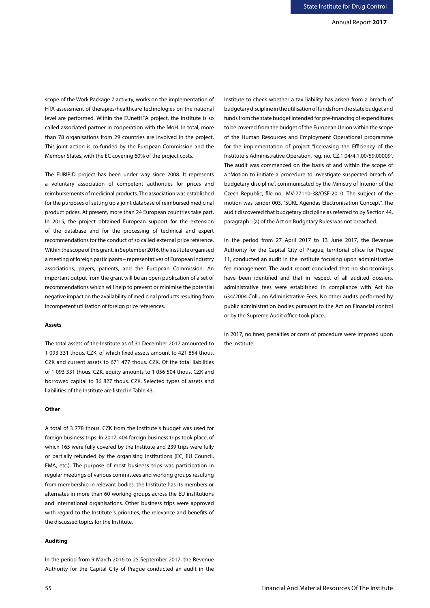scope of the Work Package 7 activity, works on the implementation of HTA assessment of therapies/healthcare technologies on the national level are performed. Within the EUnetHTA project, the Institute is so called associated partner in cooperation with the MoH. In total, more than 78 organisations from 29 countries are involved in the project. This joint action is co-funded by the European Commission and the Member States, with the EC covering 60% of the project costs.

The EURIPID project has been under way since 2008. It represents a voluntary association of competent authorities for prices and reimbursements of medicinal products. The association was established for the purposes of setting up a joint database of reimbursed medicinal product prices. At present, more than 24 European countries take part. In 2015, the project obtained European support for the extension of the database and for the processing of technical and expert recommendations for the conduct of so called external price reference. Within the scope of this grant, in September 2016, the Institute organised a meeting of foreign participants – representatives of European industry associations, payers, patients, and the European Commission. An important output from the grant will be an open publication of a set of recommendations which will help to prevent or minimise the potential negative impact on the availability of medicinal products resulting from incompetent utilisation of foreign price references.

#### **Assets**

The total assets of the Institute as of 31 December 2017 amounted to 1 093 331 thous. CZK, of which fixed assets amount to 421 854 thous. CZK and current assets to 671 477 thous. CZK. Of the total liabilities of 1 093 331 thous. CZK, equity amounts to 1 056 504 thous. CZK and borrowed capital to 36 827 thous. CZK. Selected types of assets and liabilities of the Institute are listed in Table 43.

### **Other**

A total of 3 778 thous. CZK from the Institute´s budget was used for foreign business trips. In 2017, 404 foreign business trips took place, of which 165 were fully covered by the Institute and 239 trips were fully or partially refunded by the organising institutions (EC, EU Council, EMA, etc.). The purpose of most business trips was participation in regular meetings of various committees and working groups resulting from membership in relevant bodies. the Institute has its members or alternates in more than 60 working groups across the EU institutions and international organisations. Other business trips were approved with regard to the Institute´s priorities, the relevance and benefits of the discussed topics for the Institute.

### **Auditing**

In the period from 9 March 2016 to 25 September 2017, the Revenue Authority for the Capital City of Prague conducted an audit in the

Institute to check whether a tax liability has arisen from a breach of budgetary discipline in the utilisation of funds from the state budget and funds from the state budget intended for pre-financing of expenditures to be covered from the budget of the European Union within the scope of the Human Resources and Employment Operational programme for the implementation of project "Increasing the Efficiency of the Institute´s Administrative Operation, reg. no. CZ.1.04/4.1.00/59.00009". The audit was commenced on the basis of and within the scope of a "Motion to initiate a procedure to investigate suspected breach of budgetary discipline", communicated by the Ministry of Interior of the Czech Republic, file no.: MV-77110-38/OSF-2010. The subject of the motion was tender 003, "SÚKL Agendas Electronisation Concept". The audit discovered that budgetary discipline as referred to by Section 44, paragraph 1(a) of the Act on Budgetary Rules was not breached.

In the period from 27 April 2017 to 13 June 2017, the Revenue Authority for the Capital City of Prague, territorial office for Prague 11, conducted an audit in the Institute focusing upon administrative fee management. The audit report concluded that no shortcomings have been identified and that in respect of all audited dossiers, administrative fees were established in compliance with Act No 634/2004 Coll., on Administrative Fees. No other audits performed by public administration bodies pursuant to the Act on Financial control or by the Supreme Audit office took place.

In 2017, no fines, penalties or costs of procedure were imposed upon the Institute.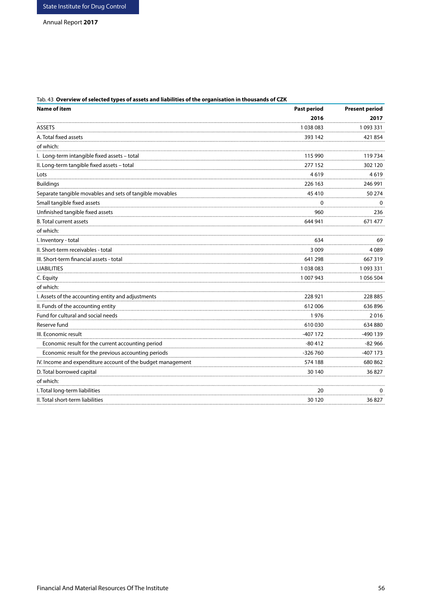# Tab. 43 **Overview of selected types of assets and liabilities of the organisation in thousands of CZK**

| <b>Name of item</b>                                         | <b>Past period</b> | <b>Present period</b> |  |
|-------------------------------------------------------------|--------------------|-----------------------|--|
|                                                             | 2016               | 2017                  |  |
| <b>ASSETS</b>                                               | 1038083            | 1093331               |  |
| A. Total fixed assets                                       | 393 142            | 421854                |  |
| of which:                                                   |                    |                       |  |
| I. Long-term intangible fixed assets - total                | 115 990            | 119734                |  |
| II. Long-term tangible fixed assets - total                 | 277 152            | 302 120               |  |
| Lots                                                        | 4619               | 4619                  |  |
| <b>Buildings</b>                                            | 226 163            | 246 991               |  |
| Separate tangible movables and sets of tangible movables    | 45 410             | 50 274                |  |
| Small tangible fixed assets                                 | 0                  | $\mathbf{0}$          |  |
| Unfinished tangible fixed assets                            | 960                | 236                   |  |
| <b>B.</b> Total current assets                              | 644 941            | 671 477               |  |
| of which:                                                   |                    |                       |  |
| I. Inventory - total                                        | 634                | 69                    |  |
| II. Short-term receivables - total                          | 3 0 0 9            | 4089                  |  |
| III. Short-term financial assets - total                    | 641 298            | 667319                |  |
| <b>LIABILITIES</b>                                          | 1038083            | 1093331               |  |
| C. Equity                                                   | 1 007 943          | 1056504               |  |
| of which:                                                   |                    |                       |  |
| I. Assets of the accounting entity and adjustments          | 228 921            | 228 885               |  |
| II. Funds of the accounting entity                          | 612006             | 636896                |  |
| Fund for cultural and social needs                          | 1976               | 2016                  |  |
| Reserve fund                                                | 610030             | 634 880               |  |
| III. Economic result                                        | -407 172           | -490 139              |  |
| Economic result for the current accounting period           | $-80412$           | $-82966$              |  |
| Economic result for the previous accounting periods         | $-326760$          | -407 173              |  |
| IV. Income and expenditure account of the budget management | 574 188            | 680 862               |  |
| D. Total borrowed capital                                   | 30 140             | 36 827                |  |
| of which:                                                   |                    |                       |  |
| I. Total long-term liabilities                              | 20                 | 0                     |  |
| II. Total short-term liabilities                            | 30 1 20            | 36827                 |  |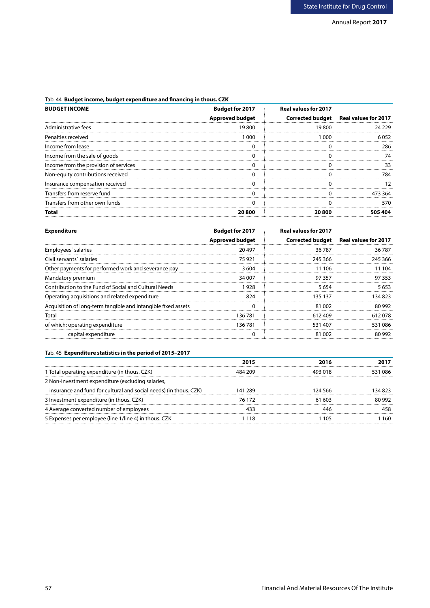# Tab. 44 **Budget income, budget expenditure and financing in thous. CZK**

| <b>BUDGET INCOME</b>                  | <b>Budget for 2017</b> | Real values for 2017 |                                       |
|---------------------------------------|------------------------|----------------------|---------------------------------------|
|                                       | <b>Approved budget</b> |                      | Corrected budget Real values for 2017 |
| Administrative fees                   | 19800                  | 19 800               | 24 229                                |
| Penalties received                    | രറെ                    | 1.000.               | 6052                                  |
| Income from lease                     |                        |                      |                                       |
| Income from the sale of goods         |                        |                      |                                       |
| Income from the provision of services |                        |                      |                                       |
| Non-equity contributions received     |                        |                      |                                       |
| Insurance compensation received       |                        |                      |                                       |
| Transfers from reserve fund           |                        |                      |                                       |
| Transfers from other own funds        |                        |                      |                                       |
|                                       | 20 800                 | 20 ROO               |                                       |

| Expenditure                                                   | <b>Budget for 2017</b> | Real values for 2017 |                                       |
|---------------------------------------------------------------|------------------------|----------------------|---------------------------------------|
|                                                               | <b>Approved budget</b> |                      | Corrected budget Real values for 2017 |
| Emplovees' salaries                                           | 20497                  | 36787                | 36787                                 |
| Civil servants' salaries                                      | 75 921                 | 245 366              | 245 366                               |
| Other payments for performed work and severance pay           | 3604                   | 11 106               | 104                                   |
| Mandatory premium                                             | 34 007                 | 97 357               | 97 353                                |
| Contribution to the Fund of Social and Cultural Needs         | 928                    | 5 654                | 5653                                  |
| Operating acquisitions and related expenditure                | 824                    | 135 137              | 34.823                                |
| Acquisition of long-term tangible and intangible fixed assets |                        | 81.002               | 80 992                                |
| Total                                                         | 136 781                | 612409               | 612078                                |
| of which: operating expenditure                               | 136 781                | 531407               | 531086                                |
| capital expenditure                                           |                        | 81.002               | 80.992                                |

# Tab. 45 **Expenditure statistics in the period of 2015–2017**

|                                                                   | 2015    |        |        |
|-------------------------------------------------------------------|---------|--------|--------|
| l Total operating expenditure (in thous. CZK)                     | 484 209 |        | -086   |
| 2 Non-investment expenditure (excluding salaries,                 |         |        |        |
| insurance and fund for cultural and social needs) (in thous. CZK) | 141 289 | 24 566 | 34 823 |
| 3 Investment expenditure (in thous. CZK)                          | 76 172  | -603   | 80 992 |
| 4 Average converted number of employees                           |         |        |        |
| 5 Expenses per employee (line 1/line 4) in thous. CZK             |         |        | 160    |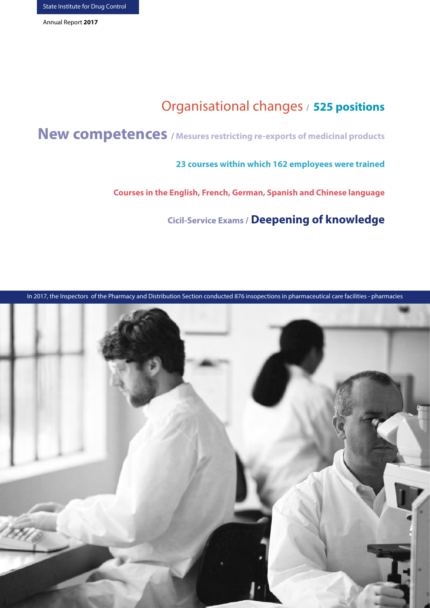# Organisational changes **/ 525 positions**

**New competences / Mesures restricting re-exports of medicinal products**

**23 courses within which 162 employees were trained**

**Courses in the English, French, German, Spanish and Chinese language**

**Cicil-Service Exams / Deepening of knowledge**

In 2017, the Inspectors of the Pharmacy and Distribution Section conducted 876 insopections in pharmaceutical care facilities - pharmacies

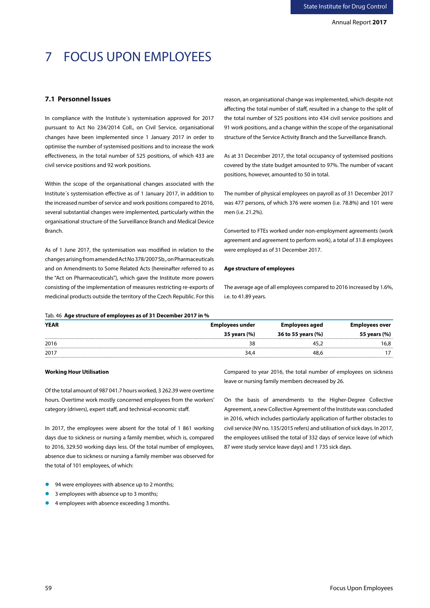# 7 FOCUS UPON EMPLOYEES

## **7.1 Personnel Issues**

In compliance with the Institute´s systemisation approved for 2017 pursuant to Act No 234/2014 Coll., on Civil Service, organisational changes have been implemented since 1 January 2017 in order to optimise the number of systemised positions and to increase the work effectiveness, in the total number of 525 positions, of which 433 are civil service positions and 92 work positions.

Within the scope of the organisational changes associated with the Institute´s systemisation effective as of 1 January 2017, in addition to the increased number of service and work positions compared to 2016, several substantial changes were implemented, particularly within the organisational structure of the Surveillance Branch and Medical Device Branch.

As of 1 June 2017, the systemisation was modified in relation to the changes arising from amended Act No 378/2007 Sb., on Pharmaceuticals and on Amendments to Some Related Acts (hereinafter referred to as the "Act on Pharmaceuticals"), which gave the Institute more powers consisting of the implementation of measures restricting re-exports of medicinal products outside the territory of the Czech Republic. For this reason, an organisational change was implemented, which despite not affecting the total number of staff, resulted in a change to the split of the total number of 525 positions into 434 civil service positions and 91 work positions, and a change within the scope of the organisational structure of the Service Activity Branch and the Surveillance Branch.

As at 31 December 2017, the total occupancy of systemised positions covered by the state budget amounted to 97%. The number of vacant positions, however, amounted to 50 in total.

The number of physical employees on payroll as of 31 December 2017 was 477 persons, of which 376 were women (i.e. 78.8%) and 101 were men (i.e. 21.2%).

Converted to FTEs worked under non-employment agreements (work agreement and agreement to perform work), a total of 31.8 employees were employed as of 31 December 2017.

#### **Age structure of employees**

The average age of all employees compared to 2016 increased by 1.6%, i.e. to 41.89 years.

#### Tab. 46 **Age structure of employees as of 31 December 2017 in %**

| <b>YEAR</b> | Employees under | Employees aged     |                  |
|-------------|-----------------|--------------------|------------------|
|             | 35 years (%)    | 36 to 55 years (%) | 55 years (%)<br> |
| 2016        |                 |                    | 6,8              |
| 2017        | 34.4            | 48.6               |                  |
|             |                 |                    |                  |

#### **Working Hour Utilisation**

Of the total amount of 987 041.7 hours worked, 3 262.39 were overtime hours. Overtime work mostly concerned employees from the workers' category (drivers), expert staff, and technical-economic staff.

In 2017, the employees were absent for the total of 1 861 working days due to sickness or nursing a family member, which is, compared to 2016, 329.50 working days less. Of the total number of employees, absence due to sickness or nursing a family member was observed for the total of 101 employees, of which:

leave or nursing family members decreased by 26. On the basis of amendments to the Higher-Degree Collective

Compared to year 2016, the total number of employees on sickness

Agreement, a new Collective Agreement of the Institute was concluded in 2016, which includes particularly application of further obstacles to civil service (NV no. 135/2015 refers) and utilisation of sick days. In 2017, the employees utilised the total of 332 days of service leave (of which 87 were study service leave days) and 1 735 sick days.

- 94 were employees with absence up to 2 months;
- 3 employees with absence up to 3 months;
- 4 employees with absence exceeding 3 months.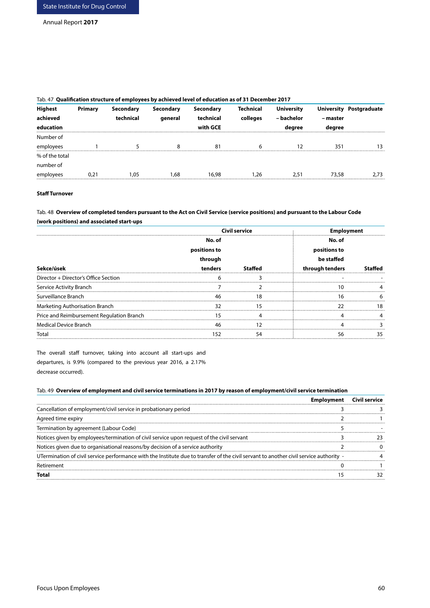| <b>Highest</b> | Primary | <b>Secondary</b> | <b>Secondary</b> | Secondary | Technical | <b>University</b> | <b>University</b> | Postgraduate |
|----------------|---------|------------------|------------------|-----------|-----------|-------------------|-------------------|--------------|
| achieved       |         | technical        | general          | technical | colleges  | – bachelor        | – master          |              |
| education      |         |                  |                  | with GCE  |           | dearee            | dearee            |              |
| Number of      |         |                  |                  |           |           |                   |                   |              |
| employees      |         |                  |                  | 81        |           |                   | 351               |              |
| % of the total |         |                  |                  |           |           |                   |                   |              |
| number of      |         |                  |                  |           |           |                   |                   |              |
| employees      | 0.21    | 1.05             | .68              | 16.98     | 1.26      | 2.51              | 73,58             | 2.73         |

# Tab. 47 **Qualification structure of employees by achieved level of education as of 31 December 2017**

# **Staff Turnover**

Tab. 48 **Overview of completed tenders pursuant to the Act on Civil Service (service positions) and pursuant to the Labour Code (work positions) and associated start-ups**

| Civil service                             |              | En      |                 |  |
|-------------------------------------------|--------------|---------|-----------------|--|
|                                           | No. of       |         | No. of          |  |
|                                           | positions to |         | positions to    |  |
|                                           | through      |         | be staffed      |  |
| Sekce/úsek                                | tenders      | Staffed | through tenders |  |
| Director + Director's Office Section      |              |         |                 |  |
| Service Activity Branch                   |              |         |                 |  |
| Surveillance Branch                       |              | 18      | 16              |  |
| Marketing Authorisation Branch            |              |         |                 |  |
| Price and Reimbursement Regulation Branch |              |         |                 |  |
| <b>Medical Device Branch</b>              |              |         |                 |  |
| Total                                     |              |         |                 |  |

The overall staff turnover, taking into account all start-ups and departures, is 9.9% (compared to the previous year 2016, a 2.17% decrease occurred).

# Tab. 49 **Overview of employment and civil service terminations in 2017 by reason of employment/civil service termination**

| Cancellation of employment/civil service in probationary period                                                                        |  |
|----------------------------------------------------------------------------------------------------------------------------------------|--|
| Agreed time expiry                                                                                                                     |  |
| Termination by agreement (Labour Code)                                                                                                 |  |
| Notices given by employees/termination of civil service upon request of the civil servant                                              |  |
| Notices given due to organisational reasons/by decision of a service authority                                                         |  |
| UTermination of civil service performance with the Institute due to transfer of the civil servant to another civil service authority - |  |
| Retirement                                                                                                                             |  |
|                                                                                                                                        |  |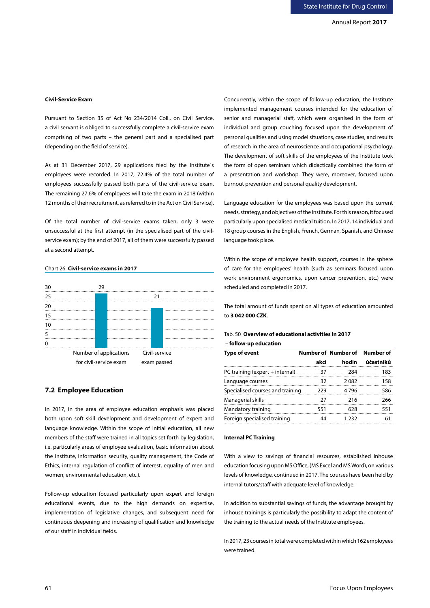# **Civil-Service Exam**

Pursuant to Section 35 of Act No 234/2014 Coll., on Civil Service, a civil servant is obliged to successfully complete a civil-service exam comprising of two parts – the general part and a specialised part (depending on the field of service).

As at 31 December 2017, 29 applications filed by the Institute´s employees were recorded. In 2017, 72.4% of the total number of employees successfully passed both parts of the civil-service exam. The remaining 27.6% of employees will take the exam in 2018 (within 12 months of their recruitment, as referred to in the Act on Civil Service).

Of the total number of civil-service exams taken, only 3 were unsuccessful at the first attempt (in the specialised part of the civilservice exam); by the end of 2017, all of them were successfully passed at a second attempt.

# Chart 26 **Civil-service exams in 2017**



# **7.2 Employee Education**

In 2017, in the area of employee education emphasis was placed both upon soft skill development and development of expert and language knowledge. Within the scope of initial education, all new members of the staff were trained in all topics set forth by legislation, i.e. particularly areas of employee evaluation, basic information about the Institute, information security, quality management, the Code of Ethics, internal regulation of conflict of interest, equality of men and women, environmental education, etc.).

Follow-up education focused particularly upon expert and foreign educational events, due to the high demands on expertise, implementation of legislative changes, and subsequent need for continuous deepening and increasing of qualification and knowledge of our staff in individual fields.

Concurrently, within the scope of follow-up education, the Institute implemented management courses intended for the education of senior and managerial staff, which were organised in the form of individual and group couching focused upon the development of personal qualities and using model situations, case studies, and results of research in the area of neuroscience and occupational psychology. The development of soft skills of the employees of the Institute took the form of open seminars which didactically combined the form of a presentation and workshop. They were, moreover, focused upon burnout prevention and personal quality development.

Language education for the employees was based upon the current needs, strategy, and objectives of the Institute. For this reason, it focused particularly upon specialised medical tuition. In 2017, 14 individual and 18 group courses in the English, French, German, Spanish, and Chinese language took place.

Within the scope of employee health support, courses in the sphere of care for the employees' health (such as seminars focused upon work environment ergonomics, upon cancer prevention, etc.) were scheduled and completed in 2017.

The total amount of funds spent on all types of education amounted to **3 042 000 CZK**.

# Tab. 50 **Overview of educational activities in 2017 – follow-up education**

| <b>Type of event</b>              |      | Number of Number of | <b>Number of</b> |
|-----------------------------------|------|---------------------|------------------|
|                                   | akcí | hodin               | účastníků        |
| PC training (expert $+$ internal) | 37   | 284                 | 183              |
| Language courses                  | 32   | 2082                | 158              |
| Specialised courses and training  | 229  | 4796                | 586              |
| Managerial skills                 | 27   | 216                 | 266              |
| Mandatory training                | 551  | 628                 | 551              |
| Foreign specialised training      | 44   | 1 232               | 61               |

# **Internal PC Training**

With a view to savings of financial resources, established inhouse education focusing upon MS Office, (MS Excel and MS Word), on various levels of knowledge, continued in 2017. The courses have been held by internal tutors/staff with adequate level of knowledge.

In addition to substantial savings of funds, the advantage brought by inhouse trainings is particularly the possibility to adapt the content of the training to the actual needs of the Institute employees.

In 2017, 23 courses in total were completed within which 162 employees were trained.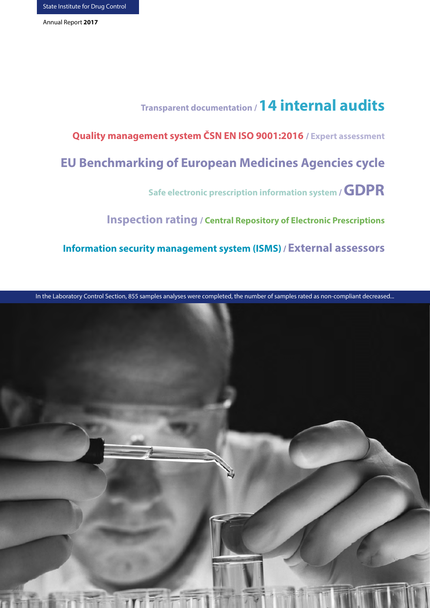# **Transparent documentation / 14 internal audits**

**Quality management system ČSN EN ISO 9001:2016 / Expert assessment**

**EU Benchmarking of European Medicines Agencies cycle**

**Safe electronic prescription information system / GDPR**

**Inspection rating / Central Repository of Electronic Prescriptions**

**Information security management system (ISMS) / External assessors**

In the Laboratory Control Section, 855 samples analyses were completed, the number of samples rated as non-compliant decreased...

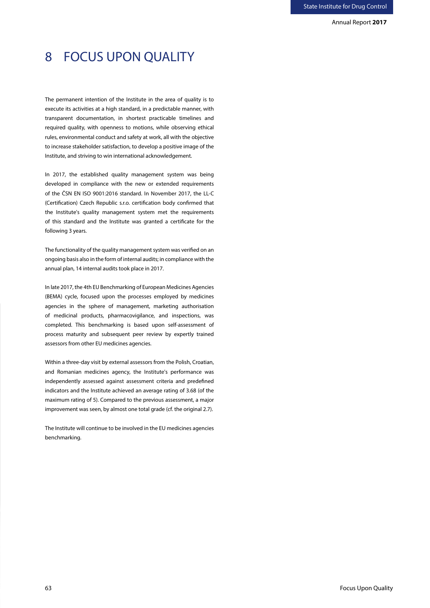Annual Report **2017**

# 8 FOCUS UPON QUALITY

The permanent intention of the Institute in the area of quality is to execute its activities at a high standard, in a predictable manner, with transparent documentation, in shortest practicable timelines and required quality, with openness to motions, while observing ethical rules, environmental conduct and safety at work, all with the objective to increase stakeholder satisfaction, to develop a positive image of the Institute, and striving to win international acknowledgement.

In 2017, the established quality management system was being developed in compliance with the new or extended requirements of the ČSN EN ISO 9001:2016 standard. In November 2017, the LL-C (Certification) Czech Republic s.r.o. certification body confirmed that the Institute's quality management system met the requirements of this standard and the Institute was granted a certificate for the following 3 years.

The functionality of the quality management system was verified on an ongoing basis also in the form of internal audits; in compliance with the annual plan, 14 internal audits took place in 2017.

In late 2017, the 4th EU Benchmarking of European Medicines Agencies (BEMA) cycle, focused upon the processes employed by medicines agencies in the sphere of management, marketing authorisation of medicinal products, pharmacovigilance, and inspections, was completed. This benchmarking is based upon self-assessment of process maturity and subsequent peer review by expertly trained assessors from other EU medicines agencies.

Within a three-day visit by external assessors from the Polish, Croatian, and Romanian medicines agency, the Institute's performance was independently assessed against assessment criteria and predefined indicators and the Institute achieved an average rating of 3.68 (of the maximum rating of 5). Compared to the previous assessment, a major improvement was seen, by almost one total grade (cf. the original 2.7).

The Institute will continue to be involved in the EU medicines agencies benchmarking.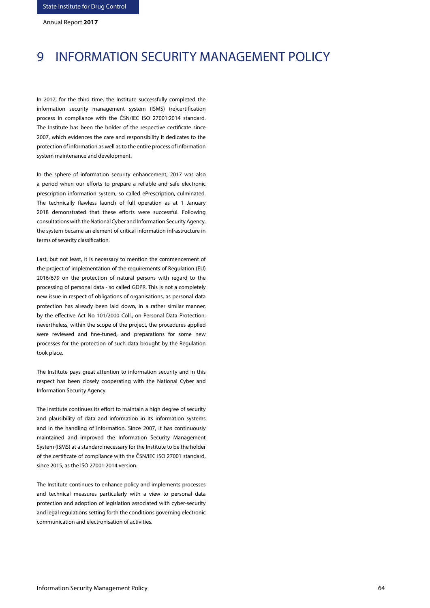# 9 INFORMATION SECURITY MANAGEMENT POLICY

In 2017, for the third time, the Institute successfully completed the information security management system (ISMS) (re)certification process in compliance with the ČSN/IEC ISO 27001:2014 standard. The Institute has been the holder of the respective certificate since 2007, which evidences the care and responsibility it dedicates to the protection of information as well as to the entire process of information system maintenance and development.

In the sphere of information security enhancement, 2017 was also a period when our efforts to prepare a reliable and safe electronic prescription information system, so called ePrescription, culminated. The technically flawless launch of full operation as at 1 January 2018 demonstrated that these efforts were successful. Following consultations with the National Cyber and Information Security Agency, the system became an element of critical information infrastructure in terms of severity classification.

Last, but not least, it is necessary to mention the commencement of the project of implementation of the requirements of Regulation (EU) 2016/679 on the protection of natural persons with regard to the processing of personal data - so called GDPR. This is not a completely new issue in respect of obligations of organisations, as personal data protection has already been laid down, in a rather similar manner, by the effective Act No 101/2000 Coll., on Personal Data Protection; nevertheless, within the scope of the project, the procedures applied were reviewed and fine-tuned, and preparations for some new processes for the protection of such data brought by the Regulation took place.

The Institute pays great attention to information security and in this respect has been closely cooperating with the National Cyber and Information Security Agency.

The Institute continues its effort to maintain a high degree of security and plausibility of data and information in its information systems and in the handling of information. Since 2007, it has continuously maintained and improved the Information Security Management System (ISMS) at a standard necessary for the Institute to be the holder of the certificate of compliance with the ČSN/IEC ISO 27001 standard, since 2015, as the ISO 27001:2014 version.

The Institute continues to enhance policy and implements processes and technical measures particularly with a view to personal data protection and adoption of legislation associated with cyber-security and legal regulations setting forth the conditions governing electronic communication and electronisation of activities.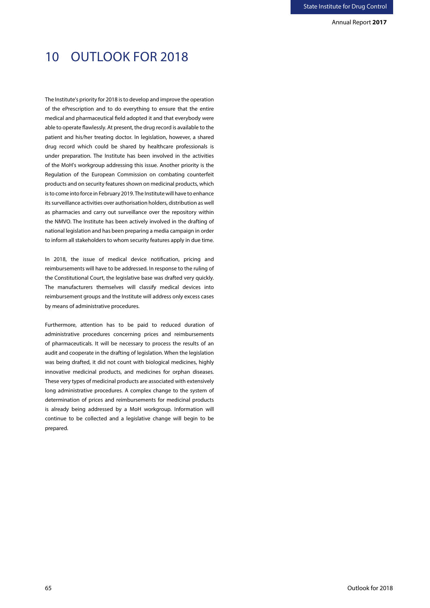Annual Report **2017**

# 10 OUTLOOK FOR 2018

The Institute's priority for 2018 is to develop and improve the operation of the ePrescription and to do everything to ensure that the entire medical and pharmaceutical field adopted it and that everybody were able to operate flawlessly. At present, the drug record is available to the patient and his/her treating doctor. In legislation, however, a shared drug record which could be shared by healthcare professionals is under preparation. The Institute has been involved in the activities of the MoH's workgroup addressing this issue. Another priority is the Regulation of the European Commission on combating counterfeit products and on security features shown on medicinal products, which is to come into force in February 2019. The Institute will have to enhance its surveillance activities over authorisation holders, distribution as well as pharmacies and carry out surveillance over the repository within the NMVO. The Institute has been actively involved in the drafting of national legislation and has been preparing a media campaign in order to inform all stakeholders to whom security features apply in due time.

In 2018, the issue of medical device notification, pricing and reimbursements will have to be addressed. In response to the ruling of the Constitutional Court, the legislative base was drafted very quickly. The manufacturers themselves will classify medical devices into reimbursement groups and the Institute will address only excess cases by means of administrative procedures.

Furthermore, attention has to be paid to reduced duration of administrative procedures concerning prices and reimbursements of pharmaceuticals. It will be necessary to process the results of an audit and cooperate in the drafting of legislation. When the legislation was being drafted, it did not count with biological medicines, highly innovative medicinal products, and medicines for orphan diseases. These very types of medicinal products are associated with extensively long administrative procedures. A complex change to the system of determination of prices and reimbursements for medicinal products is already being addressed by a MoH workgroup. Information will continue to be collected and a legislative change will begin to be prepared.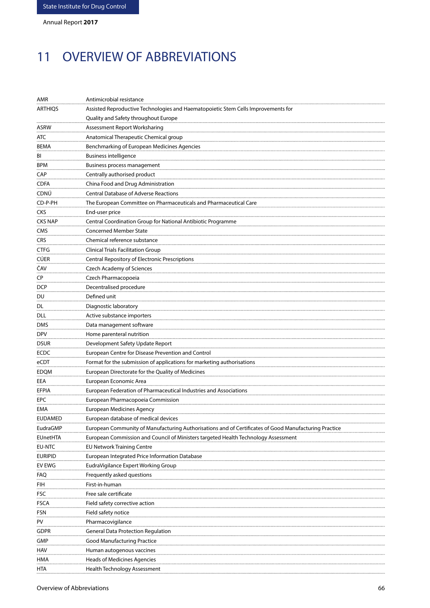# 11 OVERVIEW OF ABBREVIATIONS

| AMR            | Antimicrobial resistance                                                                              |
|----------------|-------------------------------------------------------------------------------------------------------|
| <b>ARTHIQS</b> | Assisted Reproductive Technologies and Haematopoietic Stem Cells Improvements for                     |
|                | Quality and Safety throughout Europe                                                                  |
| ASRW           | Assessment Report Worksharing                                                                         |
| ATC            | Anatomical Therapeutic Chemical group                                                                 |
| <b>BEMA</b>    | Benchmarking of European Medicines Agencies                                                           |
| BI             | <b>Business intelligence</b>                                                                          |
| <b>BPM</b>     | Business process management                                                                           |
| CAP            | Centrally authorised product                                                                          |
| CDFA           | China Food and Drug Administration                                                                    |
| CDNŮ           | <b>Central Database of Adverse Reactions</b>                                                          |
| CD-P-PH        | The European Committee on Pharmaceuticals and Pharmaceutical Care                                     |
| CKS            | End-user price                                                                                        |
| CKS NAP        | Central Coordination Group for National Antibiotic Programme                                          |
| CMS            | <b>Concerned Member State</b>                                                                         |
| CRS            | Chemical reference substance                                                                          |
|                | <b>Clinical Trials Facilitation Group</b>                                                             |
| CTFG           |                                                                                                       |
| <b>CÚER</b>    | Central Repository of Electronic Prescriptions                                                        |
| ČAV            | <b>Czech Academy of Sciences</b>                                                                      |
| CP             | Czech Pharmacopoeia                                                                                   |
| <b>DCP</b>     | Decentralised procedure                                                                               |
| DU             | Defined unit                                                                                          |
| DL             | Diagnostic laboratory                                                                                 |
| DLL            | Active substance importers                                                                            |
| DMS            | Data management software                                                                              |
| DPV            | Home parenteral nutrition                                                                             |
| <b>DSUR</b>    | Development Safety Update Report                                                                      |
| ECDC           | European Centre for Disease Prevention and Control                                                    |
| eCDT           | Format for the submission of applications for marketing authorisations                                |
| <b>EDQM</b>    | European Directorate for the Quality of Medicines                                                     |
| EEA            | European Economic Area                                                                                |
| EFPIA          | European Federation of Pharmaceutical Industries and Associations                                     |
| EPC            | European Pharmacopoeia Commission                                                                     |
| EMA            | <b>European Medicines Agency</b>                                                                      |
| EUDAMED        | European database of medical devices                                                                  |
| EudraGMP       | European Community of Manufacturing Authorisations and of Certificates of Good Manufacturing Practice |
| EUnetHTA       | European Commission and Council of Ministers targeted Health Technology Assessment                    |
| EU-NTC         | <b>EU Network Training Centre</b>                                                                     |
| <b>EURIPID</b> | European Integrated Price Information Database                                                        |
| EV EWG         | EudraVigilance Expert Working Group                                                                   |
| FAQ            | Frequently asked questions                                                                            |
| FIH            | First-in-human                                                                                        |
| FSC            | Free sale certificate                                                                                 |
| FSCA           | Field safety corrective action                                                                        |
| FSN            | Field safety notice                                                                                   |
| PV             | Pharmacovigilance                                                                                     |
| gdpr           | <b>General Data Protection Regulation</b>                                                             |
| GMP            | Good Manufacturing Practice                                                                           |
| HAV            | Human autogenous vaccines                                                                             |
| HMA            | Heads of Medicines Agencies                                                                           |
| HTA            | Health Technology Assessment                                                                          |
|                |                                                                                                       |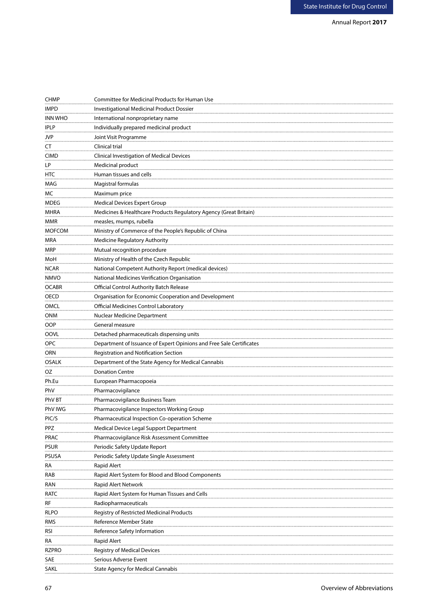| <b>CHMP</b>        | Committee for Medicinal Products for Human Use                       |
|--------------------|----------------------------------------------------------------------|
| <b>IMPD</b>        | <b>Investigational Medicinal Product Dossier</b>                     |
| <b>INN WHO</b>     | International nonproprietary name                                    |
| <b>IPLP</b>        | Individually prepared medicinal product                              |
| JVP                | Joint Visit Programme                                                |
| CT                 | Clinical trial                                                       |
| <b>CIMD</b>        | Clinical Investigation of Medical Devices                            |
| LР                 | Medicinal product                                                    |
| <b>HTC</b>         | Human tissues and cells                                              |
| MAG                | Magistral formulas                                                   |
| MC.                | Maximum price                                                        |
| <b>MDEG</b>        | <b>Medical Devices Expert Group</b>                                  |
| MHRA               | Medicines & Healthcare Products Regulatory Agency (Great Britain)    |
| MMR                | measles, mumps, rubella                                              |
| <b>MOFCOM</b>      | Ministry of Commerce of the People's Republic of China               |
| MRA                | Medicine Regulatory Authority                                        |
| MRP                |                                                                      |
|                    | Mutual recognition procedure                                         |
| MoH<br><b>NCAR</b> | Ministry of Health of the Czech Republic                             |
| <b>NMVO</b>        | National Competent Authority Report (medical devices)                |
|                    | National Medicines Verification Organisation                         |
| <b>OCABR</b>       | <b>Official Control Authority Batch Release</b>                      |
| OECD               | Organisation for Economic Cooperation and Development                |
| OMCL               | Official Medicines Control Laboratory                                |
| ONM                | Nuclear Medicine Department                                          |
| OOP                | General measure                                                      |
| <b>OOVL</b>        | Detached pharmaceuticals dispensing units                            |
| <b>OPC</b>         | Department of Issuance of Expert Opinions and Free Sale Certificates |
| ORN                | Registration and Notification Section                                |
| OSALK              | Department of the State Agency for Medical Cannabis                  |
| OZ                 | <b>Donation Centre</b>                                               |
| Ph.Eu              | European Pharmacopoeia                                               |
| PhV                | Pharmacovigilance                                                    |
| PhV BT             | Pharmacovigilance Business Team                                      |
| PhV IWG            | Pharmacovigilance Inspectors Working Group                           |
| PIC/S              | Pharmaceutical Inspection Co-operation Scheme                        |
| PPZ                | Medical Device Legal Support Department                              |
| PRAC               | Pharmacovigilance Risk Assessment Committee                          |
| <b>PSUR</b>        | Periodic Safety Update Report                                        |
| PSUSA              | Periodic Safety Update Single Assessment                             |
| RА                 | <b>Rapid Alert</b>                                                   |
| RAB                | Rapid Alert System for Blood and Blood Components                    |
| RAN                | Rapid Alert Network                                                  |
| ratc               | Rapid Alert System for Human Tissues and Cells                       |
| RF                 | Radiopharmaceuticals                                                 |
| rlpo               | Registry of Restricted Medicinal Products                            |
| RMS                | Reference Member State                                               |
| rsi                | Reference Safety Information                                         |
| RА                 | Rapid Alert                                                          |
| RZPRO              | <b>Registry of Medical Devices</b>                                   |
| SAE                | Serious Adverse Event                                                |
| SAKL               | <b>State Agency for Medical Cannabis</b>                             |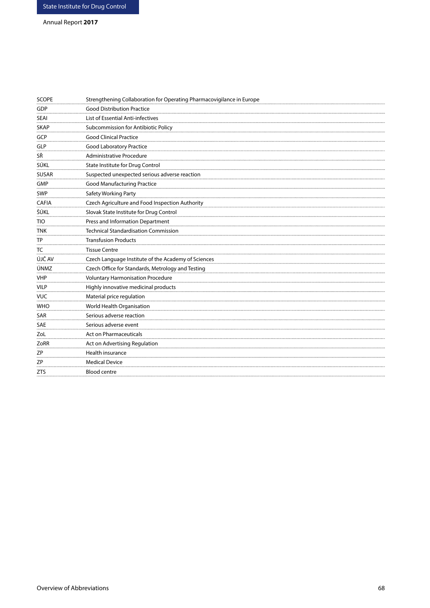# Annual Report **2017**

| <b>SCOPE</b> | Strengthening Collaboration for Operating Pharmacovigilance in Europe |
|--------------|-----------------------------------------------------------------------|
| GDP          | <b>Good Distribution Practice</b>                                     |
| <b>SEAI</b>  | List of Essential Anti-infectives                                     |
| <b>SKAP</b>  | Subcommission for Antibiotic Policy                                   |
| GCP          | <b>Good Clinical Practice</b>                                         |
| <b>GLP</b>   | Good Laboratory Practice                                              |
| SŘ           | Administrative Procedure                                              |
| SÚKL         | State Institute for Drug Control                                      |
| <b>SUSAR</b> | Suspected unexpected serious adverse reaction                         |
| GMP          | <b>Good Manufacturing Practice</b>                                    |
| <b>SWP</b>   | Safety Working Party                                                  |
| <b>CAFIA</b> | Czech Agriculture and Food Inspection Authority                       |
| ŠÚKL         | Slovak State Institute for Drug Control                               |
| <b>TIO</b>   | Press and Information Department                                      |
| TNK          | <b>Technical Standardisation Commission</b>                           |
| <b>TP</b>    | <b>Transfusion Products</b>                                           |
| TC           | <b>Tissue Centre</b>                                                  |
| ÚJČ AV       | Czech Language Institute of the Academy of Sciences                   |
| ÚNMZ         | Czech Office for Standards, Metrology and Testing                     |
| <b>VHP</b>   | <b>Voluntary Harmonisation Procedure</b>                              |
| <b>VILP</b>  | Highly innovative medicinal products                                  |
| <b>VUC</b>   | Material price regulation                                             |
| <b>WHO</b>   | World Health Organisation                                             |
| SAR          | Serious adverse reaction                                              |
| <b>SAE</b>   | Serious adverse event                                                 |
| ZoL          | <b>Act on Pharmaceuticals</b>                                         |
| ZoRR         | Act on Advertising Regulation                                         |
| ZΡ           | Health insurance                                                      |
| ΖP           | <b>Medical Device</b>                                                 |
| <b>ZTS</b>   | Blood centre                                                          |
|              |                                                                       |